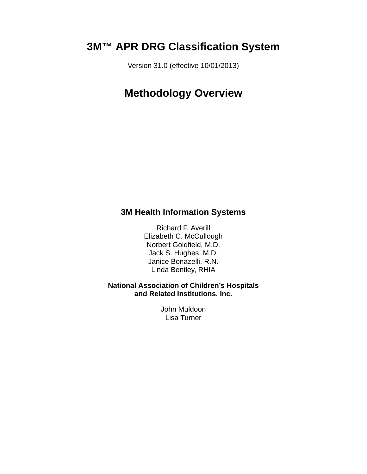# **3M™ APR DRG Classification System**

Version 31.0 (effective 10/01/2013)

# **Methodology Overview**

# **3M Health Information Systems**

Richard F. Averill Elizabeth C. McCullough Norbert Goldfield, M.D. Jack S. Hughes, M.D. Janice Bonazelli, R.N. Linda Bentley, RHIA

# **National Association of Children's Hospitals and Related Institutions, Inc.**

John Muldoon Lisa Turner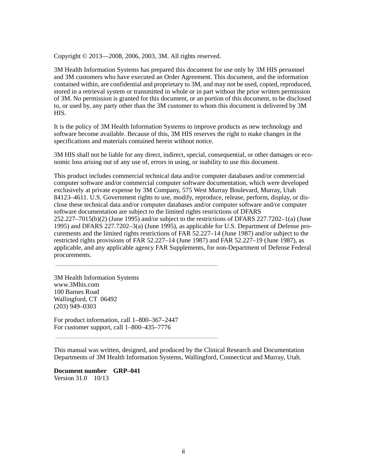Copyright © 2013—2008, 2006, 2003, 3M. All rights reserved.

3M Health Information Systems has prepared this document for use only by 3M HIS personnel and 3M customers who have executed an Order Agreement. This document, and the information contained within, are confidential and proprietary to 3M, and may not be used, copied, reproduced, stored in a retrieval system or transmitted in whole or in part without the prior written permission of 3M. No permission is granted for this document, or an portion of this document, to be disclosed to, or used by, any party other than the 3M customer to whom this document is delivered by 3M HIS.

It is the policy of 3M Health Information Systems to improve products as new technology and software become available. Because of this, 3M HIS reserves the right to make changes in the specifications and materials contained herein without notice.

3M HIS shall not be liable for any direct, indirect, special, consequential, or other damages or economic loss arising out of any use of, errors in using, or inability to use this document.

This product includes commercial technical data and/or computer databases and/or commercial computer software and/or commercial computer software documentation, which were developed exclusively at private expense by 3M Company, 575 West Murray Boulevard, Murray, Utah 84123–4611. U.S. Government rights to use, modify, reproduce, release, perform, display, or disclose these technical data and/or computer databases and/or computer software and/or computer software documentation are subject to the limited rights restrictions of DFARS 252.227–7015(b)(2) (June 1995) and/or subject to the restrictions of DFARS 227.7202–1(a) (June 1995) and DFARS 227.7202–3(a) (June 1995), as applicable for U.S. Department of Defense procurements and the limited rights restrictions of FAR 52.227–14 (June 1987) and/or subject to the restricted rights provisions of FAR 52.227–14 (June 1987) and FAR 52.227–19 (June 1987), as applicable, and any applicable agency FAR Supplements, for non-Department of Defense Federal procurements.

3M Health Information Systems www.3Mhis.com 100 Barnes Road Wallingford, CT 06492 (203) 949–0303

For product information, call 1–800–367–2447 For customer support, call 1–800–435–7776

**—————————————————————————————————————————————————————————————————————————————————————** 

**—————————————————————————————————————————————————————————————————————————————————————** 

This manual was written, designed, and produced by the Clinical Research and Documentation Departments of 3M Health Information Systems, Wallingford, Connecticut and Murray, Utah.

**Document number GRP–041** Version 31.0 10/13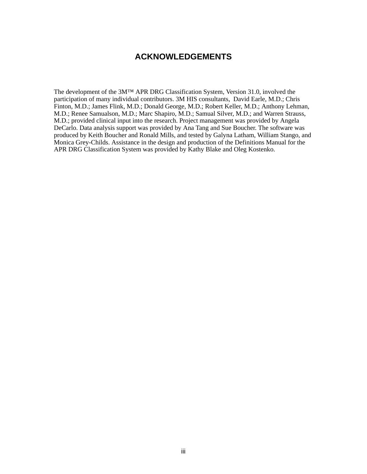# **ACKNOWLEDGEMENTS**

The development of the 3M™ APR DRG Classification System, Version 31.0, involved the participation of many individual contributors. 3M HIS consultants, David Earle, M.D.; Chris Finton, M.D.; James Flink, M.D.; Donald George, M.D.; Robert Keller, M.D.; Anthony Lehman, M.D.; Renee Samualson, M.D.; Marc Shapiro, M.D.; Samual Silver, M.D.; and Warren Strauss, M.D.; provided clinical input into the research. Project management was provided by Angela DeCarlo. Data analysis support was provided by Ana Tang and Sue Boucher. The software was produced by Keith Boucher and Ronald Mills, and tested by Galyna Latham, William Stango, and Monica Grey-Childs. Assistance in the design and production of the Definitions Manual for the APR DRG Classification System was provided by Kathy Blake and Oleg Kostenko.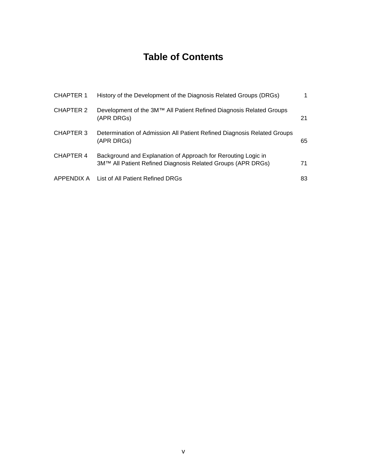# **Table of Contents**

| <b>CHAPTER 1</b> | History of the Development of the Diagnosis Related Groups (DRGs)                                                            | 1  |
|------------------|------------------------------------------------------------------------------------------------------------------------------|----|
| <b>CHAPTER 2</b> | Development of the 3M™ All Patient Refined Diagnosis Related Groups<br>(APR DRGs)                                            | 21 |
| <b>CHAPTER 3</b> | Determination of Admission All Patient Refined Diagnosis Related Groups<br>(APR DRGs)                                        | 65 |
| <b>CHAPTER 4</b> | Background and Explanation of Approach for Rerouting Logic in<br>3M™ All Patient Refined Diagnosis Related Groups (APR DRGs) | 71 |
| APPENDIX A       | List of All Patient Refined DRGs                                                                                             | 83 |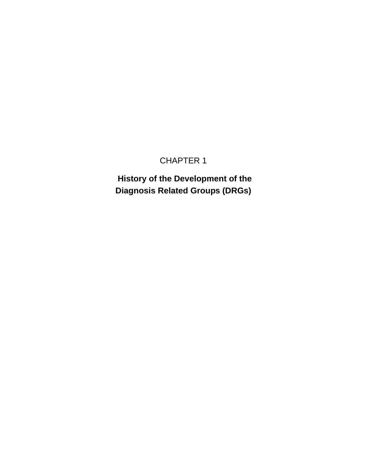# CHAPTER 1

<span id="page-6-2"></span><span id="page-6-1"></span><span id="page-6-0"></span>1**History of the Development of the Diagnosis Related Groups (DRGs)**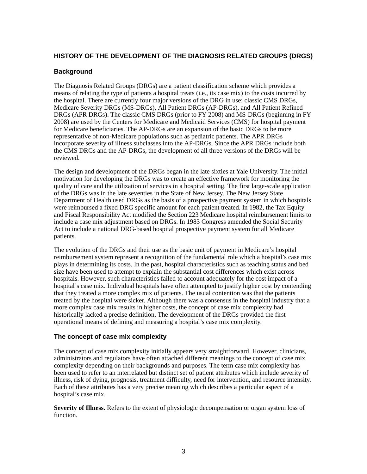# **HISTORY OF THE DEVELOPMENT OF THE DIAGNOSIS RELATED GROUPS (DRGS)**

## **Background**

The Diagnosis Related Groups (DRGs) are a patient classification scheme which provides a means of relating the type of patients a hospital treats (i.e., its case mix) to the costs incurred by the hospital. There are currently four major versions of the DRG in use: classic CMS DRGs, Medicare Severity DRGs (MS-DRGs), All Patient DRGs (AP-DRGs), and All Patient Refined DRGs (APR DRGs). The classic CMS DRGs (prior to FY 2008) and MS-DRGs (beginning in FY 2008) are used by the Centers for Medicare and Medicaid Services (CMS) for hospital payment for Medicare beneficiaries. The AP-DRGs are an expansion of the basic DRGs to be more representative of non-Medicare populations such as pediatric patients. The APR DRGs incorporate severity of illness subclasses into the AP-DRGs. Since the APR DRGs include both the CMS DRGs and the AP-DRGs, the development of all three versions of the DRGs will be reviewed.

The design and development of the DRGs began in the late sixties at Yale University. The initial motivation for developing the DRGs was to create an effective framework for monitoring the quality of care and the utilization of services in a hospital setting. The first large-scale application of the DRGs was in the late seventies in the State of New Jersey. The New Jersey State Department of Health used DRGs as the basis of a prospective payment system in which hospitals were reimbursed a fixed DRG specific amount for each patient treated. In 1982, the Tax Equity and Fiscal Responsibility Act modified the Section 223 Medicare hospital reimbursement limits to include a case mix adjustment based on DRGs. In 1983 Congress amended the Social Security Act to include a national DRG-based hospital prospective payment system for all Medicare patients.

The evolution of the DRGs and their use as the basic unit of payment in Medicare's hospital reimbursement system represent a recognition of the fundamental role which a hospital's case mix plays in determining its costs. In the past, hospital characteristics such as teaching status and bed size have been used to attempt to explain the substantial cost differences which exist across hospitals. However, such characteristics failed to account adequately for the cost impact of a hospital's case mix. Individual hospitals have often attempted to justify higher cost by contending that they treated a more complex mix of patients. The usual contention was that the patients treated by the hospital were sicker. Although there was a consensus in the hospital industry that a more complex case mix results in higher costs, the concept of case mix complexity had historically lacked a precise definition. The development of the DRGs provided the first operational means of defining and measuring a hospital's case mix complexity.

### **The concept of case mix complexity**

The concept of case mix complexity initially appears very straightforward. However, clinicians, administrators and regulators have often attached different meanings to the concept of case mix complexity depending on their backgrounds and purposes. The term case mix complexity has been used to refer to an interrelated but distinct set of patient attributes which include severity of illness, risk of dying, prognosis, treatment difficulty, need for intervention, and resource intensity. Each of these attributes has a very precise meaning which describes a particular aspect of a hospital's case mix.

**Severity of Illness.** Refers to the extent of physiologic decompensation or organ system loss of function.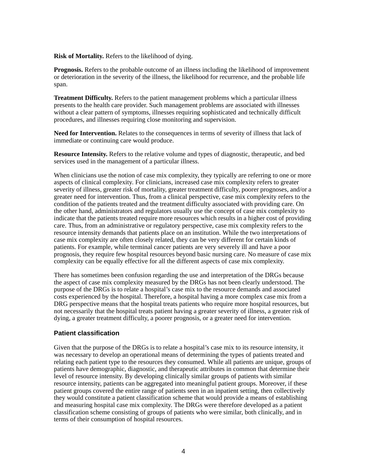**Risk of Mortality.** Refers to the likelihood of dying.

**Prognosis.** Refers to the probable outcome of an illness including the likelihood of improvement or deterioration in the severity of the illness, the likelihood for recurrence, and the probable life span.

**Treatment Difficulty.** Refers to the patient management problems which a particular illness presents to the health care provider. Such management problems are associated with illnesses without a clear pattern of symptoms, illnesses requiring sophisticated and technically difficult procedures, and illnesses requiring close monitoring and supervision.

**Need for Intervention.** Relates to the consequences in terms of severity of illness that lack of immediate or continuing care would produce.

**Resource Intensity.** Refers to the relative volume and types of diagnostic, therapeutic, and bed services used in the management of a particular illness.

When clinicians use the notion of case mix complexity, they typically are referring to one or more aspects of clinical complexity. For clinicians, increased case mix complexity refers to greater severity of illness, greater risk of mortality, greater treatment difficulty, poorer prognoses, and/or a greater need for intervention. Thus, from a clinical perspective, case mix complexity refers to the condition of the patients treated and the treatment difficulty associated with providing care. On the other hand, administrators and regulators usually use the concept of case mix complexity to indicate that the patients treated require more resources which results in a higher cost of providing care. Thus, from an administrative or regulatory perspective, case mix complexity refers to the resource intensity demands that patients place on an institution. While the two interpretations of case mix complexity are often closely related, they can be very different for certain kinds of patients. For example, while terminal cancer patients are very severely ill and have a poor prognosis, they require few hospital resources beyond basic nursing care. No measure of case mix complexity can be equally effective for all the different aspects of case mix complexity.

There has sometimes been confusion regarding the use and interpretation of the DRGs because the aspect of case mix complexity measured by the DRGs has not been clearly understood. The purpose of the DRGs is to relate a hospital's case mix to the resource demands and associated costs experienced by the hospital. Therefore, a hospital having a more complex case mix from a DRG perspective means that the hospital treats patients who require more hospital resources, but not necessarily that the hospital treats patient having a greater severity of illness, a greater risk of dying, a greater treatment difficulty, a poorer prognosis, or a greater need for intervention.

### **Patient classification**

Given that the purpose of the DRGs is to relate a hospital's case mix to its resource intensity, it was necessary to develop an operational means of determining the types of patients treated and relating each patient type to the resources they consumed. While all patients are unique, groups of patients have demographic, diagnostic, and therapeutic attributes in common that determine their level of resource intensity. By developing clinically similar groups of patients with similar resource intensity, patients can be aggregated into meaningful patient groups. Moreover, if these patient groups covered the entire range of patients seen in an inpatient setting, then collectively they would constitute a patient classification scheme that would provide a means of establishing and measuring hospital case mix complexity. The DRGs were therefore developed as a patient classification scheme consisting of groups of patients who were similar, both clinically, and in terms of their consumption of hospital resources.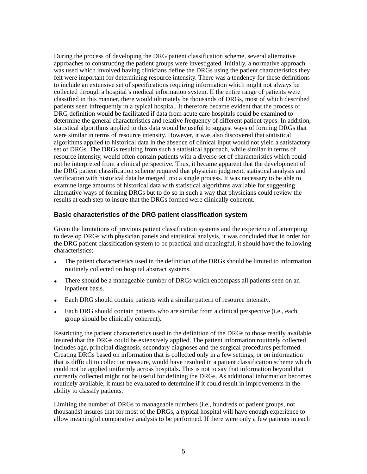During the process of developing the DRG patient classification scheme, several alternative approaches to constructing the patient groups were investigated. Initially, a normative approach was used which involved having clinicians define the DRGs using the patient characteristics they felt were important for determining resource intensity. There was a tendency for these definitions to include an extensive set of specifications requiring information which might not always be collected through a hospital's medical information system. If the entire range of patients were classified in this manner, there would ultimately be thousands of DRGs, most of which described patients seen infrequently in a typical hospital. It therefore became evident that the process of DRG definition would be facilitated if data from acute care hospitals could be examined to determine the general characteristics and relative frequency of different patient types. In addition, statistical algorithms applied to this data would be useful to suggest ways of forming DRGs that were similar in terms of resource intensity. However, it was also discovered that statistical algorithms applied to historical data in the absence of clinical input would not yield a satisfactory set of DRGs. The DRGs resulting from such a statistical approach, while similar in terms of resource intensity, would often contain patients with a diverse set of characteristics which could not be interpreted from a clinical perspective. Thus, it became apparent that the development of the DRG patient classification scheme required that physician judgment, statistical analysis and verification with historical data be merged into a single process. It was necessary to be able to examine large amounts of historical data with statistical algorithms available for suggesting alternative ways of forming DRGs but to do so in such a way that physicians could review the results at each step to insure that the DRGs formed were clinically coherent.

### **Basic characteristics of the DRG patient classification system**

Given the limitations of previous patient classification systems and the experience of attempting to develop DRGs with physician panels and statistical analysis, it was concluded that in order for the DRG patient classification system to be practical and meaningful, it should have the following characteristics:

- The patient characteristics used in the definition of the DRGs should be limited to information routinely collected on hospital abstract systems.
- There should be a manageable number of DRGs which encompass all patients seen on an inpatient basis.
- Each DRG should contain patients with a similar pattern of resource intensity.
- Each DRG should contain patients who are similar from a clinical perspective (i.e., each group should be clinically coherent).

Restricting the patient characteristics used in the definition of the DRGs to those readily available insured that the DRGs could be extensively applied. The patient information routinely collected includes age, principal diagnosis, secondary diagnoses and the surgical procedures performed. Creating DRGs based on information that is collected only in a few settings, or on information that is difficult to collect or measure, would have resulted in a patient classification scheme which could not be applied uniformly across hospitals. This is not to say that information beyond that currently collected might not be useful for defining the DRGs. As additional information becomes routinely available, it must be evaluated to determine if it could result in improvements in the ability to classify patients.

Limiting the number of DRGs to manageable numbers (i.e., hundreds of patient groups, not thousands) insures that for most of the DRGs, a typical hospital will have enough experience to allow meaningful comparative analysis to be performed. If there were only a few patients in each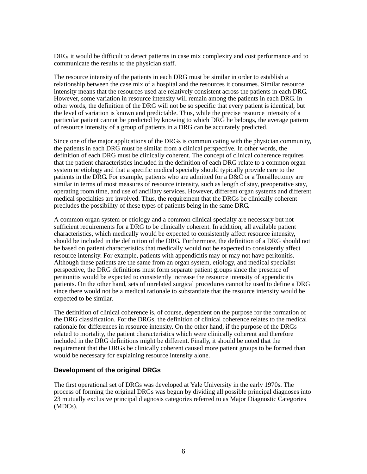DRG, it would be difficult to detect patterns in case mix complexity and cost performance and to communicate the results to the physician staff.

The resource intensity of the patients in each DRG must be similar in order to establish a relationship between the case mix of a hospital and the resources it consumes. Similar resource intensity means that the resources used are relatively consistent across the patients in each DRG. However, some variation in resource intensity will remain among the patients in each DRG. In other words, the definition of the DRG will not be so specific that every patient is identical, but the level of variation is known and predictable. Thus, while the precise resource intensity of a particular patient cannot be predicted by knowing to which DRG he belongs, the average pattern of resource intensity of a group of patients in a DRG can be accurately predicted.

Since one of the major applications of the DRGs is communicating with the physician community, the patients in each DRG must be similar from a clinical perspective. In other words, the definition of each DRG must be clinically coherent. The concept of clinical coherence requires that the patient characteristics included in the definition of each DRG relate to a common organ system or etiology and that a specific medical specialty should typically provide care to the patients in the DRG. For example, patients who are admitted for a D&C or a Tonsillectomy are similar in terms of most measures of resource intensity, such as length of stay, preoperative stay, operating room time, and use of ancillary services. However, different organ systems and different medical specialties are involved. Thus, the requirement that the DRGs be clinically coherent precludes the possibility of these types of patients being in the same DRG.

A common organ system or etiology and a common clinical specialty are necessary but not sufficient requirements for a DRG to be clinically coherent. In addition, all available patient characteristics, which medically would be expected to consistently affect resource intensity, should be included in the definition of the DRG. Furthermore, the definition of a DRG should not be based on patient characteristics that medically would not be expected to consistently affect resource intensity. For example, patients with appendicitis may or may not have peritonitis. Although these patients are the same from an organ system, etiology, and medical specialist perspective, the DRG definitions must form separate patient groups since the presence of peritonitis would be expected to consistently increase the resource intensity of appendicitis patients. On the other hand, sets of unrelated surgical procedures cannot be used to define a DRG since there would not be a medical rationale to substantiate that the resource intensity would be expected to be similar.

The definition of clinical coherence is, of course, dependent on the purpose for the formation of the DRG classification. For the DRGs, the definition of clinical coherence relates to the medical rationale for differences in resource intensity. On the other hand, if the purpose of the DRGs related to mortality, the patient characteristics which were clinically coherent and therefore included in the DRG definitions might be different. Finally, it should be noted that the requirement that the DRGs be clinically coherent caused more patient groups to be formed than would be necessary for explaining resource intensity alone.

#### **Development of the original DRGs**

The first operational set of DRGs was developed at Yale University in the early 1970s. The process of forming the original DRGs was begun by dividing all possible principal diagnoses into 23 mutually exclusive principal diagnosis categories referred to as Major Diagnostic Categories (MDCs).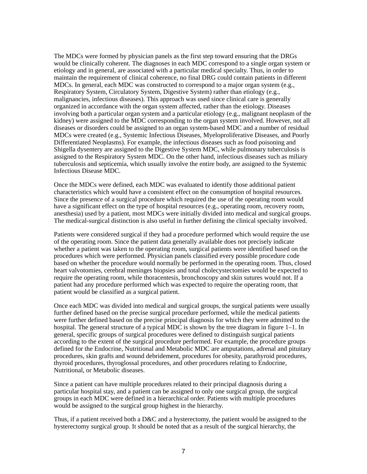The MDCs were formed by physician panels as the first step toward ensuring that the DRGs would be clinically coherent. The diagnoses in each MDC correspond to a single organ system or etiology and in general, are associated with a particular medical specialty. Thus, in order to maintain the requirement of clinical coherence, no final DRG could contain patients in different MDCs. In general, each MDC was constructed to correspond to a major organ system (e.g., Respiratory System, Circulatory System, Digestive System) rather than etiology (e.g., malignancies, infectious diseases). This approach was used since clinical care is generally organized in accordance with the organ system affected, rather than the etiology. Diseases involving both a particular organ system and a particular etiology (e.g., malignant neoplasm of the kidney) were assigned to the MDC corresponding to the organ system involved. However, not all diseases or disorders could be assigned to an organ system-based MDC and a number of residual MDCs were created (e.g., Systemic Infectious Diseases, Myeloproliferative Diseases, and Poorly Differentiated Neoplasms). For example, the infectious diseases such as food poisoning and Shigella dysentery are assigned to the Digestive System MDC, while pulmonary tuberculosis is assigned to the Respiratory System MDC. On the other hand, infectious diseases such as miliary tuberculosis and septicemia, which usually involve the entire body, are assigned to the Systemic Infectious Disease MDC.

Once the MDCs were defined, each MDC was evaluated to identify those additional patient characteristics which would have a consistent effect on the consumption of hospital resources. Since the presence of a surgical procedure which required the use of the operating room would have a significant effect on the type of hospital resources (e.g., operating room, recovery room, anesthesia) used by a patient, most MDCs were initially divided into medical and surgical groups. The medical-surgical distinction is also useful in further defining the clinical specialty involved.

Patients were considered surgical if they had a procedure performed which would require the use of the operating room. Since the patient data generally available does not precisely indicate whether a patient was taken to the operating room, surgical patients were identified based on the procedures which were performed. Physician panels classified every possible procedure code based on whether the procedure would normally be performed in the operating room. Thus, closed heart valvotomies, cerebral meninges biopsies and total cholecystectomies would be expected to require the operating room, while thoracentesis, bronchoscopy and skin sutures would not. If a patient had any procedure performed which was expected to require the operating room, that patient would be classified as a surgical patient.

Once each MDC was divided into medical and surgical groups, the surgical patients were usually further defined based on the precise surgical procedure performed, while the medical patients were further defined based on the precise principal diagnosis for which they were admitted to the hospital. The general structure of a typical MDC is shown by the tree diagram in figure 1–1. In general, specific groups of surgical procedures were defined to distinguish surgical patients according to the extent of the surgical procedure performed. For example, the procedure groups defined for the Endocrine, Nutritional and Metabolic MDC are amputations, adrenal and pituitary procedures, skin grafts and wound debridement, procedures for obesity, parathyroid procedures, thyroid procedures, thyroglossal procedures, and other procedures relating to Endocrine, Nutritional, or Metabolic diseases.

Since a patient can have multiple procedures related to their principal diagnosis during a particular hospital stay, and a patient can be assigned to only one surgical group, the surgical groups in each MDC were defined in a hierarchical order. Patients with multiple procedures would be assigned to the surgical group highest in the hierarchy.

Thus, if a patient received both a D&C and a hysterectomy, the patient would be assigned to the hysterectomy surgical group. It should be noted that as a result of the surgical hierarchy, the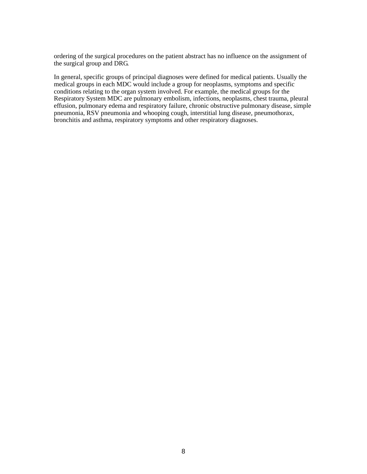ordering of the surgical procedures on the patient abstract has no influence on the assignment of the surgical group and DRG.

In general, specific groups of principal diagnoses were defined for medical patients. Usually the medical groups in each MDC would include a group for neoplasms, symptoms and specific conditions relating to the organ system involved. For example, the medical groups for the Respiratory System MDC are pulmonary embolism, infections, neoplasms, chest trauma, pleural effusion, pulmonary edema and respiratory failure, chronic obstructive pulmonary disease, simple pneumonia, RSV pneumonia and whooping cough, interstitial lung disease, pneumothorax, bronchitis and asthma, respiratory symptoms and other respiratory diagnoses.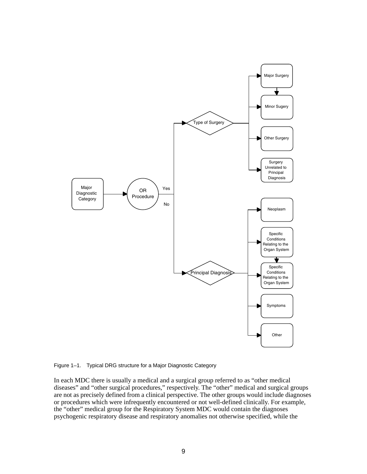

Figure 1–1. Typical DRG structure for a Major Diagnostic Category

In each MDC there is usually a medical and a surgical group referred to as "other medical diseases" and "other surgical procedures," respectively. The "other" medical and surgical groups are not as precisely defined from a clinical perspective. The other groups would include diagnoses or procedures which were infrequently encountered or not well-defined clinically. For example, the "other" medical group for the Respiratory System MDC would contain the diagnoses psychogenic respiratory disease and respiratory anomalies not otherwise specified, while the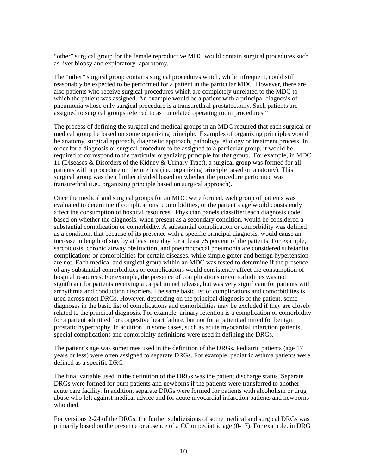"other" surgical group for the female reproductive MDC would contain surgical procedures such as liver biopsy and exploratory laparotomy.

The "other" surgical group contains surgical procedures which, while infrequent, could still reasonably be expected to be performed for a patient in the particular MDC. However, there are also patients who receive surgical procedures which are completely unrelated to the MDC to which the patient was assigned. An example would be a patient with a principal diagnosis of pneumonia whose only surgical procedure is a transurethral prostatectomy. Such patients are assigned to surgical groups referred to as "unrelated operating room procedures."

The process of defining the surgical and medical groups in an MDC required that each surgical or medical group be based on some organizing principle. Examples of organizing principles would be anatomy, surgical approach, diagnostic approach, pathology, etiology or treatment process. In order for a diagnosis or surgical procedure to be assigned to a particular group, it would be required to correspond to the particular organizing principle for that group. For example, in MDC 11 (Diseases & Disorders of the Kidney & Urinary Tract), a surgical group was formed for all patients with a procedure on the urethra (i.e., organizing principle based on anatomy). This surgical group was then further divided based on whether the procedure performed was transurethral (i.e., organizing principle based on surgical approach).

Once the medical and surgical groups for an MDC were formed, each group of patients was evaluated to determine if complications, comorbidities, or the patient's age would consistently affect the consumption of hospital resources. Physician panels classified each diagnosis code based on whether the diagnosis, when present as a secondary condition, would be considered a substantial complication or comorbidity. A substantial complication or comorbidity was defined as a condition, that because of its presence with a specific principal diagnosis, would cause an increase in length of stay by at least one day for at least 75 percent of the patients. For example, sarcoidosis, chronic airway obstruction, and pneumococcal pneumonia are considered substantial complications or comorbidities for certain diseases, while simple goiter and benign hypertension are not. Each medical and surgical group within an MDC was tested to determine if the presence of any substantial comorbidities or complications would consistently affect the consumption of hospital resources. For example, the presence of complications or comorbidities was not significant for patients receiving a carpal tunnel release, but was very significant for patients with arrhythmia and conduction disorders. The same basic list of complications and comorbidities is used across most DRGs. However, depending on the principal diagnosis of the patient, some diagnoses in the basic list of complications and comorbidities may be excluded if they are closely related to the principal diagnosis. For example, urinary retention is a complication or comorbidity for a patient admitted for congestive heart failure, but not for a patient admitted for benign prostatic hypertrophy. In addition, in some cases, such as acute myocardial infarction patients, special complications and comorbidity definitions were used in defining the DRGs.

The patient's age was sometimes used in the definition of the DRGs. Pediatric patients (age 17 years or less) were often assigned to separate DRGs. For example, pediatric asthma patients were defined as a specific DRG.

The final variable used in the definition of the DRGs was the patient discharge status. Separate DRGs were formed for burn patients and newborns if the patients were transferred to another acute care facility. In addition, separate DRGs were formed for patients with alcoholism or drug abuse who left against medical advice and for acute myocardial infarction patients and newborns who died.

For versions 2-24 of the DRGs, the further subdivisions of some medical and surgical DRGs was primarily based on the presence or absence of a CC or pediatric age (0-17). For example, in DRG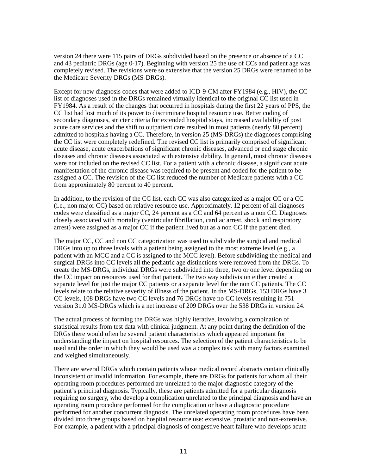version 24 there were 115 pairs of DRGs subdivided based on the presence or absence of a CC and 43 pediatric DRGs (age 0-17). Beginning with version 25 the use of CCs and patient age was completely revised. The revisions were so extensive that the version 25 DRGs were renamed to be the Medicare Severity DRGs (MS-DRGs).

Except for new diagnosis codes that were added to ICD-9-CM after FY1984 (e.g., HIV), the CC list of diagnoses used in the DRGs remained virtually identical to the original CC list used in FY1984. As a result of the changes that occurred in hospitals during the first 22 years of PPS, the CC list had lost much of its power to discriminate hospital resource use. Better coding of secondary diagnoses, stricter criteria for extended hospital stays, increased availability of post acute care services and the shift to outpatient care resulted in most patients (nearly 80 percent) admitted to hospitals having a CC. Therefore, in version 25 (MS-DRGs) the diagnoses comprising the CC list were completely redefined. The revised CC list is primarily comprised of significant acute disease, acute exacerbations of significant chronic diseases, advanced or end stage chronic diseases and chronic diseases associated with extensive debility. In general, most chronic diseases were not included on the revised CC list. For a patient with a chronic disease, a significant acute manifestation of the chronic disease was required to be present and coded for the patient to be assigned a CC. The revision of the CC list reduced the number of Medicare patients with a CC from approximately 80 percent to 40 percent.

In addition, to the revision of the CC list, each CC was also categorized as a major CC or a CC (i.e., non major CC) based on relative resource use. Approximately, 12 percent of all diagnoses codes were classified as a major CC, 24 percent as a CC and 64 percent as a non CC. Diagnoses closely associated with mortality (ventricular fibrillation, cardiac arrest, shock and respiratory arrest) were assigned as a major CC if the patient lived but as a non CC if the patient died.

The major CC, CC and non CC categorization was used to subdivide the surgical and medical DRGs into up to three levels with a patient being assigned to the most extreme level (e.g., a patient with an MCC and a CC is assigned to the MCC level). Before subdividing the medical and surgical DRGs into CC levels all the pediatric age distinctions were removed from the DRGs. To create the MS-DRGs, individual DRGs were subdivided into three, two or one level depending on the CC impact on resources used for that patient. The two way subdivision either created a separate level for just the major CC patients or a separate level for the non CC patients. The CC levels relate to the relative severity of illness of the patient. In the MS-DRGs, 153 DRGs have 3 CC levels, 108 DRGs have two CC levels and 76 DRGs have no CC levels resulting in 751 version 31.0 MS-DRGs which is a net increase of 209 DRGs over the 538 DRGs in version 24.

The actual process of forming the DRGs was highly iterative, involving a combination of statistical results from test data with clinical judgment. At any point during the definition of the DRGs there would often be several patient characteristics which appeared important for understanding the impact on hospital resources. The selection of the patient characteristics to be used and the order in which they would be used was a complex task with many factors examined and weighed simultaneously.

There are several DRGs which contain patients whose medical record abstracts contain clinically inconsistent or invalid information. For example, there are DRGs for patients for whom all their operating room procedures performed are unrelated to the major diagnostic category of the patient's principal diagnosis. Typically, these are patients admitted for a particular diagnosis requiring no surgery, who develop a complication unrelated to the principal diagnosis and have an operating room procedure performed for the complication or have a diagnostic procedure performed for another concurrent diagnosis. The unrelated operating room procedures have been divided into three groups based on hospital resource use: extensive, prostatic and non-extensive. For example, a patient with a principal diagnosis of congestive heart failure who develops acute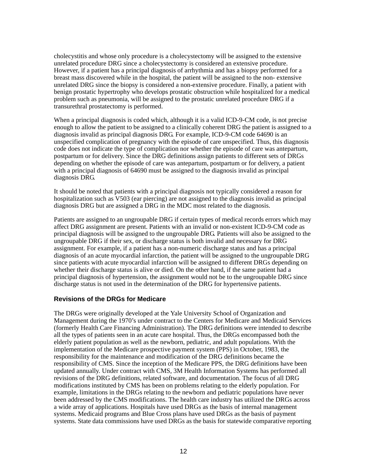cholecystitis and whose only procedure is a cholecystectomy will be assigned to the extensive unrelated procedure DRG since a cholecystectomy is considered an extensive procedure. However, if a patient has a principal diagnosis of arrhythmia and has a biopsy performed for a breast mass discovered while in the hospital, the patient will be assigned to the non- extensive unrelated DRG since the biopsy is considered a non-extensive procedure. Finally, a patient with benign prostatic hypertrophy who develops prostatic obstruction while hospitalized for a medical problem such as pneumonia, will be assigned to the prostatic unrelated procedure DRG if a transurethral prostatectomy is performed.

When a principal diagnosis is coded which, although it is a valid ICD-9-CM code, is not precise enough to allow the patient to be assigned to a clinically coherent DRG the patient is assigned to a diagnosis invalid as principal diagnosis DRG. For example, ICD-9-CM code 64690 is an unspecified complication of pregnancy with the episode of care unspecified. Thus, this diagnosis code does not indicate the type of complication nor whether the episode of care was antepartum, postpartum or for delivery. Since the DRG definitions assign patients to different sets of DRGs depending on whether the episode of care was antepartum, postpartum or for delivery, a patient with a principal diagnosis of 64690 must be assigned to the diagnosis invalid as principal diagnosis DRG.

It should be noted that patients with a principal diagnosis not typically considered a reason for hospitalization such as  $V503$  (ear piercing) are not assigned to the diagnosis invalid as principal diagnosis DRG but are assigned a DRG in the MDC most related to the diagnosis.

Patients are assigned to an ungroupable DRG if certain types of medical records errors which may affect DRG assignment are present. Patients with an invalid or non-existent ICD-9-CM code as principal diagnosis will be assigned to the ungroupable DRG. Patients will also be assigned to the ungroupable DRG if their sex, or discharge status is both invalid and necessary for DRG assignment. For example, if a patient has a non-numeric discharge status and has a principal diagnosis of an acute myocardial infarction, the patient will be assigned to the ungroupable DRG since patients with acute myocardial infarction will be assigned to different DRGs depending on whether their discharge status is alive or died. On the other hand, if the same patient had a principal diagnosis of hypertension, the assignment would not be to the ungroupable DRG since discharge status is not used in the determination of the DRG for hypertensive patients.

#### **Revisions of the DRGs for Medicare**

The DRGs were originally developed at the Yale University School of Organization and Management during the 1970's under contract to the Centers for Medicare and Medicaid Services (formerly Health Care Financing Administration). The DRG definitions were intended to describe all the types of patients seen in an acute care hospital. Thus, the DRGs encompassed both the elderly patient population as well as the newborn, pediatric, and adult populations. With the implementation of the Medicare prospective payment system (PPS) in October, 1983, the responsibility for the maintenance and modification of the DRG definitions became the responsibility of CMS. Since the inception of the Medicare PPS, the DRG definitions have been updated annually. Under contract with CMS, 3M Health Information Systems has performed all revisions of the DRG definitions, related software, and documentation. The focus of all DRG modifications instituted by CMS has been on problems relating to the elderly population. For example, limitations in the DRGs relating to the newborn and pediatric populations have never been addressed by the CMS modifications. The health care industry has utilized the DRGs across a wide array of applications. Hospitals have used DRGs as the basis of internal management systems. Medicaid programs and Blue Cross plans have used DRGs as the basis of payment systems. State data commissions have used DRGs as the basis for statewide comparative reporting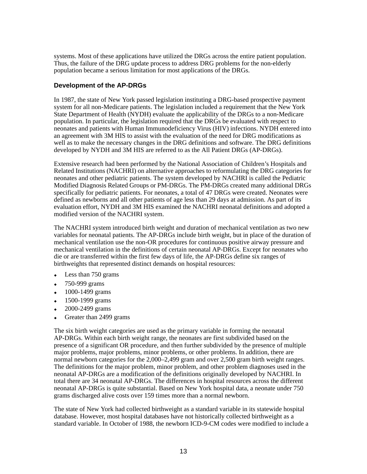systems. Most of these applications have utilized the DRGs across the entire patient population. Thus, the failure of the DRG update process to address DRG problems for the non-elderly population became a serious limitation for most applications of the DRGs.

## **Development of the AP-DRGs**

In 1987, the state of New York passed legislation instituting a DRG-based prospective payment system for all non-Medicare patients. The legislation included a requirement that the New York State Department of Health (NYDH) evaluate the applicability of the DRGs to a non-Medicare population. In particular, the legislation required that the DRGs be evaluated with respect to neonates and patients with Human Immunodeficiency Virus (HIV) infections. NYDH entered into an agreement with 3M HIS to assist with the evaluation of the need for DRG modifications as well as to make the necessary changes in the DRG definitions and software. The DRG definitions developed by NYDH and 3M HIS are referred to as the All Patient DRGs (AP-DRGs).

Extensive research had been performed by the National Association of Children's Hospitals and Related Institutions (NACHRI) on alternative approaches to reformulating the DRG categories for neonates and other pediatric patients. The system developed by NACHRI is called the Pediatric Modified Diagnosis Related Groups or PM-DRGs. The PM-DRGs created many additional DRGs specifically for pediatric patients. For neonates, a total of 47 DRGs were created. Neonates were defined as newborns and all other patients of age less than 29 days at admission. As part of its evaluation effort, NYDH and 3M HIS examined the NACHRI neonatal definitions and adopted a modified version of the NACHRI system.

The NACHRI system introduced birth weight and duration of mechanical ventilation as two new variables for neonatal patients. The AP-DRGs include birth weight, but in place of the duration of mechanical ventilation use the non-OR procedures for continuous positive airway pressure and mechanical ventilation in the definitions of certain neonatal AP-DRGs. Except for neonates who die or are transferred within the first few days of life, the AP-DRGs define six ranges of birthweights that represented distinct demands on hospital resources:

- $\leftarrow$  Less than 750 grams
- $\leftarrow$  750-999 grams
- $\div$  1000-1499 grams
- $\div$  1500-1999 grams
- 2000-2499 grams
- Greater than 2499 grams

The six birth weight categories are used as the primary variable in forming the neonatal AP-DRGs. Within each birth weight range, the neonates are first subdivided based on the presence of a significant OR procedure, and then further subdivided by the presence of multiple major problems, major problems, minor problems, or other problems. In addition, there are normal newborn categories for the 2,000–2,499 gram and over 2,500 gram birth weight ranges. The definitions for the major problem, minor problem, and other problem diagnoses used in the neonatal AP-DRGs are a modification of the definitions originally developed by NACHRI. In total there are 34 neonatal AP-DRGs. The differences in hospital resources across the different neonatal AP-DRGs is quite substantial. Based on New York hospital data, a neonate under 750 grams discharged alive costs over 159 times more than a normal newborn.

The state of New York had collected birthweight as a standard variable in its statewide hospital database. However, most hospital databases have not historically collected birthweight as a standard variable. In October of 1988, the newborn ICD-9-CM codes were modified to include a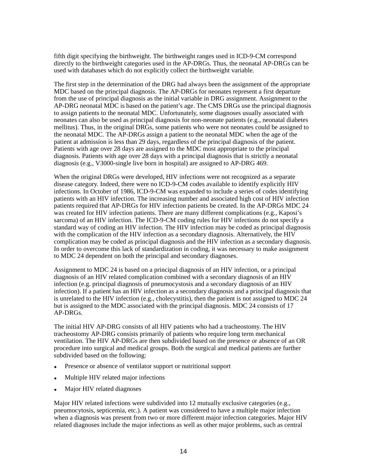fifth digit specifying the birthweight. The birthweight ranges used in ICD-9-CM correspond directly to the birthweight categories used in the AP-DRGs. Thus, the neonatal AP-DRGs can be used with databases which do not explicitly collect the birthweight variable.

The first step in the determination of the DRG had always been the assignment of the appropriate MDC based on the principal diagnosis. The AP-DRGs for neonates represent a first departure from the use of principal diagnosis as the initial variable in DRG assignment. Assignment to the AP-DRG neonatal MDC is based on the patient's age. The CMS DRGs use the principal diagnosis to assign patients to the neonatal MDC. Unfortunately, some diagnoses usually associated with neonates can also be used as principal diagnosis for non-neonate patients (e.g., neonatal diabetes mellitus). Thus, in the original DRGs, some patients who were not neonates could be assigned to the neonatal MDC. The AP-DRGs assign a patient to the neonatal MDC when the age of the patient at admission is less than 29 days, regardless of the principal diagnosis of the patient. Patients with age over 28 days are assigned to the MDC most appropriate to the principal diagnosis. Patients with age over 28 days with a principal diagnosis that is strictly a neonatal diagnosis (e.g., V3000-single live born in hospital) are assigned to AP-DRG 469.

When the original DRGs were developed, HIV infections were not recognized as a separate disease category. Indeed, there were no ICD-9-CM codes available to identify explicitly HIV infections. In October of 1986, ICD-9-CM was expanded to include a series of codes identifying patients with an HIV infection. The increasing number and associated high cost of HIV infection patients required that AP-DRGs for HIV infection patients be created. In the AP-DRGs MDC 24 was created for HIV infection patients. There are many different complications (e.g., Kaposi's sarcoma) of an HIV infection. The ICD-9-CM coding rules for HIV infections do not specify a standard way of coding an HIV infection. The HIV infection may be coded as principal diagnosis with the complication of the HIV infection as a secondary diagnosis. Alternatively, the HIV complication may be coded as principal diagnosis and the HIV infection as a secondary diagnosis. In order to overcome this lack of standardization in coding, it was necessary to make assignment to MDC 24 dependent on both the principal and secondary diagnoses.

Assignment to MDC 24 is based on a principal diagnosis of an HIV infection, or a principal diagnosis of an HIV related complication combined with a secondary diagnosis of an HIV infection (e.g. principal diagnosis of pneumocystosis and a secondary diagnosis of an HIV infection). If a patient has an HIV infection as a secondary diagnosis and a principal diagnosis that is unrelated to the HIV infection (e.g., cholecystitis), then the patient is not assigned to MDC 24 but is assigned to the MDC associated with the principal diagnosis. MDC 24 consists of 17 AP-DRGs.

The initial HIV AP-DRG consists of all HIV patients who had a tracheostomy. The HIV tracheostomy AP-DRG consists primarily of patients who require long term mechanical ventilation. The HIV AP-DRGs are then subdivided based on the presence or absence of an OR procedure into surgical and medical groups. Both the surgical and medical patients are further subdivided based on the following:

- Presence or absence of ventilator support or nutritional support
- Multiple HIV related major infections
- Major HIV related diagnoses

Major HIV related infections were subdivided into 12 mutually exclusive categories (e.g., pneumocytosis, septicemia, etc.). A patient was considered to have a multiple major infection when a diagnosis was present from two or more different major infection categories. Major HIV related diagnoses include the major infections as well as other major problems, such as central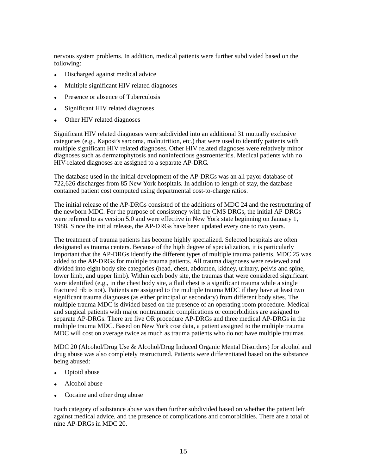nervous system problems. In addition, medical patients were further subdivided based on the following:

- Discharged against medical advice
- Multiple significant HIV related diagnoses
- Presence or absence of Tuberculosis
- Significant HIV related diagnoses
- Other HIV related diagnoses

Significant HIV related diagnoses were subdivided into an additional 31 mutually exclusive categories (e.g., Kaposi's sarcoma, malnutrition, etc.) that were used to identify patients with multiple significant HIV related diagnoses. Other HIV related diagnoses were relatively minor diagnoses such as dermatophytosis and noninfectious gastroenteritis. Medical patients with no HIV-related diagnoses are assigned to a separate AP-DRG.

The database used in the initial development of the AP-DRGs was an all payor database of 722,626 discharges from 85 New York hospitals. In addition to length of stay, the database contained patient cost computed using departmental cost-to-charge ratios.

The initial release of the AP-DRGs consisted of the additions of MDC 24 and the restructuring of the newborn MDC. For the purpose of consistency with the CMS DRGs, the initial AP-DRGs were referred to as version 5.0 and were effective in New York state beginning on January 1, 1988. Since the initial release, the AP-DRGs have been updated every one to two years.

The treatment of trauma patients has become highly specialized. Selected hospitals are often designated as trauma centers. Because of the high degree of specialization, it is particularly important that the AP-DRGs identify the different types of multiple trauma patients. MDC 25 was added to the AP-DRGs for multiple trauma patients. All trauma diagnoses were reviewed and divided into eight body site categories (head, chest, abdomen, kidney, urinary, pelvis and spine, lower limb, and upper limb). Within each body site, the traumas that were considered significant were identified (e.g., in the chest body site, a flail chest is a significant trauma while a single fractured rib is not). Patients are assigned to the multiple trauma MDC if they have at least two significant trauma diagnoses (as either principal or secondary) from different body sites. The multiple trauma MDC is divided based on the presence of an operating room procedure. Medical and surgical patients with major nontraumatic complications or comorbidities are assigned to separate AP-DRGs. There are five OR procedure AP-DRGs and three medical AP-DRGs in the multiple trauma MDC. Based on New York cost data, a patient assigned to the multiple trauma MDC will cost on average twice as much as trauma patients who do not have multiple traumas.

MDC 20 (Alcohol/Drug Use & Alcohol/Drug Induced Organic Mental Disorders) for alcohol and drug abuse was also completely restructured. Patients were differentiated based on the substance being abused:

- Opioid abuse
- Alcohol abuse
- Cocaine and other drug abuse

Each category of substance abuse was then further subdivided based on whether the patient left against medical advice, and the presence of complications and comorbidities. There are a total of nine AP-DRGs in MDC 20.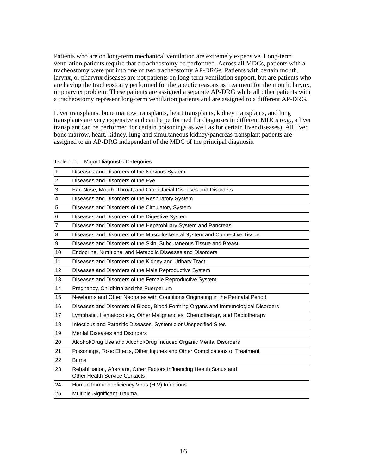Patients who are on long-term mechanical ventilation are extremely expensive. Long-term ventilation patients require that a tracheostomy be performed. Across all MDCs, patients with a tracheostomy were put into one of two tracheostomy AP-DRGs. Patients with certain mouth, larynx, or pharynx diseases are not patients on long-term ventilation support, but are patients who are having the tracheostomy performed for therapeutic reasons as treatment for the mouth, larynx, or pharynx problem. These patients are assigned a separate AP-DRG while all other patients with a tracheostomy represent long-term ventilation patients and are assigned to a different AP-DRG.

Liver transplants, bone marrow transplants, heart transplants, kidney transplants, and lung transplants are very expensive and can be performed for diagnoses in different MDCs (e.g., a liver transplant can be performed for certain poisonings as well as for certain liver diseases). All liver, bone marrow, heart, kidney, lung and simultaneous kidney/pancreas transplant patients are assigned to an AP-DRG independent of the MDC of the principal diagnosis.

| $\overline{1}$          | Diseases and Disorders of the Nervous System                                                                   |
|-------------------------|----------------------------------------------------------------------------------------------------------------|
| $\overline{2}$          | Diseases and Disorders of the Eye                                                                              |
| $\overline{3}$          | Ear, Nose, Mouth, Throat, and Craniofacial Diseases and Disorders                                              |
| $\overline{\mathbf{4}}$ | Diseases and Disorders of the Respiratory System                                                               |
| $\overline{5}$          | Diseases and Disorders of the Circulatory System                                                               |
| $6\overline{6}$         | Diseases and Disorders of the Digestive System                                                                 |
| $\overline{7}$          | Diseases and Disorders of the Hepatobiliary System and Pancreas                                                |
| $\bf 8$                 | Diseases and Disorders of the Musculoskeletal System and Connective Tissue                                     |
| 9                       | Diseases and Disorders of the Skin, Subcutaneous Tissue and Breast                                             |
| 10                      | Endocrine, Nutritional and Metabolic Diseases and Disorders                                                    |
| 11                      | Diseases and Disorders of the Kidney and Urinary Tract                                                         |
| 12                      | Diseases and Disorders of the Male Reproductive System                                                         |
| 13                      | Diseases and Disorders of the Female Reproductive System                                                       |
| 14                      | Pregnancy, Childbirth and the Puerperium                                                                       |
| 15                      | Newborns and Other Neonates with Conditions Originating in the Perinatal Period                                |
| 16                      | Diseases and Disorders of Blood, Blood Forming Organs and Immunological Disorders                              |
| 17                      | Lymphatic, Hematopoietic, Other Malignancies, Chemotherapy and Radiotherapy                                    |
| 18                      | Infectious and Parasitic Diseases, Systemic or Unspecified Sites                                               |
| 19                      | <b>Mental Diseases and Disorders</b>                                                                           |
| 20                      | Alcohol/Drug Use and Alcohol/Drug Induced Organic Mental Disorders                                             |
| 21                      | Poisonings, Toxic Effects, Other Injuries and Other Complications of Treatment                                 |
| 22                      | <b>Burns</b>                                                                                                   |
| 23                      | Rehabilitation, Aftercare, Other Factors Influencing Health Status and<br><b>Other Health Service Contacts</b> |
| 24                      | Human Immunodeficiency Virus (HIV) Infections                                                                  |
| 25                      | Multiple Significant Trauma                                                                                    |

Table 1–1. Major Diagnostic Categories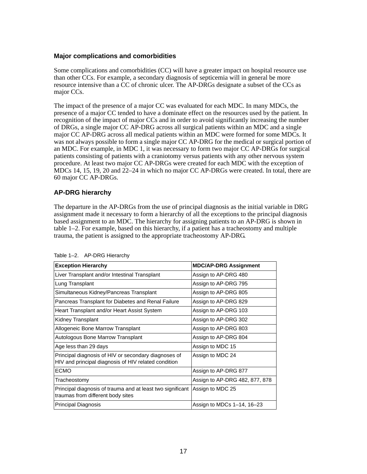## **Major complications and comorbidities**

Some complications and comorbidities (CC) will have a greater impact on hospital resource use than other CCs. For example, a secondary diagnosis of septicemia will in general be more resource intensive than a CC of chronic ulcer. The AP-DRGs designate a subset of the CCs as major CCs.

The impact of the presence of a major CC was evaluated for each MDC. In many MDCs, the presence of a major CC tended to have a dominate effect on the resources used by the patient. In recognition of the impact of major CCs and in order to avoid significantly increasing the number of DRGs, a single major CC AP-DRG across all surgical patients within an MDC and a single major CC AP-DRG across all medical patients within an MDC were formed for some MDCs. It was not always possible to form a single major CC AP-DRG for the medical or surgical portion of an MDC. For example, in MDC 1, it was necessary to form two major CC AP-DRGs for surgical patients consisting of patients with a craniotomy versus patients with any other nervous system procedure. At least two major CC AP-DRGs were created for each MDC with the exception of MDCs 14, 15, 19, 20 and 22–24 in which no major CC AP-DRGs were created. In total, there are 60 major CC AP-DRGs.

# **AP-DRG hierarchy**

The departure in the AP-DRGs from the use of principal diagnosis as the initial variable in DRG assignment made it necessary to form a hierarchy of all the exceptions to the principal diagnosis based assignment to an MDC. The hierarchy for assigning patients to an AP-DRG is shown in table 1–2. For example, based on this hierarchy, if a patient has a tracheostomy and multiple trauma, the patient is assigned to the appropriate tracheostomy AP-DRG.

| <b>Exception Hierarchy</b>                                                                                   | <b>MDC/AP-DRG Assignment</b>    |
|--------------------------------------------------------------------------------------------------------------|---------------------------------|
| Liver Transplant and/or Intestinal Transplant                                                                | Assign to AP-DRG 480            |
| Lung Transplant                                                                                              | Assign to AP-DRG 795            |
| Simultaneous Kidney/Pancreas Transplant                                                                      | Assign to AP-DRG 805            |
| Pancreas Transplant for Diabetes and Renal Failure                                                           | Assign to AP-DRG 829            |
| Heart Transplant and/or Heart Assist System                                                                  | Assign to AP-DRG 103            |
| Kidney Transplant                                                                                            | Assign to AP-DRG 302            |
| Allogeneic Bone Marrow Transplant                                                                            | Assign to AP-DRG 803            |
| Autologous Bone Marrow Transplant                                                                            | Assign to AP-DRG 804            |
| Age less than 29 days                                                                                        | Assign to MDC 15                |
| Principal diagnosis of HIV or secondary diagnoses of<br>HIV and principal diagnosis of HIV related condition | Assign to MDC 24                |
| <b>ECMO</b>                                                                                                  | Assign to AP-DRG 877            |
| Tracheostomy                                                                                                 | Assign to AP-DRG 482, 877, 878  |
| Principal diagnosis of trauma and at least two significant<br>traumas from different body sites              | Assign to MDC 25                |
| Principal Diagnosis                                                                                          | Assign to MDCs $1-14$ , $16-23$ |

Table 1–2. AP-DRG Hierarchy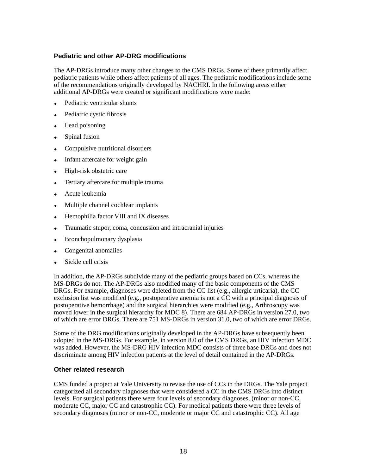# **Pediatric and other AP-DRG modifications**

The AP-DRGs introduce many other changes to the CMS DRGs. Some of these primarily affect pediatric patients while others affect patients of all ages. The pediatric modifications include some of the recommendations originally developed by NACHRI. In the following areas either additional AP-DRGs were created or significant modifications were made:

- Pediatric ventricular shunts
- Pediatric cystic fibrosis
- Lead poisoning
- Spinal fusion
- Compulsive nutritional disorders
- Infant aftercare for weight gain
- High-risk obstetric care
- Tertiary aftercare for multiple trauma
- Acute leukemia
- Multiple channel cochlear implants
- Hemophilia factor VIII and IX diseases
- Traumatic stupor, coma, concussion and intracranial injuries
- Bronchopulmonary dysplasia
- Congenital anomalies
- Sickle cell crisis

In addition, the AP-DRGs subdivide many of the pediatric groups based on CCs, whereas the MS-DRGs do not. The AP-DRGs also modified many of the basic components of the CMS DRGs. For example, diagnoses were deleted from the CC list (e.g., allergic urticaria), the CC exclusion list was modified (e.g., postoperative anemia is not a CC with a principal diagnosis of postoperative hemorrhage) and the surgical hierarchies were modified (e.g., Arthroscopy was moved lower in the surgical hierarchy for MDC 8). There are 684 AP-DRGs in version 27.0, two of which are error DRGs. There are 751 MS-DRGs in version 31.0, two of which are error DRGs.

Some of the DRG modifications originally developed in the AP-DRGs have subsequently been adopted in the MS-DRGs. For example, in version 8.0 of the CMS DRGs, an HIV infection MDC was added. However, the MS-DRG HIV infection MDC consists of three base DRGs and does not discriminate among HIV infection patients at the level of detail contained in the AP-DRGs.

#### **Other related research**

CMS funded a project at Yale University to revise the use of CCs in the DRGs. The Yale project categorized all secondary diagnoses that were considered a CC in the CMS DRGs into distinct levels. For surgical patients there were four levels of secondary diagnoses, (minor or non-CC, moderate CC, major CC and catastrophic CC). For medical patients there were three levels of secondary diagnoses (minor or non-CC, moderate or major CC and catastrophic CC). All age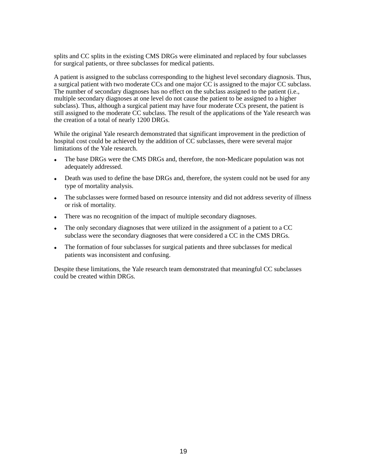splits and CC splits in the existing CMS DRGs were eliminated and replaced by four subclasses for surgical patients, or three subclasses for medical patients.

A patient is assigned to the subclass corresponding to the highest level secondary diagnosis. Thus, a surgical patient with two moderate CCs and one major CC is assigned to the major CC subclass. The number of secondary diagnoses has no effect on the subclass assigned to the patient (i.e., multiple secondary diagnoses at one level do not cause the patient to be assigned to a higher subclass). Thus, although a surgical patient may have four moderate CCs present, the patient is still assigned to the moderate CC subclass. The result of the applications of the Yale research was the creation of a total of nearly 1200 DRGs.

While the original Yale research demonstrated that significant improvement in the prediction of hospital cost could be achieved by the addition of CC subclasses, there were several major limitations of the Yale research.

- The base DRGs were the CMS DRGs and, therefore, the non-Medicare population was not adequately addressed.
- Death was used to define the base DRGs and, therefore, the system could not be used for any type of mortality analysis.
- The subclasses were formed based on resource intensity and did not address severity of illness or risk of mortality.
- There was no recognition of the impact of multiple secondary diagnoses.
- $\bullet$  The only secondary diagnoses that were utilized in the assignment of a patient to a CC subclass were the secondary diagnoses that were considered a CC in the CMS DRGs.
- The formation of four subclasses for surgical patients and three subclasses for medical patients was inconsistent and confusing.

Despite these limitations, the Yale research team demonstrated that meaningful CC subclasses could be created within DRGs.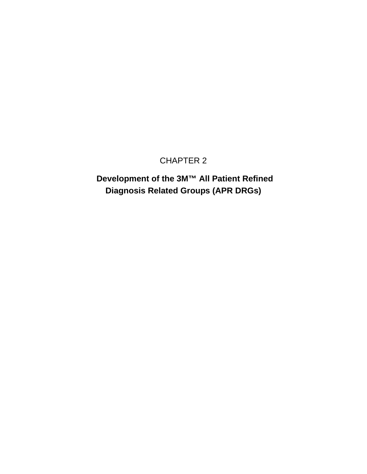# CHAPTER 2

# <span id="page-26-1"></span><span id="page-26-0"></span>2**Development of the 3M™ All Patient Refined Diagnosis Related Groups (APR DRGs)**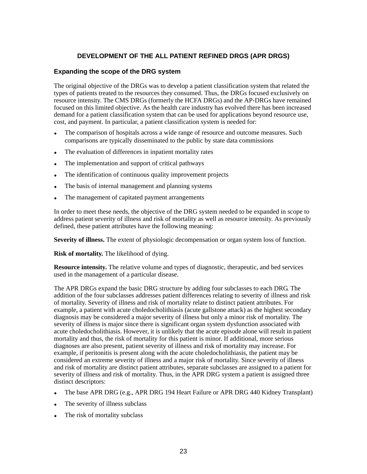# **DEVELOPMENT OF THE ALL PATIENT REFINED DRGS (APR DRGS)**

## **Expanding the scope of the DRG system**

The original objective of the DRGs was to develop a patient classification system that related the types of patients treated to the resources they consumed. Thus, the DRGs focused exclusively on resource intensity. The CMS DRGs (formerly the HCFA DRGs) and the AP-DRGs have remained focused on this limited objective. As the health care industry has evolved there has been increased demand for a patient classification system that can be used for applications beyond resource use, cost, and payment. In particular, a patient classification system is needed for:

- The comparison of hospitals across a wide range of resource and outcome measures. Such comparisons are typically disseminated to the public by state data commissions
- The evaluation of differences in inpatient mortality rates
- The implementation and support of critical pathways
- The identification of continuous quality improvement projects
- The basis of internal management and planning systems
- The management of capitated payment arrangements

In order to meet these needs, the objective of the DRG system needed to be expanded in scope to address patient severity of illness and risk of mortality as well as resource intensity. As previously defined, these patient attributes have the following meaning:

**Severity of illness.** The extent of physiologic decompensation or organ system loss of function.

**Risk of mortality.** The likelihood of dying.

**Resource intensity.** The relative volume and types of diagnostic, therapeutic, and bed services used in the management of a particular disease.

The APR DRGs expand the basic DRG structure by adding four subclasses to each DRG. The addition of the four subclasses addresses patient differences relating to severity of illness and risk of mortality. Severity of illness and risk of mortality relate to distinct patient attributes. For example, a patient with acute choledocholithiasis (acute gallstone attack) as the highest secondary diagnosis may be considered a major severity of illness but only a minor risk of mortality. The severity of illness is major since there is significant organ system dysfunction associated with acute choledocholithiasis. However, it is unlikely that the acute episode alone will result in patient mortality and thus, the risk of mortality for this patient is minor. If additional, more serious diagnoses are also present, patient severity of illness and risk of mortality may increase. For example, if peritonitis is present along with the acute choledocholithiasis, the patient may be considered an extreme severity of illness and a major risk of mortality. Since severity of illness and risk of mortality are distinct patient attributes, separate subclasses are assigned to a patient for severity of illness and risk of mortality. Thus, in the APR DRG system a patient is assigned three distinct descriptors:

- The base APR DRG (e.g., APR DRG 194 Heart Failure or APR DRG 440 Kidney Transplant)
- The severity of illness subclass
- The risk of mortality subclass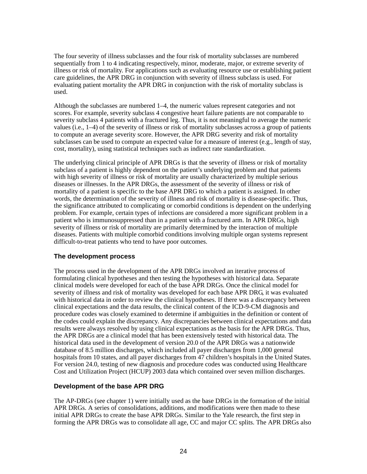The four severity of illness subclasses and the four risk of mortality subclasses are numbered sequentially from 1 to 4 indicating respectively, minor, moderate, major, or extreme severity of illness or risk of mortality. For applications such as evaluating resource use or establishing patient care guidelines, the APR DRG in conjunction with severity of illness subclass is used. For evaluating patient mortality the APR DRG in conjunction with the risk of mortality subclass is used.

Although the subclasses are numbered 1–4, the numeric values represent categories and not scores. For example, severity subclass 4 congestive heart failure patients are not comparable to severity subclass 4 patients with a fractured leg. Thus, it is not meaningful to average the numeric values (i.e., 1–4) of the severity of illness or risk of mortality subclasses across a group of patients to compute an average severity score. However, the APR DRG severity and risk of mortality subclasses can be used to compute an expected value for a measure of interest (e.g., length of stay, cost, mortality), using statistical techniques such as indirect rate standardization.

The underlying clinical principle of APR DRGs is that the severity of illness or risk of mortality subclass of a patient is highly dependent on the patient's underlying problem and that patients with high severity of illness or risk of mortality are usually characterized by multiple serious diseases or illnesses. In the APR DRGs, the assessment of the severity of illness or risk of mortality of a patient is specific to the base APR DRG to which a patient is assigned. In other words, the determination of the severity of illness and risk of mortality is disease-specific. Thus, the significance attributed to complicating or comorbid conditions is dependent on the underlying problem. For example, certain types of infections are considered a more significant problem in a patient who is immunosuppressed than in a patient with a fractured arm. In APR DRGs, high severity of illness or risk of mortality are primarily determined by the interaction of multiple diseases. Patients with multiple comorbid conditions involving multiple organ systems represent difficult-to-treat patients who tend to have poor outcomes.

### **The development process**

The process used in the development of the APR DRGs involved an iterative process of formulating clinical hypotheses and then testing the hypotheses with historical data. Separate clinical models were developed for each of the base APR DRGs. Once the clinical model for severity of illness and risk of mortality was developed for each base APR DRG, it was evaluated with historical data in order to review the clinical hypotheses. If there was a discrepancy between clinical expectations and the data results, the clinical content of the ICD-9-CM diagnosis and procedure codes was closely examined to determine if ambiguities in the definition or content of the codes could explain the discrepancy. Any discrepancies between clinical expectations and data results were always resolved by using clinical expectations as the basis for the APR DRGs. Thus, the APR DRGs are a clinical model that has been extensively tested with historical data. The historical data used in the development of version 20.0 of the APR DRGs was a nationwide database of 8.5 million discharges, which included all payer discharges from 1,000 general hospitals from 10 states, and all payer discharges from 47 children's hospitals in the United States. For version 24.0, testing of new diagnosis and procedure codes was conducted using Healthcare Cost and Utilization Project (HCUP) 2003 data which contained over seven million discharges.

# **Development of the base APR DRG**

The AP-DRGs (see chapter [1\)](#page-6-2) were initially used as the base DRGs in the formation of the initial APR DRGs. A series of consolidations, additions, and modifications were then made to these initial APR DRGs to create the base APR DRGs. Similar to the Yale research, the first step in forming the APR DRGs was to consolidate all age, CC and major CC splits. The APR DRGs also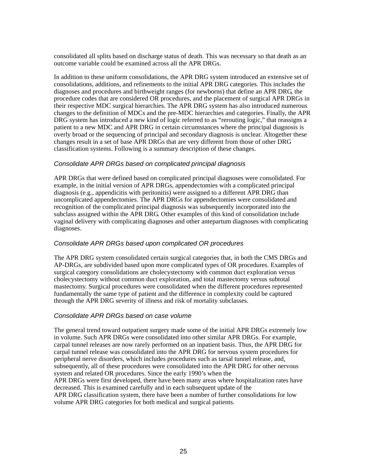consolidated all splits based on discharge status of death. This was necessary so that death as an outcome variable could be examined across all the APR DRGs.

In addition to these uniform consolidations, the APR DRG system introduced an extensive set of consolidations, additions, and refinements to the initial APR DRG categories. This includes the diagnoses and procedures and birthweight ranges (for newborns) that define an APR DRG, the procedure codes that are considered OR procedures, and the placement of surgical APR DRGs in their respective MDC surgical hierarchies. The APR DRG system has also introduced numerous changes to the definition of MDCs and the pre-MDC hierarchies and categories. Finally, the APR DRG system has introduced a new kind of logic referred to as "rerouting logic," that reassigns a patient to a new MDC and APR DRG in certain circumstances where the principal diagnosis is overly broad or the sequencing of principal and secondary diagnosis is unclear. Altogether these changes result in a set of base APR DRGs that are very different from those of other DRG classification systems. Following is a summary description of these changes.

#### *Consolidate APR DRGs based on complicated principal diagnosis*

APR DRGs that were defined based on complicated principal diagnoses were consolidated. For example, in the initial version of APR DRGs, appendectomies with a complicated principal diagnosis (e.g., appendicitis with peritonitis) were assigned to a different APR DRG than uncomplicated appendectomies. The APR DRGs for appendectomies were consolidated and recognition of the complicated principal diagnosis was subsequently incorporated into the subclass assigned within the APR DRG. Other examples of this kind of consolidation include vaginal delivery with complicating diagnoses and other antepartum diagnoses with complicating diagnoses.

### *Consolidate APR DRGs based upon complicated OR procedures*

The APR DRG system consolidated certain surgical categories that, in both the CMS DRGs and AP-DRGs, are subdivided based upon more complicated types of OR procedures. Examples of surgical category consolidations are cholecystectomy with common duct exploration versus cholecystectomy without common duct exploration, and total mastectomy versus subtotal mastectomy. Surgical procedures were consolidated when the different procedures represented fundamentally the same type of patient and the difference in complexity could be captured through the APR DRG severity of illness and risk of mortality subclasses.

### *Consolidate APR DRGs based on case volume*

The general trend toward outpatient surgery made some of the initial APR DRGs extremely low in volume. Such APR DRGs were consolidated into other similar APR DRGs. For example, carpal tunnel releases are now rarely performed on an inpatient basis. Thus, the APR DRG for carpal tunnel release was consolidated into the APR DRG for nervous system procedures for peripheral nerve disorders, which includes procedures such as tarsal tunnel release, and, subsequently, all of these procedures were consolidated into the APR DRG for other nervous system and related OR procedures. Since the early 1990's when the APR DRGs were first developed, there have been many areas where hospitalization rates have decreased. This is examined carefully and in each subsequent update of the APR DRG classification system, there have been a number of further consolidations for low volume APR DRG categories for both medical and surgical patients.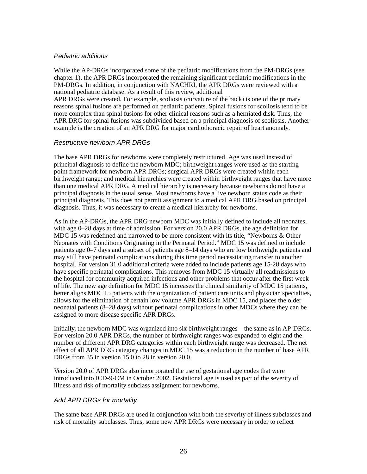### *Pediatric additions*

While the AP-DRGs incorporated some of the pediatric modifications from the PM-DRGs (see chapter [1\)](#page-6-2), the APR DRGs incorporated the remaining significant pediatric modifications in the PM-DRGs. In addition, in conjunction with NACHRI, the APR DRGs were reviewed with a national pediatric database. As a result of this review, additional APR DRGs were created. For example, scoliosis (curvature of the back) is one of the primary reasons spinal fusions are performed on pediatric patients. Spinal fusions for scoliosis tend to be more complex than spinal fusions for other clinical reasons such as a herniated disk. Thus, the

APR DRG for spinal fusions was subdivided based on a principal diagnosis of scoliosis. Another

example is the creation of an APR DRG for major cardiothoracic repair of heart anomaly.

### *Restructure newborn APR DRGs*

The base APR DRGs for newborns were completely restructured. Age was used instead of principal diagnosis to define the newborn MDC; birthweight ranges were used as the starting point framework for newborn APR DRGs; surgical APR DRGs were created within each birthweight range; and medical hierarchies were created within birthweight ranges that have more than one medical APR DRG. A medical hierarchy is necessary because newborns do not have a principal diagnosis in the usual sense. Most newborns have a live newborn status code as their principal diagnosis. This does not permit assignment to a medical APR DRG based on principal diagnosis. Thus, it was necessary to create a medical hierarchy for newborns.

As in the AP-DRGs, the APR DRG newborn MDC was initially defined to include all neonates, with age 0–28 days at time of admission. For version 20.0 APR DRGs, the age definition for MDC 15 was redefined and narrowed to be more consistent with its title, "Newborns & Other Neonates with Conditions Originating in the Perinatal Period." MDC 15 was defined to include patients age 0–7 days and a subset of patients age 8–14 days who are low birthweight patients and may still have perinatal complications during this time period necessitating transfer to another hospital. For version 31.0 additional criteria were added to include patients age 15-28 days who have specific perinatal complications. This removes from MDC 15 virtually all readmissions to the hospital for community acquired infections and other problems that occur after the first week of life. The new age definition for MDC 15 increases the clinical similarity of MDC 15 patients, better aligns MDC 15 patients with the organization of patient care units and physician specialties, allows for the elimination of certain low volume APR DRGs in MDC 15, and places the older neonatal patients (8–28 days) without perinatal complications in other MDCs where they can be assigned to more disease specific APR DRGs.

Initially, the newborn MDC was organized into six birthweight ranges—the same as in AP-DRGs. For version 20.0 APR DRGs, the number of birthweight ranges was expanded to eight and the number of different APR DRG categories within each birthweight range was decreased. The net effect of all APR DRG category changes in MDC 15 was a reduction in the number of base APR DRGs from 35 in version 15.0 to 28 in version 20.0.

Version 20.0 of APR DRGs also incorporated the use of gestational age codes that were introduced into ICD-9-CM in October 2002. Gestational age is used as part of the severity of illness and risk of mortality subclass assignment for newborns.

### *Add APR DRGs for mortality*

The same base APR DRGs are used in conjunction with both the severity of illness subclasses and risk of mortality subclasses. Thus, some new APR DRGs were necessary in order to reflect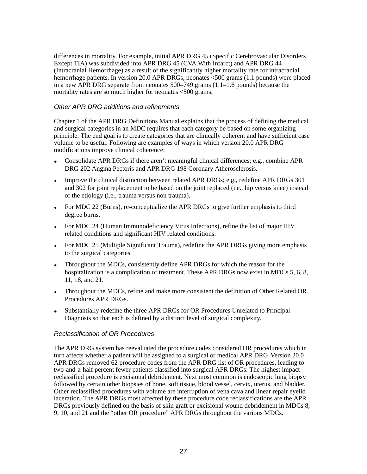differences in mortality. For example, initial APR DRG 45 (Specific Cerebrovascular Disorders Except TIA) was subdivided into APR DRG 45 (CVA With Infarct) and APR DRG 44 (Intracranial Hemorrhage) as a result of the significantly higher mortality rate for intracranial hemorrhage patients. In version 20.0 APR DRGs, neonates <500 grams (1.1 pounds) were placed in a new APR DRG separate from neonates 500–749 grams (1.1–1.6 pounds) because the mortality rates are so much higher for neonates <500 grams.

### *Other APR DRG additions and refinements*

Chapter [1](#page-6-2) of the APR DRG Definitions Manual explains that the process of defining the medical and surgical categories in an MDC requires that each category be based on some organizing principle. The end goal is to create categories that are clinically coherent and have sufficient case volume to be useful. Following are examples of ways in which version 20.0 APR DRG modifications improve clinical coherence:

- Consolidate APR DRGs if there aren't meaningful clinical differences; e.g., combine APR DRG 202 Angina Pectoris and APR DRG 198 Coronary Atherosclerosis.
- Improve the clinical distinction between related APR DRGs; e.g., redefine APR DRGs  $301$ and 302 for joint replacement to be based on the joint replaced (i.e., hip versus knee) instead of the etiology (i.e., trauma versus non trauma).
- For MDC 22 (Burns), re-conceptualize the APR DRGs to give further emphasis to third degree burns.
- For MDC 24 (Human Immunodeficiency Virus Infections), refine the list of major HIV related conditions and significant HIV related conditions.
- For MDC 25 (Multiple Significant Trauma), redefine the APR DRGs giving more emphasis to the surgical categories.
- Throughout the MDCs, consistently define APR DRGs for which the reason for the hospitalization is a complication of treatment. These APR DRGs now exist in MDCs 5, 6, 8, 11, 18, and 21.
- Throughout the MDCs, refine and make more consistent the definition of Other Related OR Procedures APR DRGs.
- Substantially redefine the three APR DRGs for OR Procedures Unrelated to Principal Diagnosis so that each is defined by a distinct level of surgical complexity.

### *Reclassification of OR Procedures*

The APR DRG system has reevaluated the procedure codes considered OR procedures which in turn affects whether a patient will be assigned to a surgical or medical APR DRG. Version 20.0 APR DRGs removed 62 procedure codes from the APR DRG list of OR procedures, leading to two-and-a-half percent fewer patients classified into surgical APR DRGs. The highest impact reclassified procedure is excisional debridement. Next most common is endoscopic lung biopsy followed by certain other biopsies of bone, soft tissue, blood vessel, cervix, uterus, and bladder. Other reclassified procedures with volume are interruption of vena cava and linear repair eyelid laceration. The APR DRGs most affected by these procedure code reclassifications are the APR DRGs previously defined on the basis of skin graft or excisional wound debridement in MDCs 8, 9, 10, and 21 and the "other OR procedure" APR DRGs throughout the various MDCs.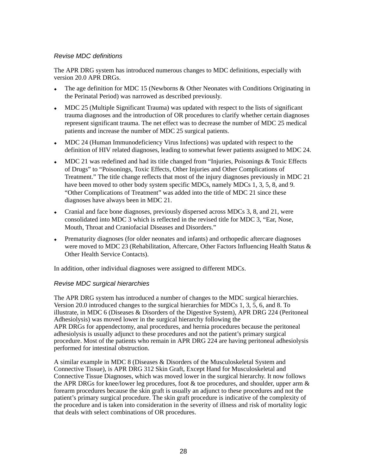### *Revise MDC definitions*

The APR DRG system has introduced numerous changes to MDC definitions, especially with version 20.0 APR DRGs.

- The age definition for MDC 15 (Newborns & Other Neonates with Conditions Originating in the Perinatal Period) was narrowed as described previously.
- MDC 25 (Multiple Significant Trauma) was updated with respect to the lists of significant trauma diagnoses and the introduction of OR procedures to clarify whether certain diagnoses represent significant trauma. The net effect was to decrease the number of MDC 25 medical patients and increase the number of MDC 25 surgical patients.
- MDC 24 (Human Immunodeficiency Virus Infections) was updated with respect to the definition of HIV related diagnoses, leading to somewhat fewer patients assigned to MDC 24.
- $\bullet$  MDC 21 was redefined and had its title changed from "Injuries, Poisonings & Toxic Effects of Drugs" to "Poisonings, Toxic Effects, Other Injuries and Other Complications of Treatment." The title change reflects that most of the injury diagnoses previously in MDC 21 have been moved to other body system specific MDCs, namely MDCs 1, 3, 5, 8, and 9. "Other Complications of Treatment" was added into the title of MDC 21 since these diagnoses have always been in MDC 21.
- Cranial and face bone diagnoses, previously dispersed across MDCs 3, 8, and 21, were consolidated into MDC 3 which is reflected in the revised title for MDC 3, "Ear, Nose, Mouth, Throat and Craniofacial Diseases and Disorders."
- Prematurity diagnoses (for older neonates and infants) and orthopedic aftercare diagnoses were moved to MDC 23 (Rehabilitation, Aftercare, Other Factors Influencing Health Status & Other Health Service Contacts).

In addition, other individual diagnoses were assigned to different MDCs.

### *Revise MDC surgical hierarchies*

The APR DRG system has introduced a number of changes to the MDC surgical hierarchies. Version 20.0 introduced changes to the surgical hierarchies for MDCs 1, 3, 5, 6, and 8. To illustrate, in MDC 6 (Diseases & Disorders of the Digestive System), APR DRG 224 (Peritoneal Adhesiolysis) was moved lower in the surgical hierarchy following the APR DRGs for appendectomy, anal procedures, and hernia procedures because the peritoneal adhesiolysis is usually adjunct to these procedures and not the patient's primary surgical procedure. Most of the patients who remain in APR DRG 224 are having peritoneal adhesiolysis performed for intestinal obstruction.

A similar example in MDC 8 (Diseases & Disorders of the Musculoskeletal System and Connective Tissue), is APR DRG 312 Skin Graft, Except Hand for Musculoskeletal and Connective Tissue Diagnoses, which was moved lower in the surgical hierarchy. It now follows the APR DRGs for knee/lower leg procedures, foot  $\&$  toe procedures, and shoulder, upper arm  $\&$ forearm procedures because the skin graft is usually an adjunct to these procedures and not the patient's primary surgical procedure. The skin graft procedure is indicative of the complexity of the procedure and is taken into consideration in the severity of illness and risk of mortality logic that deals with select combinations of OR procedures.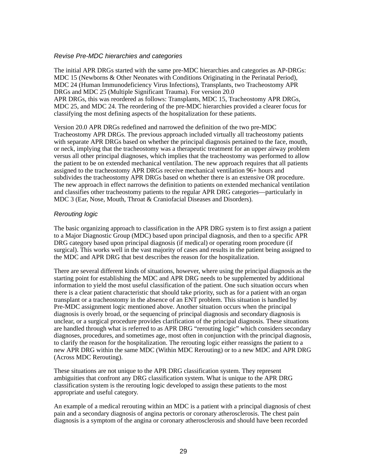### *Revise Pre-MDC hierarchies and categories*

The initial APR DRGs started with the same pre-MDC hierarchies and categories as AP-DRGs: MDC 15 (Newborns & Other Neonates with Conditions Originating in the Perinatal Period), MDC 24 (Human Immunodeficiency Virus Infections), Transplants, two Tracheostomy APR DRGs and MDC 25 (Multiple Significant Trauma). For version 20.0 APR DRGs, this was reordered as follows: Transplants, MDC 15, Tracheostomy APR DRGs, MDC 25, and MDC 24. The reordering of the pre-MDC hierarchies provided a clearer focus for classifying the most defining aspects of the hospitalization for these patients.

Version 20.0 APR DRGs redefined and narrowed the definition of the two pre-MDC Tracheostomy APR DRGs. The previous approach included virtually all tracheostomy patients with separate APR DRGs based on whether the principal diagnosis pertained to the face, mouth, or neck, implying that the tracheostomy was a therapeutic treatment for an upper airway problem versus all other principal diagnoses, which implies that the tracheostomy was performed to allow the patient to be on extended mechanical ventilation. The new approach requires that all patients assigned to the tracheostomy APR DRGs receive mechanical ventilation 96+ hours and subdivides the tracheostomy APR DRGs based on whether there is an extensive OR procedure. The new approach in effect narrows the definition to patients on extended mechanical ventilation and classifies other tracheostomy patients to the regular APR DRG categories—particularly in MDC 3 (Ear, Nose, Mouth, Throat & Craniofacial Diseases and Disorders).

### *Rerouting logic*

The basic organizing approach to classification in the APR DRG system is to first assign a patient to a Major Diagnostic Group (MDC) based upon principal diagnosis, and then to a specific APR DRG category based upon principal diagnosis (if medical) or operating room procedure (if surgical). This works well in the vast majority of cases and results in the patient being assigned to the MDC and APR DRG that best describes the reason for the hospitalization.

There are several different kinds of situations, however, where using the principal diagnosis as the starting point for establishing the MDC and APR DRG needs to be supplemented by additional information to yield the most useful classification of the patient. One such situation occurs when there is a clear patient characteristic that should take priority, such as for a patient with an organ transplant or a tracheostomy in the absence of an ENT problem. This situation is handled by Pre-MDC assignment logic mentioned above. Another situation occurs when the principal diagnosis is overly broad, or the sequencing of principal diagnosis and secondary diagnosis is unclear, or a surgical procedure provides clarification of the principal diagnosis. These situations are handled through what is referred to as APR DRG "rerouting logic" which considers secondary diagnoses, procedures, and sometimes age, most often in conjunction with the principal diagnosis, to clarify the reason for the hospitalization. The rerouting logic either reassigns the patient to a new APR DRG within the same MDC (Within MDC Rerouting) or to a new MDC and APR DRG (Across MDC Rerouting).

These situations are not unique to the APR DRG classification system. They represent ambiguities that confront any DRG classification system. What is unique to the APR DRG classification system is the rerouting logic developed to assign these patients to the most appropriate and useful category.

An example of a medical rerouting within an MDC is a patient with a principal diagnosis of chest pain and a secondary diagnosis of angina pectoris or coronary atherosclerosis. The chest pain diagnosis is a symptom of the angina or coronary atherosclerosis and should have been recorded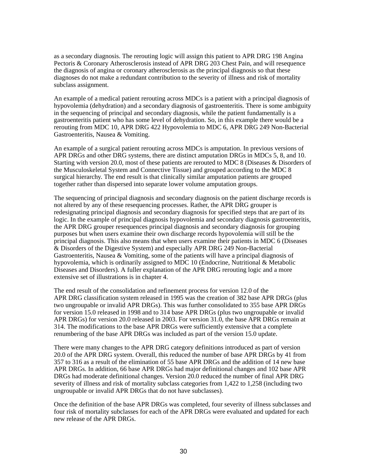as a secondary diagnosis. The rerouting logic will assign this patient to APR DRG 198 Angina Pectoris & Coronary Atherosclerosis instead of APR DRG 203 Chest Pain, and will resequence the diagnosis of angina or coronary atherosclerosis as the principal diagnosis so that these diagnoses do not make a redundant contribution to the severity of illness and risk of mortality subclass assignment.

An example of a medical patient rerouting across MDCs is a patient with a principal diagnosis of hypovolemia (dehydration) and a secondary diagnosis of gastroenteritis. There is some ambiguity in the sequencing of principal and secondary diagnosis, while the patient fundamentally is a gastroenteritis patient who has some level of dehydration. So, in this example there would be a rerouting from MDC 10, APR DRG 422 Hypovolemia to MDC 6, APR DRG 249 Non-Bacterial Gastroenteritis, Nausea & Vomiting.

An example of a surgical patient rerouting across MDCs is amputation. In previous versions of APR DRGs and other DRG systems, there are distinct amputation DRGs in MDCs 5, 8, and 10. Starting with version 20.0, most of these patients are rerouted to MDC 8 (Diseases & Disorders of the Musculoskeletal System and Connective Tissue) and grouped according to the MDC 8 surgical hierarchy. The end result is that clinically similar amputation patients are grouped together rather than dispersed into separate lower volume amputation groups.

The sequencing of principal diagnosis and secondary diagnosis on the patient discharge records is not altered by any of these resequencing processes. Rather, the APR DRG grouper is redesignating principal diagnosis and secondary diagnosis for specified steps that are part of its logic. In the example of principal diagnosis hypovolemia and secondary diagnosis gastroenteritis, the APR DRG grouper resequences principal diagnosis and secondary diagnosis for grouping purposes but when users examine their own discharge records hypovolemia will still be the principal diagnosis. This also means that when users examine their patients in MDC 6 (Diseases & Disorders of the Digestive System) and especially APR DRG 249 Non-Bacterial Gastroenteritis, Nausea & Vomiting, some of the patients will have a principal diagnosis of hypovolemia, which is ordinarily assigned to MDC 10 (Endocrine, Nutritional & Metabolic Diseases and Disorders). A fuller explanation of the APR DRG rerouting logic and a more extensive set of illustrations is in chapter [4.](#page-76-2)

The end result of the consolidation and refinement process for version 12.0 of the APR DRG classification system released in 1995 was the creation of 382 base APR DRGs (plus two ungroupable or invalid APR DRGs). This was further consolidated to 355 base APR DRGs for version 15.0 released in 1998 and to 314 base APR DRGs (plus two ungroupable or invalid APR DRGs) for version 20.0 released in 2003. For version 31.0, the base APR DRGs remain at 314. The modifications to the base APR DRGs were sufficiently extensive that a complete renumbering of the base APR DRGs was included as part of the version 15.0 update.

There were many changes to the APR DRG category definitions introduced as part of version 20.0 of the APR DRG system. Overall, this reduced the number of base APR DRGs by 41 from 357 to 316 as a result of the elimination of 55 base APR DRGs and the addition of 14 new base APR DRGs. In addition, 66 base APR DRGs had major definitional changes and 102 base APR DRGs had moderate definitional changes. Version 20.0 reduced the number of final APR DRG severity of illness and risk of mortality subclass categories from 1,422 to 1,258 (including two ungroupable or invalid APR DRGs that do not have subclasses).

Once the definition of the base APR DRGs was completed, four severity of illness subclasses and four risk of mortality subclasses for each of the APR DRGs were evaluated and updated for each new release of the APR DRGs.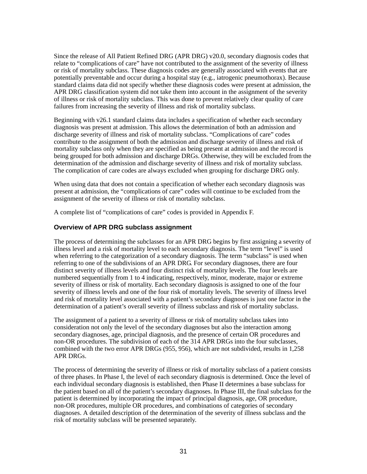Since the release of All Patient Refined DRG (APR DRG) v20.0, secondary diagnosis codes that relate to "complications of care" have not contributed to the assignment of the severity of illness or risk of mortality subclass. These diagnosis codes are generally associated with events that are potentially preventable and occur during a hospital stay (e.g., iatrogenic pneumothorax). Because standard claims data did not specify whether these diagnosis codes were present at admission, the APR DRG classification system did not take them into account in the assignment of the severity of illness or risk of mortality subclass. This was done to prevent relatively clear quality of care failures from increasing the severity of illness and risk of mortality subclass.

Beginning with v26.1 standard claims data includes a specification of whether each secondary diagnosis was present at admission. This allows the determination of both an admission and discharge severity of illness and risk of mortality subclass. "Complications of care" codes contribute to the assignment of both the admission and discharge severity of illness and risk of mortality subclass only when they are specified as being present at admission and the record is being grouped for both admission and discharge DRGs. Otherwise, they will be excluded from the determination of the admission and discharge severity of illness and risk of mortality subclass. The complication of care codes are always excluded when grouping for discharge DRG only.

When using data that does not contain a specification of whether each secondary diagnosis was present at admission, the "complications of care" codes will continue to be excluded from the assignment of the severity of illness or risk of mortality subclass.

A complete list of "complications of care" codes is provided in Appendix F.

## **Overview of APR DRG subclass assignment**

The process of determining the subclasses for an APR DRG begins by first assigning a severity of illness level and a risk of mortality level to each secondary diagnosis. The term "level" is used when referring to the categorization of a secondary diagnosis. The term "subclass" is used when referring to one of the subdivisions of an APR DRG. For secondary diagnoses, there are four distinct severity of illness levels and four distinct risk of mortality levels. The four levels are numbered sequentially from 1 to 4 indicating, respectively, minor, moderate, major or extreme severity of illness or risk of mortality. Each secondary diagnosis is assigned to one of the four severity of illness levels and one of the four risk of mortality levels. The severity of illness level and risk of mortality level associated with a patient's secondary diagnoses is just one factor in the determination of a patient's overall severity of illness subclass and risk of mortality subclass.

The assignment of a patient to a severity of illness or risk of mortality subclass takes into consideration not only the level of the secondary diagnoses but also the interaction among secondary diagnoses, age, principal diagnosis, and the presence of certain OR procedures and non-OR procedures. The subdivision of each of the 314 APR DRGs into the four subclasses, combined with the two error APR DRGs (955, 956), which are not subdivided, results in 1,258 APR DRGs.

The process of determining the severity of illness or risk of mortality subclass of a patient consists of three phases. In Phase I, the level of each secondary diagnosis is determined. Once the level of each individual secondary diagnosis is established, then Phase II determines a base subclass for the patient based on all of the patient's secondary diagnoses. In Phase III, the final subclass for the patient is determined by incorporating the impact of principal diagnosis, age, OR procedure, non-OR procedures, multiple OR procedures, and combinations of categories of secondary diagnoses. A detailed description of the determination of the severity of illness subclass and the risk of mortality subclass will be presented separately.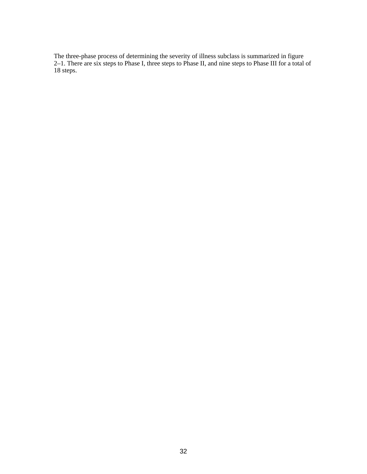The three-phase process of determining the severity of illness subclass is summarized in figure 2–1. There are six steps to Phase I, three steps to Phase II, and nine steps to Phase III for a total of 18 steps.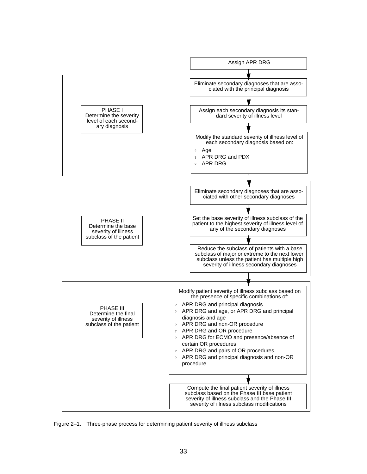

Figure 2–1. Three-phase process for determining patient severity of illness subclass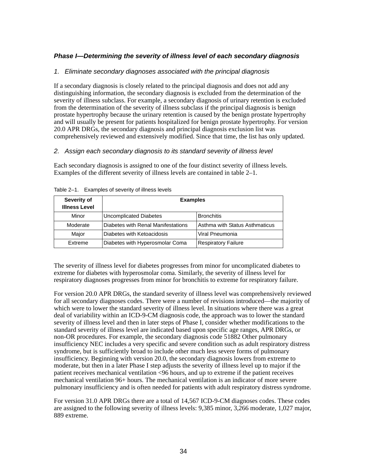# *Phase I—Determining the severity of illness level of each secondary diagnosis*

## *1. Eliminate secondary diagnoses associated with the principal diagnosis*

If a secondary diagnosis is closely related to the principal diagnosis and does not add any distinguishing information, the secondary diagnosis is excluded from the determination of the severity of illness subclass. For example, a secondary diagnosis of urinary retention is excluded from the determination of the severity of illness subclass if the principal diagnosis is benign prostate hypertrophy because the urinary retention is caused by the benign prostate hypertrophy and will usually be present for patients hospitalized for benign prostate hypertrophy. For version 20.0 APR DRGs, the secondary diagnosis and principal diagnosis exclusion list was comprehensively reviewed and extensively modified. Since that time, the list has only updated.

## *2. Assign each secondary diagnosis to its standard severity of illness level*

Each secondary diagnosis is assigned to one of the four distinct severity of illness levels. Examples of the different severity of illness levels are contained in table 2–1.

| Severity of<br><b>Illness Level</b> | <b>Examples</b>                                    |                                |  |  |
|-------------------------------------|----------------------------------------------------|--------------------------------|--|--|
| Minor                               | <b>Bronchitis</b><br><b>Uncomplicated Diabetes</b> |                                |  |  |
| Moderate                            | Diabetes with Renal Manifestations                 | Asthma with Status Asthmaticus |  |  |
| Major                               | Diabetes with Ketoacidosis                         | Viral Pneumonia                |  |  |
| Extreme                             | Diabetes with Hyperosmolar Coma                    | <b>Respiratory Failure</b>     |  |  |

Table 2–1. Examples of severity of illness levels

The severity of illness level for diabetes progresses from minor for uncomplicated diabetes to extreme for diabetes with hyperosmolar coma. Similarly, the severity of illness level for respiratory diagnoses progresses from minor for bronchitis to extreme for respiratory failure.

For version 20.0 APR DRGs, the standard severity of illness level was comprehensively reviewed for all secondary diagnoses codes. There were a number of revisions introduced—the majority of which were to lower the standard severity of illness level. In situations where there was a great deal of variability within an ICD-9-CM diagnosis code, the approach was to lower the standard severity of illness level and then in later steps of Phase I, consider whether modifications to the standard severity of illness level are indicated based upon specific age ranges, APR DRGs, or non-OR procedures. For example, the secondary diagnosis code 51882 Other pulmonary insufficiency NEC includes a very specific and severe condition such as adult respiratory distress syndrome, but is sufficiently broad to include other much less severe forms of pulmonary insufficiency. Beginning with version 20.0, the secondary diagnosis lowers from extreme to moderate, but then in a later Phase I step adjusts the severity of illness level up to major if the patient receives mechanical ventilation <96 hours, and up to extreme if the patient receives mechanical ventilation 96+ hours. The mechanical ventilation is an indicator of more severe pulmonary insufficiency and is often needed for patients with adult respiratory distress syndrome.

For version 31.0 APR DRGs there are a total of 14,567 ICD-9-CM diagnoses codes. These codes are assigned to the following severity of illness levels: 9,385 minor, 3,266 moderate, 1,027 major, 889 extreme.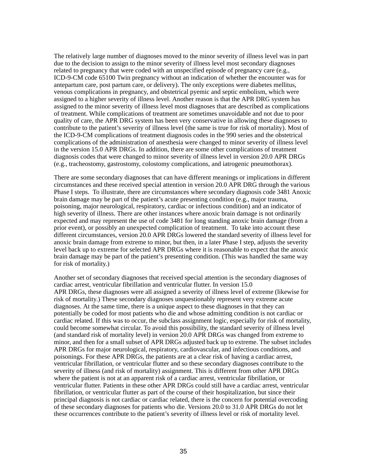The relatively large number of diagnoses moved to the minor severity of illness level was in part due to the decision to assign to the minor severity of illness level most secondary diagnoses related to pregnancy that were coded with an unspecified episode of pregnancy care (e.g., ICD-9-CM code 65100 Twin pregnancy without an indication of whether the encounter was for antepartum care, post partum care, or delivery). The only exceptions were diabetes mellitus, venous complications in pregnancy, and obstetrical pyemic and septic embolism, which were assigned to a higher severity of illness level. Another reason is that the APR DRG system has assigned to the minor severity of illness level most diagnoses that are described as complications of treatment. While complications of treatment are sometimes unavoidable and not due to poor quality of care, the APR DRG system has been very conservative in allowing these diagnoses to contribute to the patient's severity of illness level (the same is true for risk of mortality). Most of the ICD-9-CM complications of treatment diagnosis codes in the 990 series and the obstetrical complications of the administration of anesthesia were changed to minor severity of illness level in the version 15.0 APR DRGs. In addition, there are some other complications of treatment diagnosis codes that were changed to minor severity of illness level in version 20.0 APR DRGs (e.g., tracheostomy, gastrostomy, colostomy complications, and iatrogenic pneumothorax).

There are some secondary diagnoses that can have different meanings or implications in different circumstances and these received special attention in version 20.0 APR DRG through the various Phase I steps. To illustrate, there are circumstances where secondary diagnosis code 3481 Anoxic brain damage may be part of the patient's acute presenting condition (e.g., major trauma, poisoning, major neurological, respiratory, cardiac or infectious condition) and an indicator of high severity of illness. There are other instances where anoxic brain damage is not ordinarily expected and may represent the use of code 3481 for long standing anoxic brain damage (from a prior event), or possibly an unexpected complication of treatment. To take into account these different circumstances, version 20.0 APR DRGs lowered the standard severity of illness level for anoxic brain damage from extreme to minor, but then, in a later Phase I step, adjusts the severity level back up to extreme for selected APR DRGs where it is reasonable to expect that the anoxic brain damage may be part of the patient's presenting condition. (This was handled the same way for risk of mortality.)

Another set of secondary diagnoses that received special attention is the secondary diagnoses of cardiac arrest, ventricular fibrillation and ventricular flutter. In version 15.0 APR DRGs, these diagnoses were all assigned a severity of illness level of extreme (likewise for risk of mortality.) These secondary diagnoses unquestionably represent very extreme acute diagnoses. At the same time, there is a unique aspect to these diagnoses in that they can potentially be coded for most patients who die and whose admitting condition is not cardiac or cardiac related. If this was to occur, the subclass assignment logic, especially for risk of mortality, could become somewhat circular. To avoid this possibility, the standard severity of illness level (and standard risk of mortality level) in version 20.0 APR DRGs was changed from extreme to minor, and then for a small subset of APR DRGs adjusted back up to extreme. The subset includes APR DRGs for major neurological, respiratory, cardiovascular, and infectious conditions, and poisonings. For these APR DRGs, the patients are at a clear risk of having a cardiac arrest, ventricular fibrillation, or ventricular flutter and so these secondary diagnoses contribute to the severity of illness (and risk of mortality) assignment. This is different from other APR DRGs where the patient is not at an apparent risk of a cardiac arrest, ventricular fibrillation, or ventricular flutter. Patients in these other APR DRGs could still have a cardiac arrest, ventricular fibrillation, or ventricular flutter as part of the course of their hospitalization, but since their principal diagnosis is not cardiac or cardiac related, there is the concern for potential overcoding of these secondary diagnoses for patients who die. Versions 20.0 to 31.0 APR DRGs do not let these occurrences contribute to the patient's severity of illness level or risk of mortality level.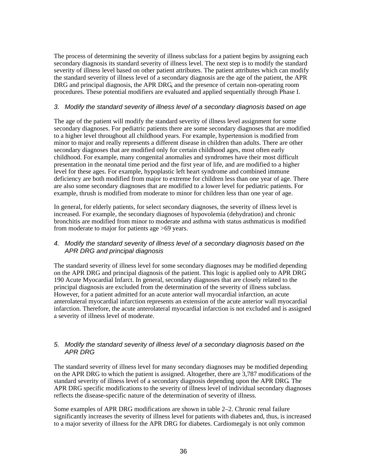The process of determining the severity of illness subclass for a patient begins by assigning each secondary diagnosis its standard severity of illness level. The next step is to modify the standard severity of illness level based on other patient attributes. The patient attributes which can modify the standard severity of illness level of a secondary diagnosis are the age of the patient, the APR DRG and principal diagnosis, the APR DRG, and the presence of certain non-operating room procedures. These potential modifiers are evaluated and applied sequentially through Phase I.

## *3. Modify the standard severity of illness level of a secondary diagnosis based on age*

The age of the patient will modify the standard severity of illness level assignment for some secondary diagnoses. For pediatric patients there are some secondary diagnoses that are modified to a higher level throughout all childhood years. For example, hypertension is modified from minor to major and really represents a different disease in children than adults. There are other secondary diagnoses that are modified only for certain childhood ages, most often early childhood. For example, many congenital anomalies and syndromes have their most difficult presentation in the neonatal time period and the first year of life, and are modified to a higher level for these ages. For example, hypoplastic left heart syndrome and combined immune deficiency are both modified from major to extreme for children less than one year of age. There are also some secondary diagnoses that are modified to a lower level for pediatric patients. For example, thrush is modified from moderate to minor for children less than one year of age.

In general, for elderly patients, for select secondary diagnoses, the severity of illness level is increased. For example, the secondary diagnoses of hypovolemia (dehydration) and chronic bronchitis are modified from minor to moderate and asthma with status asthmaticus is modified from moderate to major for patients age >69 years.

## *4. Modify the standard severity of illness level of a secondary diagnosis based on the APR DRG and principal diagnosis*

The standard severity of illness level for some secondary diagnoses may be modified depending on the APR DRG and principal diagnosis of the patient. This logic is applied only to APR DRG 190 Acute Myocardial Infarct. In general, secondary diagnoses that are closely related to the principal diagnosis are excluded from the determination of the severity of illness subclass. However, for a patient admitted for an acute anterior wall myocardial infarction, an acute anterolateral myocardial infarction represents an extension of the acute anterior wall myocardial infarction. Therefore, the acute anterolateral myocardial infarction is not excluded and is assigned a severity of illness level of moderate.

## *5. Modify the standard severity of illness level of a secondary diagnosis based on the APR DRG*

The standard severity of illness level for many secondary diagnoses may be modified depending on the APR DRG to which the patient is assigned. Altogether, there are 3,787 modifications of the standard severity of illness level of a secondary diagnosis depending upon the APR DRG. The APR DRG specific modifications to the severity of illness level of individual secondary diagnoses reflects the disease-specific nature of the determination of severity of illness.

Some examples of APR DRG modifications are shown in table 2–2. Chronic renal failure significantly increases the severity of illness level for patients with diabetes and, thus, is increased to a major severity of illness for the APR DRG for diabetes. Cardiomegaly is not only common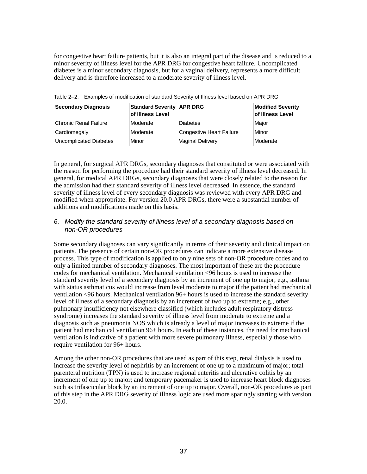for congestive heart failure patients, but it is also an integral part of the disease and is reduced to a minor severity of illness level for the APR DRG for congestive heart failure. Uncomplicated diabetes is a minor secondary diagnosis, but for a vaginal delivery, represents a more difficult delivery and is therefore increased to a moderate severity of illness level.

| <b>Secondary Diagnosis</b> | <b>Standard Severity APR DRG</b><br><b>of Illness Level</b> |                          | <b>Modified Severity</b><br><b>of Illness Level</b> |
|----------------------------|-------------------------------------------------------------|--------------------------|-----------------------------------------------------|
| Chronic Renal Failure      | Moderate                                                    | Diabetes                 | Major                                               |
| Cardiomegaly               | <b>IModerate</b>                                            | Congestive Heart Failure | Minor                                               |
| Uncomplicated Diabetes     | Minor                                                       | <b>Vaginal Delivery</b>  | Moderate                                            |

Table 2–2. Examples of modification of standard Severity of Illness level based on APR DRG

In general, for surgical APR DRGs, secondary diagnoses that constituted or were associated with the reason for performing the procedure had their standard severity of illness level decreased. In general, for medical APR DRGs, secondary diagnoses that were closely related to the reason for the admission had their standard severity of illness level decreased. In essence, the standard severity of illness level of every secondary diagnosis was reviewed with every APR DRG and modified when appropriate. For version 20.0 APR DRGs, there were a substantial number of additions and modifications made on this basis.

## *6. Modify the standard severity of illness level of a secondary diagnosis based on non-OR procedures*

Some secondary diagnoses can vary significantly in terms of their severity and clinical impact on patients. The presence of certain non-OR procedures can indicate a more extensive disease process. This type of modification is applied to only nine sets of non-OR procedure codes and to only a limited number of secondary diagnoses. The most important of these are the procedure codes for mechanical ventilation. Mechanical ventilation <96 hours is used to increase the standard severity level of a secondary diagnosis by an increment of one up to major; e.g., asthma with status asthmaticus would increase from level moderate to major if the patient had mechanical ventilation <96 hours. Mechanical ventilation 96+ hours is used to increase the standard severity level of illness of a secondary diagnosis by an increment of two up to extreme; e.g., other pulmonary insufficiency not elsewhere classified (which includes adult respiratory distress syndrome) increases the standard severity of illness level from moderate to extreme and a diagnosis such as pneumonia NOS which is already a level of major increases to extreme if the patient had mechanical ventilation 96+ hours. In each of these instances, the need for mechanical ventilation is indicative of a patient with more severe pulmonary illness, especially those who require ventilation for 96+ hours.

Among the other non-OR procedures that are used as part of this step, renal dialysis is used to increase the severity level of nephritis by an increment of one up to a maximum of major; total parenteral nutrition (TPN) is used to increase regional enteritis and ulcerative colitis by an increment of one up to major; and temporary pacemaker is used to increase heart block diagnoses such as trifascicular block by an increment of one up to major. Overall, non-OR procedures as part of this step in the APR DRG severity of illness logic are used more sparingly starting with version 20.0.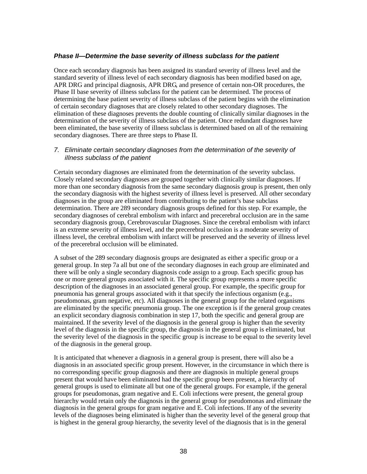## *Phase II—Determine the base severity of illness subclass for the patient*

Once each secondary diagnosis has been assigned its standard severity of illness level and the standard severity of illness level of each secondary diagnosis has been modified based on age, APR DRG and principal diagnosis, APR DRG, and presence of certain non-OR procedures, the Phase II base severity of illness subclass for the patient can be determined. The process of determining the base patient severity of illness subclass of the patient begins with the elimination of certain secondary diagnoses that are closely related to other secondary diagnoses. The elimination of these diagnoses prevents the double counting of clinically similar diagnoses in the determination of the severity of illness subclass of the patient. Once redundant diagnoses have been eliminated, the base severity of illness subclass is determined based on all of the remaining secondary diagnoses. There are three steps to Phase II.

## *7. Eliminate certain secondary diagnoses from the determination of the severity of iIlness subclass of the patient*

Certain secondary diagnoses are eliminated from the determination of the severity subclass. Closely related secondary diagnoses are grouped together with clinically similar diagnoses. If more than one secondary diagnosis from the same secondary diagnosis group is present, then only the secondary diagnosis with the highest severity of illness level is preserved. All other secondary diagnoses in the group are eliminated from contributing to the patient's base subclass determination. There are 289 secondary diagnosis groups defined for this step. For example, the secondary diagnoses of cerebral embolism with infarct and precerebral occlusion are in the same secondary diagnosis group, Cerebrovascular Diagnoses. Since the cerebral embolism with infarct is an extreme severity of illness level, and the precerebral occlusion is a moderate severity of illness level, the cerebral embolism with infarct will be preserved and the severity of illness level of the precerebral occlusion will be eliminated.

A subset of the 289 secondary diagnosis groups are designated as either a specific group or a general group. In step 7a all but one of the secondary diagnoses in each group are eliminated and there will be only a single secondary diagnosis code assign to a group. Each specific group has one or more general groups associated with it. The specific group represents a more specific description of the diagnoses in an associated general group. For example, the specific group for pneumonia has general groups associated with it that specify the infectious organism (e.g., pseudomonas, gram negative, etc). All diagnoses in the general group for the related organisms are eliminated by the specific pneumonia group. The one exception is if the general group creates an explicit secondary diagnosis combination in step 17, both the specific and general group are maintained. If the severity level of the diagnosis in the general group is higher than the severity level of the diagnosis in the specific group, the diagnosis in the general group is eliminated, but the severity level of the diagnosis in the specific group is increase to be equal to the severity level of the diagnosis in the general group.

It is anticipated that whenever a diagnosis in a general group is present, there will also be a diagnosis in an associated specific group present. However, in the circumstance in which there is no corresponding specific group diagnosis and there are diagnosis in multiple general groups present that would have been eliminated had the specific group been present, a hierarchy of general groups is used to eliminate all but one of the general groups. For example, if the general groups for pseudomonas, gram negative and E. Coli infections were present, the general group hierarchy would retain only the diagnosis in the general group for pseudomonas and eliminate the diagnosis in the general groups for gram negative and E. Coli infections. If any of the severity levels of the diagnoses being eliminated is higher than the severity level of the general group that is highest in the general group hierarchy, the severity level of the diagnosis that is in the general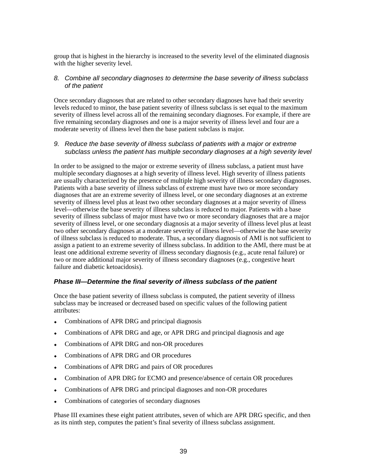group that is highest in the hierarchy is increased to the severity level of the eliminated diagnosis with the higher severity level.

#### *8. Combine all secondary diagnoses to determine the base severity of illness subclass of the patient*

Once secondary diagnoses that are related to other secondary diagnoses have had their severity levels reduced to minor, the base patient severity of illness subclass is set equal to the maximum severity of illness level across all of the remaining secondary diagnoses. For example, if there are five remaining secondary diagnoses and one is a major severity of illness level and four are a moderate severity of illness level then the base patient subclass is major.

## *9. Reduce the base severity of illness subclass of patients with a major or extreme subclass unless the patient has multiple secondary diagnoses at a high severity level*

In order to be assigned to the major or extreme severity of illness subclass, a patient must have multiple secondary diagnoses at a high severity of illness level. High severity of illness patients are usually characterized by the presence of multiple high severity of illness secondary diagnoses. Patients with a base severity of illness subclass of extreme must have two or more secondary diagnoses that are an extreme severity of illness level, or one secondary diagnoses at an extreme severity of illness level plus at least two other secondary diagnoses at a major severity of illness level—otherwise the base severity of illness subclass is reduced to major. Patients with a base severity of illness subclass of major must have two or more secondary diagnoses that are a major severity of illness level, or one secondary diagnosis at a major severity of illness level plus at least two other secondary diagnoses at a moderate severity of illness level—otherwise the base severity of illness subclass is reduced to moderate. Thus, a secondary diagnosis of AMI is not sufficient to assign a patient to an extreme severity of illness subclass. In addition to the AMI, there must be at least one additional extreme severity of illness secondary diagnosis (e.g., acute renal failure) or two or more additional major severity of illness secondary diagnoses (e.g., congestive heart failure and diabetic ketoacidosis).

## *Phase III—Determine the final severity of illness subclass of the patient*

Once the base patient severity of illness subclass is computed, the patient severity of illness subclass may be increased or decreased based on specific values of the following patient attributes:

- Combinations of APR DRG and principal diagnosis
- Combinations of APR DRG and age, or APR DRG and principal diagnosis and age
- Combinations of APR DRG and non-OR procedures
- Combinations of APR DRG and OR procedures
- Combinations of APR DRG and pairs of OR procedures
- Combination of APR DRG for ECMO and presence/absence of certain OR procedures
- Combinations of APR DRG and principal diagnoses and non-OR procedures
- Combinations of categories of secondary diagnoses

Phase III examines these eight patient attributes, seven of which are APR DRG specific, and then as its ninth step, computes the patient's final severity of illness subclass assignment.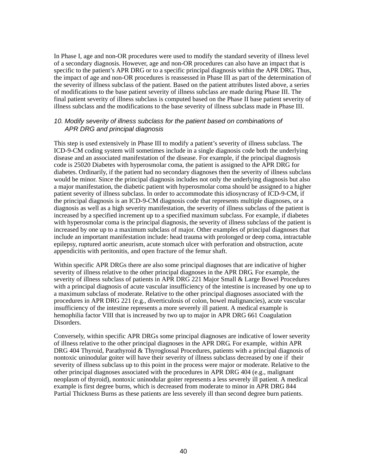In Phase I, age and non-OR procedures were used to modify the standard severity of illness level of a secondary diagnosis. However, age and non-OR procedures can also have an impact that is specific to the patient's APR DRG or to a specific principal diagnosis within the APR DRG. Thus, the impact of age and non-OR procedures is reassessed in Phase III as part of the determination of the severity of illness subclass of the patient. Based on the patient attributes listed above, a series of modifications to the base patient severity of illness subclass are made during Phase III. The final patient severity of illness subclass is computed based on the Phase II base patient severity of illness subclass and the modifications to the base severity of illness subclass made in Phase III.

#### *10. Modify severity of illness subclass for the patient based on combinations of APR DRG and principal diagnosis*

This step is used extensively in Phase III to modify a patient's severity of illness subclass. The ICD-9-CM coding system will sometimes include in a single diagnosis code both the underlying disease and an associated manifestation of the disease. For example, if the principal diagnosis code is 25020 Diabetes with hyperosmolar coma, the patient is assigned to the APR DRG for diabetes. Ordinarily, if the patient had no secondary diagnoses then the severity of illness subclass would be minor. Since the principal diagnosis includes not only the underlying diagnosis but also a major manifestation, the diabetic patient with hyperosmolar coma should be assigned to a higher patient severity of illness subclass. In order to accommodate this idiosyncrasy of ICD-9-CM, if the principal diagnosis is an ICD-9-CM diagnosis code that represents multiple diagnoses, or a diagnosis as well as a high severity manifestation, the severity of illness subclass of the patient is increased by a specified increment up to a specified maximum subclass. For example, if diabetes with hyperosmolar coma is the principal diagnosis, the severity of illness subclass of the patient is increased by one up to a maximum subclass of major. Other examples of principal diagnoses that include an important manifestation include: head trauma with prolonged or deep coma, intractable epilepsy, ruptured aortic aneurism, acute stomach ulcer with perforation and obstruction, acute appendicitis with peritonitis, and open fracture of the femur shaft.

Within specific APR DRGs there are also some principal diagnoses that are indicative of higher severity of illness relative to the other principal diagnoses in the APR DRG. For example, the severity of illness subclass of patients in APR DRG 221 Major Small & Large Bowel Procedures with a principal diagnosis of acute vascular insufficiency of the intestine is increased by one up to a maximum subclass of moderate. Relative to the other principal diagnoses associated with the procedures in APR DRG 221 (e.g., diverticulosis of colon, bowel malignancies), acute vascular insufficiency of the intestine represents a more severely ill patient. A medical example is hemophilia factor VIII that is increased by two up to major in APR DRG 661 Coagulation Disorders.

Conversely, within specific APR DRGs some principal diagnoses are indicative of lower severity of illness relative to the other principal diagnoses in the APR DRG. For example, within APR DRG 404 Thyroid, Parathyroid & Thyroglossal Procedures, patients with a principal diagnosis of nontoxic uninodular goiter will have their severity of illness subclass decreased by one if their severity of illness subclass up to this point in the process were major or moderate. Relative to the other principal diagnoses associated with the procedures in APR DRG 404 (e.g., malignant neoplasm of thyroid), nontoxic uninodular goiter represents a less severely ill patient. A medical example is first degree burns, which is decreased from moderate to minor in APR DRG 844 Partial Thickness Burns as these patients are less severely ill than second degree burn patients.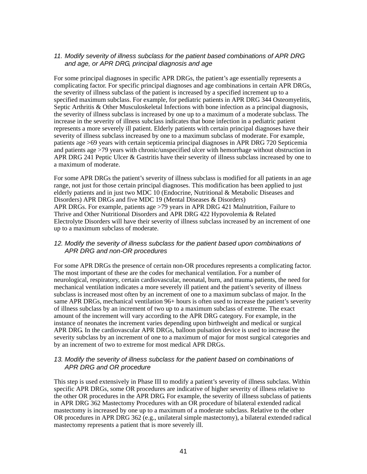## *11. Modify severity of illness subclass for the patient based combinations of APR DRG and age, or APR DRG, principal diagnosis and age*

For some principal diagnoses in specific APR DRGs, the patient's age essentially represents a complicating factor. For specific principal diagnoses and age combinations in certain APR DRGs, the severity of illness subclass of the patient is increased by a specified increment up to a specified maximum subclass. For example, for pediatric patients in APR DRG 344 Osteomyelitis, Septic Arthritis & Other Musculoskeletal Infections with bone infection as a principal diagnosis, the severity of illness subclass is increased by one up to a maximum of a moderate subclass. The increase in the severity of illness subclass indicates that bone infection in a pediatric patient represents a more severely ill patient. Elderly patients with certain principal diagnoses have their severity of illness subclass increased by one to a maximum subclass of moderate. For example, patients age >69 years with certain septicemia principal diagnoses in APR DRG 720 Septicemia and patients age >79 years with chronic/unspecified ulcer with hemorrhage without obstruction in APR DRG 241 Peptic Ulcer & Gastritis have their severity of illness subclass increased by one to a maximum of moderate.

For some APR DRGs the patient's severity of illness subclass is modified for all patients in an age range, not just for those certain principal diagnoses. This modification has been applied to just elderly patients and in just two MDC 10 (Endocrine, Nutritional & Metabolic Diseases and Disorders) APR DRGs and five MDC 19 (Mental Diseases & Disorders) APR DRGs. For example, patients age >79 years in APR DRG 421 Malnutrition, Failure to Thrive and Other Nutritional Disorders and APR DRG 422 Hypovolemia & Related Electrolyte Disorders will have their severity of illness subclass increased by an increment of one up to a maximum subclass of moderate.

## 12. Modify the severity of illness subclass for the patient based upon combinations of *APR DRG and non-OR procedures*

For some APR DRGs the presence of certain non-OR procedures represents a complicating factor. The most important of these are the codes for mechanical ventilation. For a number of neurological, respiratory, certain cardiovascular, neonatal, burn, and trauma patients, the need for mechanical ventilation indicates a more severely ill patient and the patient's severity of illness subclass is increased most often by an increment of one to a maximum subclass of major. In the same APR DRGs, mechanical ventilation 96+ hours is often used to increase the patient's severity of illness subclass by an increment of two up to a maximum subclass of extreme. The exact amount of the increment will vary according to the APR DRG category. For example, in the instance of neonates the increment varies depending upon birthweight and medical or surgical APR DRG. In the cardiovascular APR DRGs, balloon pulsation device is used to increase the severity subclass by an increment of one to a maximum of major for most surgical categories and by an increment of two to extreme for most medical APR DRGs.

## 13. Modify the severity of illness subclass for the patient based on combinations of *APR DRG and OR procedure*

This step is used extensively in Phase III to modify a patient's severity of illness subclass. Within specific APR DRGs, some OR procedures are indicative of higher severity of illness relative to the other OR procedures in the APR DRG. For example, the severity of illness subclass of patients in APR DRG 362 Mastectomy Procedures with an OR procedure of bilateral extended radical mastectomy is increased by one up to a maximum of a moderate subclass. Relative to the other OR procedures in APR DRG 362 (e.g., unilateral simple mastectomy), a bilateral extended radical mastectomy represents a patient that is more severely ill.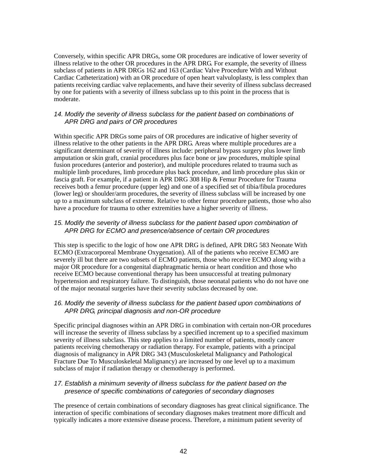Conversely, within specific APR DRGs, some OR procedures are indicative of lower severity of illness relative to the other OR procedures in the APR DRG. For example, the severity of illness subclass of patients in APR DRGs 162 and 163 (Cardiac Valve Procedure With and Without Cardiac Catheterization) with an OR procedure of open heart valvuloplasty, is less complex than patients receiving cardiac valve replacements, and have their severity of illness subclass decreased by one for patients with a severity of illness subclass up to this point in the process that is moderate.

## 14. Modify the severity of illness subclass for the patient based on combinations of *APR DRG and pairs of OR procedures*

Within specific APR DRGs some pairs of OR procedures are indicative of higher severity of illness relative to the other patients in the APR DRG. Areas where multiple procedures are a significant determinant of severity of illness include: peripheral bypass surgery plus lower limb amputation or skin graft, cranial procedures plus face bone or jaw procedures, multiple spinal fusion procedures (anterior and posterior), and multiple procedures related to trauma such as multiple limb procedures, limb procedure plus back procedure, and limb procedure plus skin or fascia graft. For example, if a patient in APR DRG 308 Hip & Femur Procedure for Trauma receives both a femur procedure (upper leg) and one of a specified set of tibia/fibula procedures (lower leg) or shoulder/arm procedures, the severity of illness subclass will be increased by one up to a maximum subclass of extreme. Relative to other femur procedure patients, those who also have a procedure for trauma to other extremities have a higher severity of illness.

## 15. Modify the severity of illness subclass for the patient based upon combination of *APR DRG for ECMO and presence/absence of certain OR procedures*

This step is specific to the logic of how one APR DRG is defined, APR DRG 583 Neonate With ECMO (Extracorporeal Membrane Oxygenation). All of the patients who receive ECMO are severely ill but there are two subsets of ECMO patients, those who receive ECMO along with a major OR procedure for a congenital diaphragmatic hernia or heart condition and those who receive ECMO because conventional therapy has been unsuccessful at treating pulmonary hypertension and respiratory failure. To distinguish, those neonatal patients who do not have one of the major neonatal surgeries have their severity subclass decreased by one.

# *16. Modify the severity of illness subclass for the patient based upon combinations of APR DRG, principal diagnosis and non-OR procedure*

Specific principal diagnoses within an APR DRG in combination with certain non-OR procedures will increase the severity of illness subclass by a specified increment up to a specified maximum severity of illness subclass. This step applies to a limited number of patients, mostly cancer patients receiving chemotherapy or radiation therapy. For example, patients with a principal diagnosis of malignancy in APR DRG 343 (Musculoskeletal Malignancy and Pathological Fracture Due To Musculoskeletal Malignancy) are increased by one level up to a maximum subclass of major if radiation therapy or chemotherapy is performed.

## *17. Establish a minimum severity of illness subclass for the patient based on the presence of specific combinations of categories of secondary diagnoses*

The presence of certain combinations of secondary diagnoses has great clinical significance. The interaction of specific combinations of secondary diagnoses makes treatment more difficult and typically indicates a more extensive disease process. Therefore, a minimum patient severity of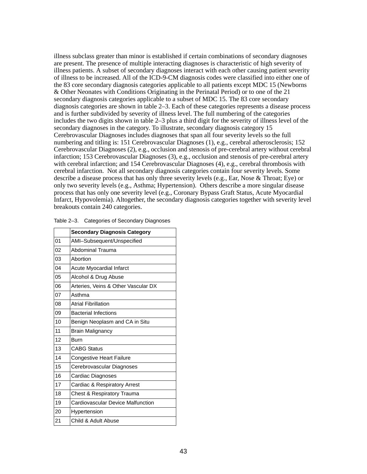illness subclass greater than minor is established if certain combinations of secondary diagnoses are present. The presence of multiple interacting diagnoses is characteristic of high severity of illness patients. A subset of secondary diagnoses interact with each other causing patient severity of illness to be increased. All of the ICD-9-CM diagnosis codes were classified into either one of the 83 core secondary diagnosis categories applicable to all patients except MDC 15 (Newborns & Other Neonates with Conditions Originating in the Perinatal Period) or to one of the 21 secondary diagnosis categories applicable to a subset of MDC 15. The 83 core secondary diagnosis categories are shown in table 2–3. Each of these categories represents a disease process and is further subdivided by severity of illness level. The full numbering of the categories includes the two digits shown in table 2–3 plus a third digit for the severity of illness level of the secondary diagnoses in the category. To illustrate, secondary diagnosis category 15 Cerebrovascular Diagnoses includes diagnoses that span all four severity levels so the full numbering and titling is: 151 Cerebrovascular Diagnoses (1), e.g., cerebral atherosclerosis; 152 Cerebrovascular Diagnoses (2), e.g., occlusion and stenosis of pre-cerebral artery without cerebral infarction; 153 Cerebrovascular Diagnoses (3), e.g., occlusion and stenosis of pre-cerebral artery with cerebral infarction; and 154 Cerebrovascular Diagnoses (4), e.g., cerebral thrombosis with cerebral infarction. Not all secondary diagnosis categories contain four severity levels. Some describe a disease process that has only three severity levels (e.g., Ear, Nose & Throat; Eye) or only two severity levels (e.g., Asthma; Hypertension). Others describe a more singular disease process that has only one severity level (e.g., Coronary Bypass Graft Status, Acute Myocardial Infarct, Hypovolemia). Altogether, the secondary diagnosis categories together with severity level breakouts contain 240 categories.

|  | Table 2-3. Categories of Secondary Diagnoses |  |
|--|----------------------------------------------|--|
|  |                                              |  |

|    | <b>Secondary Diagnosis Category</b> |
|----|-------------------------------------|
| 01 | AMI-Subsequent/Unspecified          |
| 02 | Abdominal Trauma                    |
| 03 | Abortion                            |
| 04 | Acute Myocardial Infarct            |
| 05 | Alcohol & Drug Abuse                |
| 06 | Arteries, Veins & Other Vascular DX |
| 07 | Asthma                              |
| 08 | <b>Atrial Fibrillation</b>          |
| 09 | <b>Bacterial Infections</b>         |
| 10 | Benign Neoplasm and CA in Situ      |
| 11 | <b>Brain Malignancy</b>             |
| 12 | Burn                                |
| 13 | <b>CABG Status</b>                  |
| 14 | <b>Congestive Heart Failure</b>     |
| 15 | Cerebrovascular Diagnoses           |
| 16 | Cardiac Diagnoses                   |
| 17 | Cardiac & Respiratory Arrest        |
| 18 | Chest & Respiratory Trauma          |
| 19 | Cardiovascular Device Malfunction   |
| 20 | Hypertension                        |
| 21 | Child & Adult Abuse                 |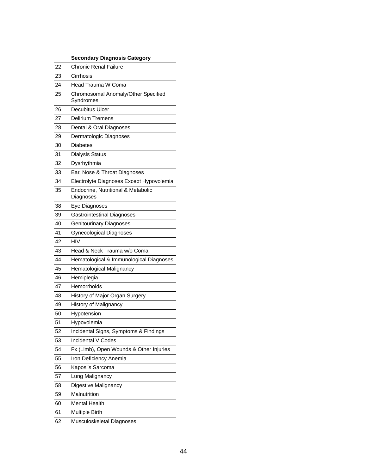|    | <b>Secondary Diagnosis Category</b>              |
|----|--------------------------------------------------|
| 22 | <b>Chronic Renal Failure</b>                     |
| 23 | Cirrhosis                                        |
| 24 | Head Trauma W Coma                               |
| 25 | Chromosomal Anomaly/Other Specified<br>Syndromes |
| 26 | <b>Decubitus Ulcer</b>                           |
| 27 | <b>Delirium Tremens</b>                          |
| 28 | Dental & Oral Diagnoses                          |
| 29 | Dermatologic Diagnoses                           |
| 30 | Diabetes                                         |
| 31 | Dialysis Status                                  |
| 32 | Dysrhythmia                                      |
| 33 | Ear, Nose & Throat Diagnoses                     |
| 34 | Electrolyte Diagnoses Except Hypovolemia         |
| 35 | Endocrine, Nutritional & Metabolic<br>Diagnoses  |
| 38 | Eye Diagnoses                                    |
| 39 | Gastrointestinal Diagnoses                       |
| 40 | Genitourinary Diagnoses                          |
| 41 | Gynecological Diagnoses                          |
| 42 | HIV                                              |
| 43 | Head & Neck Trauma w/o Coma                      |
| 44 | Hematological & Immunological Diagnoses          |
| 45 | Hematological Malignancy                         |
| 46 | Hemiplegia                                       |
| 47 | Hemorrhoids                                      |
| 48 | History of Major Organ Surgery                   |
| 49 | History of Malignancy                            |
| 50 | Hypotension                                      |
| 51 | Hypovolemia                                      |
| 52 | Incidental Signs, Symptoms & Findings            |
| 53 | Incidental V Codes                               |
| 54 | Fx (Limb), Open Wounds & Other Injuries          |
| 55 | Iron Deficiency Anemia                           |
| 56 | Kaposi's Sarcoma                                 |
| 57 | Lung Malignancy                                  |
| 58 | Digestive Malignancy                             |
| 59 | Malnutrition                                     |
| 60 | Mental Health                                    |
| 61 | <b>Multiple Birth</b>                            |
| 62 | Musculoskeletal Diagnoses                        |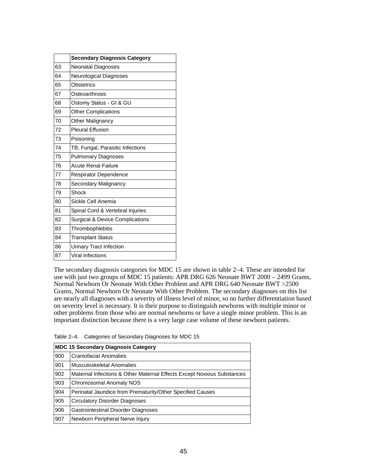|    | <b>Secondary Diagnosis Category</b>        |
|----|--------------------------------------------|
| 63 | <b>Neonatal Diagnoses</b>                  |
| 64 | Neurological Diagnoses                     |
| 65 | Obstetrics                                 |
| 67 | Osteoarthrosis                             |
| 68 | Ostomy Status - GI & GU                    |
| 69 | <b>Other Complications</b>                 |
| 70 | <b>Other Malignancy</b>                    |
| 72 | <b>Pleural Effusion</b>                    |
| 73 | Poisoning                                  |
| 74 | TB, Fungal, Parasitic Infections           |
| 75 | <b>Pulmonary Diagnoses</b>                 |
| 76 | <b>Acute Renal Failure</b>                 |
| 77 | <b>Respirator Dependence</b>               |
| 78 | Secondary Malignancy                       |
| 79 | Shock                                      |
| 80 | Sickle Cell Anemia                         |
| 81 | Spinal Cord & Vertebral Injuries           |
| 82 | <b>Surgical &amp; Device Complications</b> |
| 83 | Thrombophlebitis                           |
| 84 | <b>Transplant Status</b>                   |
| 86 | Urinary Tract Infection                    |
| 87 | Viral Infections                           |

The secondary diagnosis categories for MDC 15 are shown in table 2–4. These are intended for use with just two groups of MDC 15 patients: APR DRG 626 Neonate BWT 2000 – 2499 Grams, Normal Newborn Or Neonate With Other Problem and APR DRG 640 Neonate BWT >2500 Grams, Normal Newborn Or Neonate With Other Problem. The secondary diagnoses on this list are nearly all diagnoses with a severity of illness level of minor, so no further differentiation based on severity level is necessary. It is their purpose to distinguish newborns with multiple minor or other problems from those who are normal newborns or have a single minor problem. This is an important distinction because there is a very large case volume of these newborn patients.

Table 2–4. Categories of Secondary Diagnoses for MDC 15

|     | <b>MDC 15 Secondary Diagnosis Category</b>                             |  |  |
|-----|------------------------------------------------------------------------|--|--|
| 900 | <b>Craniofacial Anomalies</b>                                          |  |  |
| 901 | Musculoskeletal Anomalies                                              |  |  |
| 902 | Maternal Infections & Other Maternal Effects Except Noxious Substances |  |  |
| 903 | Chromosomal Anomaly NOS                                                |  |  |
| 904 | Perinatal Jaundice from Prematurity/Other Specified Causes             |  |  |
| 905 | Circulatory Disorder Diagnoses                                         |  |  |
| 906 | Gastrointestinal Disorder Diagnoses                                    |  |  |
| 907 | Newborn Peripheral Nerve Injury                                        |  |  |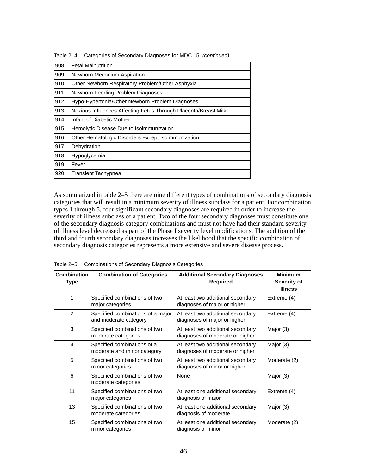| 908 | <b>Fetal Malnutrition</b>                                       |
|-----|-----------------------------------------------------------------|
| 909 | Newborn Meconium Aspiration                                     |
| 910 | Other Newborn Respiratory Problem/Other Asphyxia                |
| 911 | Newborn Feeding Problem Diagnoses                               |
| 912 | Hypo-Hypertonia/Other Newborn Problem Diagnoses                 |
| 913 | Noxious Influences Affecting Fetus Through Placenta/Breast Milk |
| 914 | Infant of Diabetic Mother                                       |
| 915 | Hemolytic Disease Due to Isoimmunization                        |
| 916 | Other Hematologic Disorders Except Isoimmunization              |
| 917 | Dehydration                                                     |
| 918 | Hypoglycemia                                                    |
| 919 | Fever                                                           |
| 920 | <b>Transient Tachypnea</b>                                      |
|     |                                                                 |

Table 2–4. Categories of Secondary Diagnoses for MDC 15 *(continued)*

As summarized in table 2–5 there are nine different types of combinations of secondary diagnosis categories that will result in a minimum severity of illness subclass for a patient. For combination types 1 through 5, four significant secondary diagnoses are required in order to increase the severity of illness subclass of a patient. Two of the four secondary diagnoses must constitute one of the secondary diagnosis category combinations and must not have had their standard severity of illness level decreased as part of the Phase I severity level modifications. The addition of the third and fourth secondary diagnoses increases the likelihood that the specific combination of secondary diagnosis categories represents a more extensive and severe disease process.

| <b>Combination</b><br>Type | <b>Combination of Categories</b>                           | <b>Additional Secondary Diagnoses</b><br><b>Required</b>             | <b>Minimum</b><br>Severity of<br><b>Illness</b> |
|----------------------------|------------------------------------------------------------|----------------------------------------------------------------------|-------------------------------------------------|
| 1                          | Specified combinations of two<br>major categories          | At least two additional secondary<br>diagnoses of major or higher    | Extreme (4)                                     |
| 2                          | Specified combinations of a major<br>and moderate category | At least two additional secondary<br>diagnoses of major or higher    | Extreme (4)                                     |
| 3                          | Specified combinations of two<br>moderate categories       | At least two additional secondary<br>diagnoses of moderate or higher | Major (3)                                       |
| 4                          | Specified combinations of a<br>moderate and minor category | At least two additional secondary<br>diagnoses of moderate or higher | Major (3)                                       |
| 5                          | Specified combinations of two<br>minor categories          | At least two additional secondary<br>diagnoses of minor or higher    | Moderate (2)                                    |
| 6                          | Specified combinations of two<br>moderate categories       | None                                                                 | Major (3)                                       |
| 11                         | Specified combinations of two<br>major categories          | At least one additional secondary<br>diagnosis of major              | Extreme (4)                                     |
| 13                         | Specified combinations of two<br>moderate categories       | At least one additional secondary<br>diagnosis of moderate           | Major (3)                                       |
| 15                         | Specified combinations of two<br>minor categories          | At least one additional secondary<br>diagnosis of minor              | Moderate (2)                                    |

Table 2–5. Combinations of Secondary Diagnosis Categories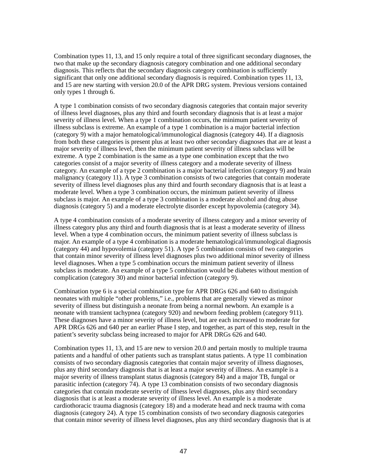Combination types 11, 13, and 15 only require a total of three significant secondary diagnoses, the two that make up the secondary diagnosis category combination and one additional secondary diagnosis. This reflects that the secondary diagnosis category combination is sufficiently significant that only one additional secondary diagnosis is required. Combination types 11, 13, and 15 are new starting with version 20.0 of the APR DRG system. Previous versions contained only types 1 through 6.

A type 1 combination consists of two secondary diagnosis categories that contain major severity of illness level diagnoses, plus any third and fourth secondary diagnosis that is at least a major severity of illness level. When a type 1 combination occurs, the minimum patient severity of illness subclass is extreme. An example of a type 1 combination is a major bacterial infection (category 9) with a major hematological/immunological diagnosis (category 44). If a diagnosis from both these categories is present plus at least two other secondary diagnoses that are at least a major severity of illness level, then the minimum patient severity of illness subclass will be extreme. A type 2 combination is the same as a type one combination except that the two categories consist of a major severity of illness category and a moderate severity of illness category. An example of a type 2 combination is a major bacterial infection (category 9) and brain malignancy (category 11). A type 3 combination consists of two categories that contain moderate severity of illness level diagnoses plus any third and fourth secondary diagnosis that is at least a moderate level. When a type 3 combination occurs, the minimum patient severity of illness subclass is major. An example of a type 3 combination is a moderate alcohol and drug abuse diagnosis (category 5) and a moderate electrolyte disorder except hypovolemia (category 34).

A type 4 combination consists of a moderate severity of illness category and a minor severity of illness category plus any third and fourth diagnosis that is at least a moderate severity of illness level. When a type 4 combination occurs, the minimum patient severity of illness subclass is major. An example of a type 4 combination is a moderate hematological/immunological diagnosis (category 44) and hypovolemia (category 51). A type 5 combination consists of two categories that contain minor severity of illness level diagnoses plus two additional minor severity of illness level diagnoses. When a type 5 combination occurs the minimum patient severity of illness subclass is moderate. An example of a type 5 combination would be diabetes without mention of complication (category 30) and minor bacterial infection (category 9).

Combination type 6 is a special combination type for APR DRGs 626 and 640 to distinguish neonates with multiple "other problems," i.e., problems that are generally viewed as minor severity of illness but distinguish a neonate from being a normal newborn. An example is a neonate with transient tachypnea (category 920) and newborn feeding problem (category 911). These diagnoses have a minor severity of illness level, but are each increased to moderate for APR DRGs 626 and 640 per an earlier Phase I step, and together, as part of this step, result in the patient's severity subclass being increased to major for APR DRGs 626 and 640.

Combination types 11, 13, and 15 are new to version 20.0 and pertain mostly to multiple trauma patients and a handful of other patients such as transplant status patients. A type 11 combination consists of two secondary diagnosis categories that contain major severity of illness diagnoses, plus any third secondary diagnosis that is at least a major severity of illness. An example is a major severity of illness transplant status diagnosis (category 84) and a major TB, fungal or parasitic infection (category 74). A type 13 combination consists of two secondary diagnosis categories that contain moderate severity of illness level diagnoses, plus any third secondary diagnosis that is at least a moderate severity of illness level. An example is a moderate cardiothoracic trauma diagnosis (category 18) and a moderate head and neck trauma with coma diagnosis (category 24). A type 15 combination consists of two secondary diagnosis categories that contain minor severity of illness level diagnoses, plus any third secondary diagnosis that is at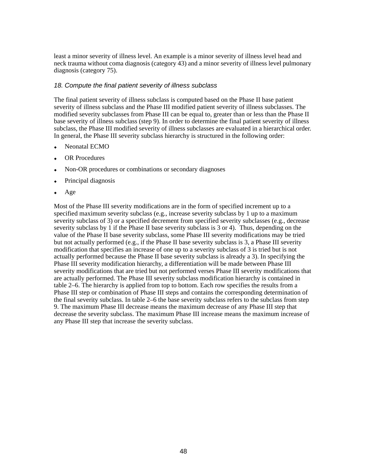least a minor severity of illness level. An example is a minor severity of illness level head and neck trauma without coma diagnosis (category 43) and a minor severity of illness level pulmonary diagnosis (category 75).

#### *18. Compute the final patient severity of illness subclass*

The final patient severity of illness subclass is computed based on the Phase II base patient severity of illness subclass and the Phase III modified patient severity of illness subclasses. The modified severity subclasses from Phase III can be equal to, greater than or less than the Phase II base severity of illness subclass (step 9). In order to determine the final patient severity of illness subclass, the Phase III modified severity of illness subclasses are evaluated in a hierarchical order. In general, the Phase III severity subclass hierarchy is structured in the following order:

- Neonatal ECMO
- OR Procedures
- Non-OR procedures or combinations or secondary diagnoses
- Principal diagnosis
- Age

Most of the Phase III severity modifications are in the form of specified increment up to a specified maximum severity subclass (e.g., increase severity subclass by 1 up to a maximum severity subclass of 3) or a specified decrement from specified severity subclasses (e.g., decrease severity subclass by 1 if the Phase II base severity subclass is 3 or 4). Thus, depending on the value of the Phase II base severity subclass, some Phase III severity modifications may be tried but not actually performed (e.g., if the Phase II base severity subclass is 3, a Phase III severity modification that specifies an increase of one up to a severity subclass of 3 is tried but is not actually performed because the Phase II base severity subclass is already a 3). In specifying the Phase III severity modification hierarchy, a differentiation will be made between Phase III severity modifications that are tried but not performed verses Phase III severity modifications that are actually performed. The Phase III severity subclass modification hierarchy is contained in table [2–6.](#page-54-0) The hierarchy is applied from top to bottom. Each row specifies the results from a Phase III step or combination of Phase III steps and contains the corresponding determination of the final severity subclass. In table [2–6](#page-54-0) the base severity subclass refers to the subclass from step 9. The maximum Phase III decrease means the maximum decrease of any Phase III step that decrease the severity subclass. The maximum Phase III increase means the maximum increase of any Phase III step that increase the severity subclass.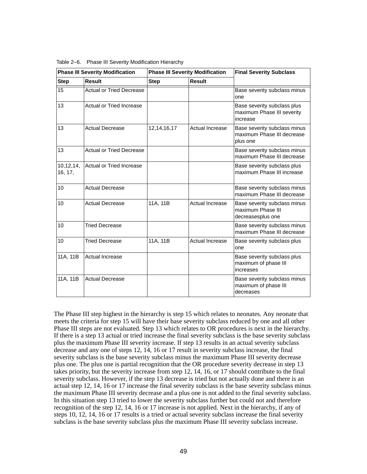| <b>Phase III Severity Modification</b> |                                 | <b>Phase III Severity Modification</b> |                        | <b>Final Severity Subclass</b>                                         |
|----------------------------------------|---------------------------------|----------------------------------------|------------------------|------------------------------------------------------------------------|
| <b>Step</b>                            | <b>Result</b>                   | <b>Step</b>                            | <b>Result</b>          |                                                                        |
| 15                                     | <b>Actual or Tried Decrease</b> |                                        |                        | Base severity subclass minus<br>one                                    |
| 13                                     | Actual or Tried Increase        |                                        |                        | Base severity subclass plus<br>maximum Phase III severity<br>increase  |
| 13                                     | <b>Actual Decrease</b>          | 12, 14, 16, 17                         | Actual Increase        | Base severity subclass minus<br>maximum Phase III decrease<br>plus one |
| 13                                     | <b>Actual or Tried Decrease</b> |                                        |                        | Base severity subclass minus<br>maximum Phase III decrease             |
| 10, 12, 14,<br>16, 17,                 | <b>Actual or Tried Increase</b> |                                        |                        | Base severity subclass plus<br>maximum Phase III increase              |
| 10                                     | <b>Actual Decrease</b>          |                                        |                        | Base severity subclass minus<br>maximum Phase III decrease             |
| 10                                     | <b>Actual Decrease</b>          | 11A, 11B                               | Actual Increase        | Base severity subclass minus<br>maximum Phase III<br>decreasesplus one |
| 10                                     | <b>Tried Decrease</b>           |                                        |                        | Base severity subclass minus<br>maximum Phase III decrease             |
| 10                                     | <b>Tried Decrease</b>           | 11A, 11B                               | <b>Actual Increase</b> | Base severity subclass plus<br>one                                     |
| 11A, 11B                               | Actual Increase                 |                                        |                        | Base severity subclass plus<br>maximum of phase III<br>increases       |
| 11A, 11B                               | <b>Actual Decrease</b>          |                                        |                        | Base severity subclass minus<br>maximum of phase III<br>decreases      |

<span id="page-54-0"></span>Table 2–6. Phase III Severity Modification Hierarchy

The Phase III step highest in the hierarchy is step 15 which relates to neonates. Any neonate that meets the criteria for step 15 will have their base severity subclass reduced by one and all other Phase III steps are not evaluated. Step 13 which relates to OR procedures is next in the hierarchy. If there is a step 13 actual or tried increase the final severity subclass is the base severity subclass plus the maximum Phase III severity increase. If step 13 results in an actual severity subclass decrease and any one of steps 12, 14, 16 or 17 result in severity subclass increase, the final severity subclass is the base severity subclass minus the maximum Phase III severity decrease plus one. The plus one is partial recognition that the OR procedure severity decrease in step 13 takes priority, but the severity increase from step 12, 14, 16, or 17 should contribute to the final severity subclass. However, if the step 13 decrease is tried but not actually done and there is an actual step 12, 14, 16 or 17 increase the final severity subclass is the base severity subclass minus the maximum Phase III severity decrease and a plus one is not added to the final severity subclass. In this situation step 13 tried to lower the severity subclass further but could not and therefore recognition of the step 12, 14, 16 or 17 increase is not applied. Next in the hierarchy, if any of steps 10, 12, 14, 16 or 17 results is a tried or actual severity subclass increase the final severity subclass is the base severity subclass plus the maximum Phase III severity subclass increase.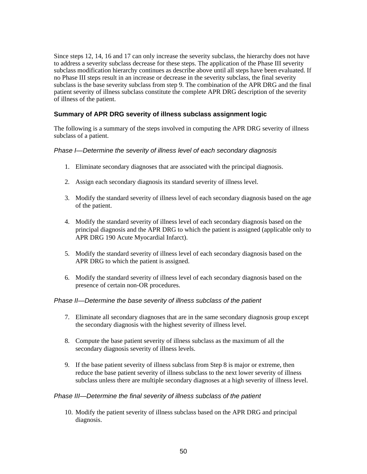Since steps 12, 14, 16 and 17 can only increase the severity subclass, the hierarchy does not have to address a severity subclass decrease for these steps. The application of the Phase III severity subclass modification hierarchy continues as describe above until all steps have been evaluated. If no Phase III steps result in an increase or decrease in the severity subclass, the final severity subclass is the base severity subclass from step 9. The combination of the APR DRG and the final patient severity of illness subclass constitute the complete APR DRG description of the severity of illness of the patient.

# **Summary of APR DRG severity of illness subclass assignment logic**

The following is a summary of the steps involved in computing the APR DRG severity of illness subclass of a patient.

## *Phase I—Determine the severity of illness level of each secondary diagnosis*

- 1. Eliminate secondary diagnoses that are associated with the principal diagnosis.
- 2. Assign each secondary diagnosis its standard severity of illness level.
- 3. Modify the standard severity of illness level of each secondary diagnosis based on the age of the patient.
- 4. Modify the standard severity of illness level of each secondary diagnosis based on the principal diagnosis and the APR DRG to which the patient is assigned (applicable only to APR DRG 190 Acute Myocardial Infarct).
- 5. Modify the standard severity of illness level of each secondary diagnosis based on the APR DRG to which the patient is assigned.
- 6. Modify the standard severity of illness level of each secondary diagnosis based on the presence of certain non-OR procedures.

#### *Phase II—Determine the base severity of illness subclass of the patient*

- 7. Eliminate all secondary diagnoses that are in the same secondary diagnosis group except the secondary diagnosis with the highest severity of illness level.
- 8. Compute the base patient severity of illness subclass as the maximum of all the secondary diagnosis severity of illness levels.
- 9. If the base patient severity of illness subclass from Step 8 is major or extreme, then reduce the base patient severity of illness subclass to the next lower severity of illness subclass unless there are multiple secondary diagnoses at a high severity of illness level.

#### *Phase III—Determine the final severity of illness subclass of the patient*

10. Modify the patient severity of illness subclass based on the APR DRG and principal diagnosis.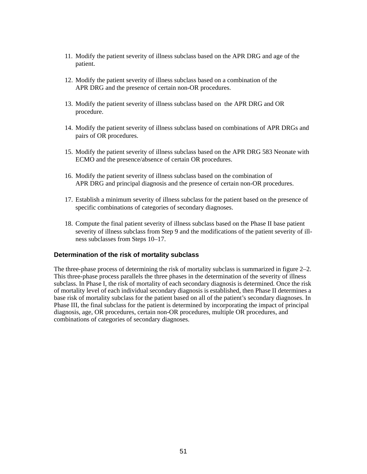- 11. Modify the patient severity of illness subclass based on the APR DRG and age of the patient.
- 12. Modify the patient severity of illness subclass based on a combination of the APR DRG and the presence of certain non-OR procedures.
- 13. Modify the patient severity of illness subclass based on the APR DRG and OR procedure.
- 14. Modify the patient severity of illness subclass based on combinations of APR DRGs and pairs of OR procedures.
- 15. Modify the patient severity of illness subclass based on the APR DRG 583 Neonate with ECMO and the presence/absence of certain OR procedures.
- 16. Modify the patient severity of illness subclass based on the combination of APR DRG and principal diagnosis and the presence of certain non-OR procedures.
- 17. Establish a minimum severity of illness subclass for the patient based on the presence of specific combinations of categories of secondary diagnoses.
- 18. Compute the final patient severity of illness subclass based on the Phase II base patient severity of illness subclass from Step 9 and the modifications of the patient severity of illness subclasses from Steps 10–17.

#### **Determination of the risk of mortality subclass**

The three-phase process of determining the risk of mortality subclass is summarized in figure 2–2. This three-phase process parallels the three phases in the determination of the severity of illness subclass. In Phase I, the risk of mortality of each secondary diagnosis is determined. Once the risk of mortality level of each individual secondary diagnosis is established, then Phase II determines a base risk of mortality subclass for the patient based on all of the patient's secondary diagnoses. In Phase III, the final subclass for the patient is determined by incorporating the impact of principal diagnosis, age, OR procedures, certain non-OR procedures, multiple OR procedures, and combinations of categories of secondary diagnoses.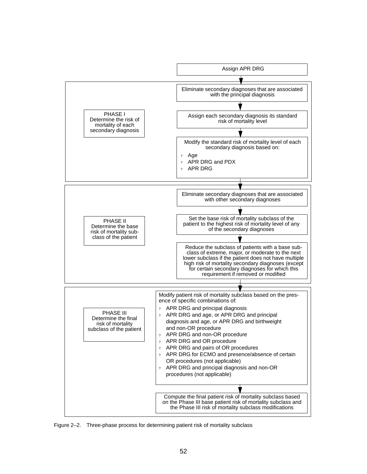

Figure 2–2. Three-phase process for determining patient risk of mortality subclass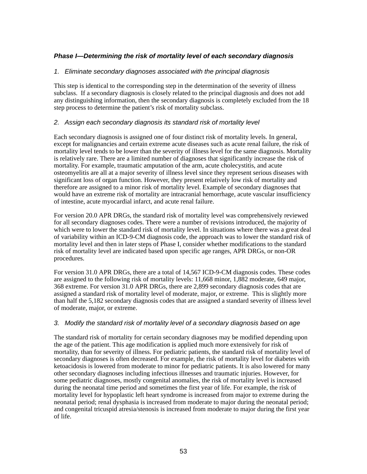# *Phase I—Determining the risk of mortality level of each secondary diagnosis*

## *1. Eliminate secondary diagnoses associated with the principal diagnosis*

This step is identical to the corresponding step in the determination of the severity of illness subclass. If a secondary diagnosis is closely related to the principal diagnosis and does not add any distinguishing information, then the secondary diagnosis is completely excluded from the 18 step process to determine the patient's risk of mortality subclass.

## *2. Assign each secondary diagnosis its standard risk of mortality level*

Each secondary diagnosis is assigned one of four distinct risk of mortality levels. In general, except for malignancies and certain extreme acute diseases such as acute renal failure, the risk of mortality level tends to be lower than the severity of illness level for the same diagnosis. Mortality is relatively rare. There are a limited number of diagnoses that significantly increase the risk of mortality. For example, traumatic amputation of the arm, acute cholecystitis, and acute osteomyelitis are all at a major severity of illness level since they represent serious diseases with significant loss of organ function. However, they present relatively low risk of mortality and therefore are assigned to a minor risk of mortality level. Example of secondary diagnoses that would have an extreme risk of mortality are intracranial hemorrhage, acute vascular insufficiency of intestine, acute myocardial infarct, and acute renal failure.

For version 20.0 APR DRGs, the standard risk of mortality level was comprehensively reviewed for all secondary diagnoses codes. There were a number of revisions introduced, the majority of which were to lower the standard risk of mortality level. In situations where there was a great deal of variability within an ICD-9-CM diagnosis code, the approach was to lower the standard risk of mortality level and then in later steps of Phase I, consider whether modifications to the standard risk of mortality level are indicated based upon specific age ranges, APR DRGs, or non-OR procedures.

For version 31.0 APR DRGs, there are a total of 14,567 ICD-9-CM diagnosis codes. These codes are assigned to the following risk of mortality levels: 11,668 minor, 1,882 moderate, 649 major, 368 extreme. For version 31.0 APR DRGs, there are 2,899 secondary diagnosis codes that are assigned a standard risk of mortality level of moderate, major, or extreme. This is slightly more than half the 5,182 secondary diagnosis codes that are assigned a standard severity of illness level of moderate, major, or extreme.

## *3. Modify the standard risk of mortality level of a secondary diagnosis based on age*

The standard risk of mortality for certain secondary diagnoses may be modified depending upon the age of the patient. This age modification is applied much more extensively for risk of mortality, than for severity of illness. For pediatric patients, the standard risk of mortality level of secondary diagnoses is often decreased. For example, the risk of mortality level for diabetes with ketoacidosis is lowered from moderate to minor for pediatric patients. It is also lowered for many other secondary diagnoses including infectious illnesses and traumatic injuries. However, for some pediatric diagnoses, mostly congenital anomalies, the risk of mortality level is increased during the neonatal time period and sometimes the first year of life. For example, the risk of mortality level for hypoplastic left heart syndrome is increased from major to extreme during the neonatal period; renal dysphasia is increased from moderate to major during the neonatal period; and congenital tricuspid atresia/stenosis is increased from moderate to major during the first year of life.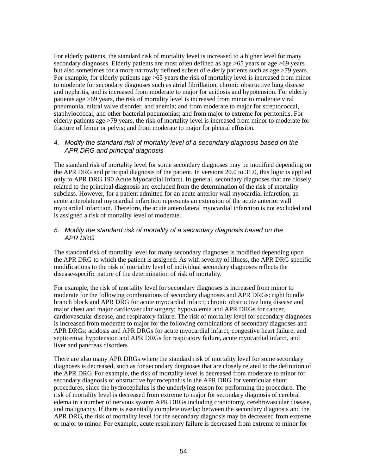For elderly patients, the standard risk of mortality level is increased to a higher level for many secondary diagnoses. Elderly patients are most often defined as age >65 years or age >69 years but also sometimes for a more narrowly defined subset of elderly patients such as age >79 years. For example, for elderly patients age  $>65$  years the risk of mortality level is increased from minor to moderate for secondary diagnoses such as atrial fibrillation, chronic obstructive lung disease and nephritis, and is increased from moderate to major for acidosis and hypotension. For elderly patients age >69 years, the risk of mortality level is increased from minor to moderate viral pneumonia, mitral valve disorder, and anemia; and from moderate to major for streptococcal, staphylococcal, and other bacterial pneumonias; and from major to extreme for peritonitis. For elderly patients age >79 years, the risk of mortality level is increased from minor to moderate for fracture of femur or pelvis; and from moderate to major for pleural effusion.

## *4. Modify the standard risk of mortality level of a secondary diagnosis based on the APR DRG and principal diagnosis*

The standard risk of mortality level for some secondary diagnoses may be modified depending on the APR DRG and principal diagnosis of the patient. In versions 20.0 to 31.0, this logic is applied only to APR DRG 190 Acute Myocardial Infarct. In general, secondary diagnoses that are closely related to the principal diagnosis are excluded from the determination of the risk of mortality subclass. However, for a patient admitted for an acute anterior wall myocardial infarction, an acute anterolateral myocardial infarction represents an extension of the acute anterior wall myocardial infarction. Therefore, the acute anterolateral myocardial infarction is not excluded and is assigned a risk of mortality level of moderate.

## *5. Modify the standard risk of mortality of a secondary diagnosis based on the APR DRG*

The standard risk of mortality level for many secondary diagnoses is modified depending upon the APR DRG to which the patient is assigned. As with severity of illness, the APR DRG specific modifications to the risk of mortality level of individual secondary diagnoses reflects the disease-specific nature of the determination of risk of mortality.

For example, the risk of mortality level for secondary diagnoses is increased from minor to moderate for the following combinations of secondary diagnoses and APR DRGs: right bundle branch block and APR DRG for acute myocardial infarct; chronic obstructive lung disease and major chest and major cardiovascular surgery; hypovolemia and APR DRGs for cancer, cardiovascular disease, and respiratory failure. The risk of mortality level for secondary diagnoses is increased from moderate to major for the following combinations of secondary diagnoses and APR DRGs: acidosis and APR DRGs for acute myocardial infarct, congestive heart failure, and septicemia; hypotension and APR DRGs for respiratory failure, acute myocardial infarct, and liver and pancreas disorders.

There are also many APR DRGs where the standard risk of mortality level for some secondary diagnoses is decreased, such as for secondary diagnoses that are closely related to the definition of the APR DRG. For example, the risk of mortality level is decreased from moderate to minor for secondary diagnosis of obstructive hydrocephalus in the APR DRG for ventricular shunt procedures, since the hydrocephalus is the underlying reason for performing the procedure. The risk of mortality level is decreased from extreme to major for secondary diagnosis of cerebral edema in a number of nervous system APR DRGs including craniotomy, cerebrovascular disease, and malignancy. If there is essentially complete overlap between the secondary diagnosis and the APR DRG, the risk of mortality level for the secondary diagnosis may be decreased from extreme or major to minor. For example, acute respiratory failure is decreased from extreme to minor for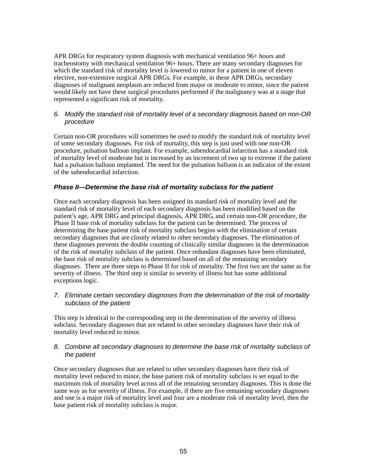APR DRGs for respiratory system diagnosis with mechanical ventilation 96+ hours and tracheostomy with mechanical ventilation 96+ hours. There are many secondary diagnoses for which the standard risk of mortality level is lowered to minor for a patient in one of eleven elective, non-extensive surgical APR DRGs. For example, in these APR DRGs, secondary diagnoses of malignant neoplasm are reduced from major or moderate to minor, since the patient would likely not have these surgical procedures performed if the malignancy was at a stage that represented a significant risk of mortality.

## *6. Modify the standard risk of mortality level of a secondary diagnosis based on non-OR procedure*

Certain non-OR procedures will sometimes be used to modify the standard risk of mortality level of some secondary diagnoses. For risk of mortality, this step is just used with one non-OR procedure, pulsation balloon implant. For example, subendocardial infarction has a standard risk of mortality level of moderate but is increased by an increment of two up to extreme if the patient had a pulsation balloon implanted. The need for the pulsation balloon is an indicator of the extent of the subendocardial infarction.

# *Phase II—Determine the base risk of mortality subclass for the patient*

Once each secondary diagnosis has been assigned its standard risk of mortality level and the standard risk of mortality level of each secondary diagnosis has been modified based on the patient's age, APR DRG and principal diagnosis, APR DRG, and certain non-OR procedure, the Phase II base risk of mortality subclass for the patient can be determined. The process of determining the base patient risk of mortality subclass begins with the elimination of certain secondary diagnoses that are closely related to other secondary diagnoses. The elimination of these diagnoses prevents the double counting of clinically similar diagnoses in the determination of the risk of mortality subclass of the patient. Once redundant diagnoses have been eliminated, the base risk of mortality subclass is determined based on all of the remaining secondary diagnoses. There are three steps to Phase II for risk of mortality. The first two are the same as for severity of illness. The third step is similar to severity of illness but has some additional exceptions logic.

## *7. Eliminate certain secondary diagnoses from the determination of the risk of mortality subclass of the patient*

This step is identical to the corresponding step in the determination of the severity of illness subclass. Secondary diagnoses that are related to other secondary diagnoses have their risk of mortality level reduced to minor.

## *8. Combine all secondary diagnoses to determine the base risk of mortality subclass of the patient*

Once secondary diagnoses that are related to other secondary diagnoses have their risk of mortality level reduced to minor, the base patient risk of mortality subclass is set equal to the maximum risk of mortality level across all of the remaining secondary diagnoses. This is done the same way as for severity of illness. For example, if there are five remaining secondary diagnoses and one is a major risk of mortality level and four are a moderate risk of mortality level, then the base patient risk of mortality subclass is major.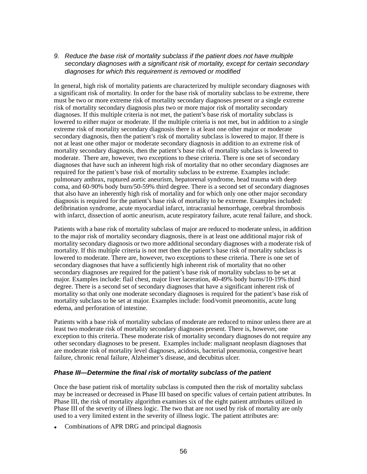## *9. Reduce the base risk of mortality subclass if the patient does not have multiple secondary diagnoses with a significant risk of mortality, except for certain secondary diagnoses for which this requirement is removed or modified*

In general, high risk of mortality patients are characterized by multiple secondary diagnoses with a significant risk of mortality. In order for the base risk of mortality subclass to be extreme, there must be two or more extreme risk of mortality secondary diagnoses present or a single extreme risk of mortality secondary diagnosis plus two or more major risk of mortality secondary diagnoses. If this multiple criteria is not met, the patient's base risk of mortality subclass is lowered to either major or moderate. If the multiple criteria is not met, but in addition to a single extreme risk of mortality secondary diagnosis there is at least one other major or moderate secondary diagnosis, then the patient's risk of mortality subclass is lowered to major. If there is not at least one other major or moderate secondary diagnosis in addition to an extreme risk of mortality secondary diagnosis, then the patient's base risk of mortality subclass is lowered to moderate. There are, however, two exceptions to these criteria. There is one set of secondary diagnoses that have such an inherent high risk of mortality that no other secondary diagnoses are required for the patient's base risk of mortality subclass to be extreme. Examples include: pulmonary anthrax, ruptured aortic aneurism, hepatorenal syndrome, head trauma with deep coma, and 60-90% body burn/50-59% third degree. There is a second set of secondary diagnoses that also have an inherently high risk of mortality and for which only one other major secondary diagnosis is required for the patient's base risk of mortality to be extreme. Examples included: defibrination syndrome, acute myocardial infarct, intracranial hemorrhage, cerebral thrombosis with infarct, dissection of aortic aneurism, acute respiratory failure, acute renal failure, and shock.

Patients with a base risk of mortality subclass of major are reduced to moderate unless, in addition to the major risk of mortality secondary diagnosis, there is at least one additional major risk of mortality secondary diagnosis or two more additional secondary diagnoses with a moderate risk of mortality. If this multiple criteria is not met then the patient's base risk of mortality subclass is lowered to moderate. There are, however, two exceptions to these criteria. There is one set of secondary diagnoses that have a sufficiently high inherent risk of mortality that no other secondary diagnoses are required for the patient's base risk of mortality subclass to be set at major. Examples include: flail chest, major liver laceration, 40-49% body burns/10-19% third degree. There is a second set of secondary diagnoses that have a significant inherent risk of mortality so that only one moderate secondary diagnoses is required for the patient's base risk of mortality subclass to be set at major. Examples include: food/vomit pneomonitis, acute lung edema, and perforation of intestine.

Patients with a base risk of mortality subclass of moderate are reduced to minor unless there are at least two moderate risk of mortality secondary diagnoses present. There is, however, one exception to this criteria. These moderate risk of mortality secondary diagnoses do not require any other secondary diagnoses to be present. Examples include: malignant neoplasm diagnoses that are moderate risk of mortality level diagnoses, acidosis, bacterial pneumonia, congestive heart failure, chronic renal failure, Alzheimer's disease, and decubitus ulcer.

## *Phase III—Determine the final risk of mortality subclass of the patient*

Once the base patient risk of mortality subclass is computed then the risk of mortality subclass may be increased or decreased in Phase III based on specific values of certain patient attributes. In Phase III, the risk of mortality algorithm examines six of the eight patient attributes utilized in Phase III of the severity of illness logic. The two that are not used by risk of mortality are only used to a very limited extent in the severity of illness logic. The patient attributes are:

• Combinations of APR DRG and principal diagnosis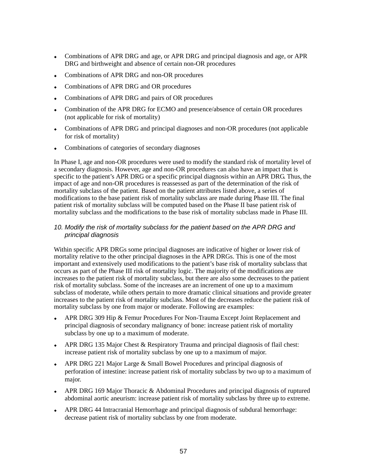- Combinations of APR DRG and age, or APR DRG and principal diagnosis and age, or APR DRG and birthweight and absence of certain non-OR procedures
- Combinations of APR DRG and non-OR procedures
- Combinations of APR DRG and OR procedures
- Combinations of APR DRG and pairs of OR procedures
- Combination of the APR DRG for ECMO and presence/absence of certain OR procedures (not applicable for risk of mortality)
- Combinations of APR DRG and principal diagnoses and non-OR procedures (not applicable for risk of mortality)
- Combinations of categories of secondary diagnoses

In Phase I, age and non-OR procedures were used to modify the standard risk of mortality level of a secondary diagnosis. However, age and non-OR procedures can also have an impact that is specific to the patient's APR DRG or a specific principal diagnosis within an APR DRG. Thus, the impact of age and non-OR procedures is reassessed as part of the determination of the risk of mortality subclass of the patient. Based on the patient attributes listed above, a series of modifications to the base patient risk of mortality subclass are made during Phase III. The final patient risk of mortality subclass will be computed based on the Phase II base patient risk of mortality subclass and the modifications to the base risk of mortality subclass made in Phase III.

## *10. Modify the risk of mortality subclass for the patient based on the APR DRG and principal diagnosis*

Within specific APR DRGs some principal diagnoses are indicative of higher or lower risk of mortality relative to the other principal diagnoses in the APR DRGs. This is one of the most important and extensively used modifications to the patient's base risk of mortality subclass that occurs as part of the Phase III risk of mortality logic. The majority of the modifications are increases to the patient risk of mortality subclass, but there are also some decreases to the patient risk of mortality subclass. Some of the increases are an increment of one up to a maximum subclass of moderate, while others pertain to more dramatic clinical situations and provide greater increases to the patient risk of mortality subclass. Most of the decreases reduce the patient risk of mortality subclass by one from major or moderate. Following are examples:

- APR DRG 309 Hip & Femur Procedures For Non-Trauma Except Joint Replacement and principal diagnosis of secondary malignancy of bone: increase patient risk of mortality subclass by one up to a maximum of moderate.
- APR DRG 135 Major Chest & Respiratory Trauma and principal diagnosis of flail chest: increase patient risk of mortality subclass by one up to a maximum of major.
- APR DRG 221 Major Large & Small Bowel Procedures and principal diagnosis of perforation of intestine: increase patient risk of mortality subclass by two up to a maximum of major.
- APR DRG 169 Major Thoracic & Abdominal Procedures and principal diagnosis of ruptured abdominal aortic aneurism: increase patient risk of mortality subclass by three up to extreme.
- APR DRG 44 Intracranial Hemorrhage and principal diagnosis of subdural hemorrhage: decrease patient risk of mortality subclass by one from moderate.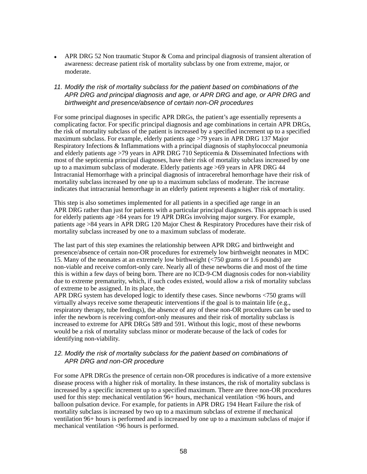APR DRG 52 Non traumatic Stupor & Coma and principal diagnosis of transient alteration of awareness: decrease patient risk of mortality subclass by one from extreme, major, or moderate.

## *11. Modify the risk of mortality subclass for the patient based on combinations of the APR DRG and principal diagnosis and age, or APR DRG and age, or APR DRG and birthweight and presence/absence of certain non-OR procedures*

For some principal diagnoses in specific APR DRGs, the patient's age essentially represents a complicating factor. For specific principal diagnosis and age combinations in certain APR DRGs, the risk of mortality subclass of the patient is increased by a specified increment up to a specified maximum subclass. For example, elderly patients age >79 years in APR DRG 137 Major Respiratory Infections & Inflammations with a principal diagnosis of staphylococcal pneumonia and elderly patients age  $>79$  years in APR DRG 710 Septicemia & Disseminated Infections with most of the septicemia principal diagnoses, have their risk of mortality subclass increased by one up to a maximum subclass of moderate. Elderly patients age >69 years in APR DRG 44 Intracranial Hemorrhage with a principal diagnosis of intracerebral hemorrhage have their risk of mortality subclass increased by one up to a maximum subclass of moderate. The increase indicates that intracranial hemorrhage in an elderly patient represents a higher risk of mortality.

This step is also sometimes implemented for all patients in a specified age range in an APR DRG rather than just for patients with a particular principal diagnoses. This approach is used for elderly patients age >84 years for 19 APR DRGs involving major surgery. For example, patients age >84 years in APR DRG 120 Major Chest & Respiratory Procedures have their risk of mortality subclass increased by one to a maximum subclass of moderate.

The last part of this step examines the relationship between APR DRG and birthweight and presence/absence of certain non-OR procedures for extremely low birthweight neonates in MDC 15. Many of the neonates at an extremely low birthweight (<750 grams or 1.6 pounds) are non-viable and receive comfort-only care. Nearly all of these newborns die and most of the time this is within a few days of being born. There are no ICD-9-CM diagnosis codes for non-viability due to extreme prematurity, which, if such codes existed, would allow a risk of mortality subclass of extreme to be assigned. In its place, the

APR DRG system has developed logic to identify these cases. Since newborns <750 grams will virtually always receive some therapeutic interventions if the goal is to maintain life (e.g., respiratory therapy, tube feedings), the absence of any of these non-OR procedures can be used to infer the newborn is receiving comfort-only measures and their risk of mortality subclass is increased to extreme for APR DRGs 589 and 591. Without this logic, most of these newborns would be a risk of mortality subclass minor or moderate because of the lack of codes for identifying non-viability.

## 12. Modify the risk of mortality subclass for the patient based on combinations of *APR DRG and non-OR procedure*

For some APR DRGs the presence of certain non-OR procedures is indicative of a more extensive disease process with a higher risk of mortality. In these instances, the risk of mortality subclass is increased by a specific increment up to a specified maximum. There are three non-OR procedures used for this step: mechanical ventilation 96+ hours, mechanical ventilation <96 hours, and balloon pulsation device. For example, for patients in APR DRG 194 Heart Failure the risk of mortality subclass is increased by two up to a maximum subclass of extreme if mechanical ventilation 96+ hours is performed and is increased by one up to a maximum subclass of major if mechanical ventilation <96 hours is performed.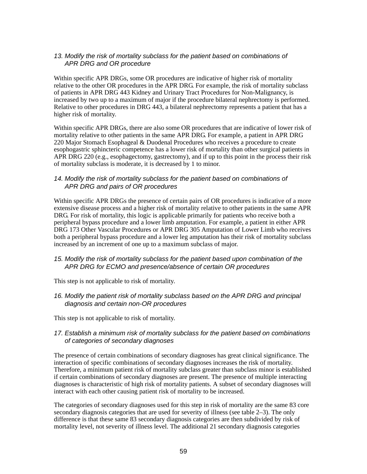## *13. Modify the risk of mortality subclass for the patient based on combinations of APR DRG and OR procedure*

Within specific APR DRGs, some OR procedures are indicative of higher risk of mortality relative to the other OR procedures in the APR DRG. For example, the risk of mortality subclass of patients in APR DRG 443 Kidney and Urinary Tract Procedures for Non-Malignancy, is increased by two up to a maximum of major if the procedure bilateral nephrectomy is performed. Relative to other procedures in DRG 443, a bilateral nephrectomy represents a patient that has a higher risk of mortality.

Within specific APR DRGs, there are also some OR procedures that are indicative of lower risk of mortality relative to other patients in the same APR DRG. For example, a patient in APR DRG 220 Major Stomach Esophageal & Duodenal Procedures who receives a procedure to create esophogastric sphincteric competence has a lower risk of mortality than other surgical patients in APR DRG 220 (e.g., esophagectomy, gastrectomy), and if up to this point in the process their risk of mortality subclass is moderate, it is decreased by 1 to minor.

## 14. Modify the risk of mortality subclass for the patient based on combinations of *APR DRG and pairs of OR procedures*

Within specific APR DRGs the presence of certain pairs of OR procedures is indicative of a more extensive disease process and a higher risk of mortality relative to other patients in the same APR DRG. For risk of mortality, this logic is applicable primarily for patients who receive both a peripheral bypass procedure and a lower limb amputation. For example, a patient in either APR DRG 173 Other Vascular Procedures or APR DRG 305 Amputation of Lower Limb who receives both a peripheral bypass procedure and a lower leg amputation has their risk of mortality subclass increased by an increment of one up to a maximum subclass of major.

## *15. Modify the risk of mortality subclass for the patient based upon combination of the APR DRG for ECMO and presence/absence of certain OR procedures*

This step is not applicable to risk of mortality.

*16. Modify the patient risk of mortality subclass based on the APR DRG and principal diagnosis and certain non-OR procedures* 

This step is not applicable to risk of mortality.

## *17. Establish a minimum risk of mortality subclass for the patient based on combinations of categories of secondary diagnoses*

The presence of certain combinations of secondary diagnoses has great clinical significance. The interaction of specific combinations of secondary diagnoses increases the risk of mortality. Therefore, a minimum patient risk of mortality subclass greater than subclass minor is established if certain combinations of secondary diagnoses are present. The presence of multiple interacting diagnoses is characteristic of high risk of mortality patients. A subset of secondary diagnoses will interact with each other causing patient risk of mortality to be increased.

The categories of secondary diagnoses used for this step in risk of mortality are the same 83 core secondary diagnosis categories that are used for severity of illness (see table 2–3). The only difference is that these same 83 secondary diagnosis categories are then subdivided by risk of mortality level, not severity of illness level. The additional 21 secondary diagnosis categories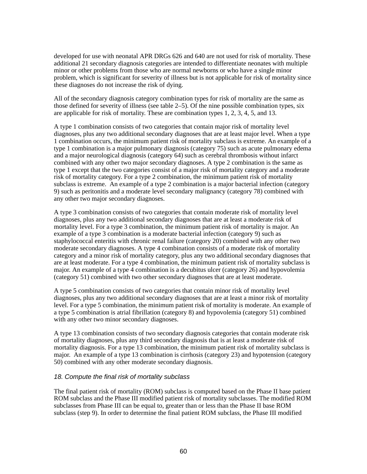developed for use with neonatal APR DRGs 626 and 640 are not used for risk of mortality. These additional 21 secondary diagnosis categories are intended to differentiate neonates with multiple minor or other problems from those who are normal newborns or who have a single minor problem, which is significant for severity of illness but is not applicable for risk of mortality since these diagnoses do not increase the risk of dying.

All of the secondary diagnosis category combination types for risk of mortality are the same as those defined for severity of illness (see table 2–5). Of the nine possible combination types, six are applicable for risk of mortality. These are combination types 1, 2, 3, 4, 5, and 13.

A type 1 combination consists of two categories that contain major risk of mortality level diagnoses, plus any two additional secondary diagnoses that are at least major level. When a type 1 combination occurs, the minimum patient risk of mortality subclass is extreme. An example of a type 1 combination is a major pulmonary diagnosis (category 75) such as acute pulmonary edema and a major neurological diagnosis (category 64) such as cerebral thrombosis without infarct combined with any other two major secondary diagnoses. A type 2 combination is the same as type 1 except that the two categories consist of a major risk of mortality category and a moderate risk of mortality category. For a type 2 combination, the minimum patient risk of mortality subclass is extreme. An example of a type 2 combination is a major bacterial infection (category 9) such as peritonitis and a moderate level secondary malignancy (category 78) combined with any other two major secondary diagnoses.

A type 3 combination consists of two categories that contain moderate risk of mortality level diagnoses, plus any two additional secondary diagnoses that are at least a moderate risk of mortality level. For a type 3 combination, the minimum patient risk of mortality is major. An example of a type 3 combination is a moderate bacterial infection (category 9) such as staphylococcal enteritis with chronic renal failure (category 20) combined with any other two moderate secondary diagnoses. A type 4 combination consists of a moderate risk of mortality category and a minor risk of mortality category, plus any two additional secondary diagnoses that are at least moderate. For a type 4 combination, the minimum patient risk of mortality subclass is major. An example of a type 4 combination is a decubitus ulcer (category 26) and hypovolemia (category 51) combined with two other secondary diagnoses that are at least moderate.

A type 5 combination consists of two categories that contain minor risk of mortality level diagnoses, plus any two additional secondary diagnoses that are at least a minor risk of mortality level. For a type 5 combination, the minimum patient risk of mortality is moderate. An example of a type 5 combination is atrial fibrillation (category 8) and hypovolemia (category 51) combined with any other two minor secondary diagnoses.

A type 13 combination consists of two secondary diagnosis categories that contain moderate risk of mortality diagnoses, plus any third secondary diagnosis that is at least a moderate risk of mortality diagnosis. For a type 13 combination, the minimum patient risk of mortality subclass is major. An example of a type 13 combination is cirrhosis (category 23) and hypotension (category 50) combined with any other moderate secondary diagnosis.

## *18. Compute the final risk of mortality subclass*

The final patient risk of mortality (ROM) subclass is computed based on the Phase II base patient ROM subclass and the Phase III modified patient risk of mortality subclasses. The modified ROM subclasses from Phase III can be equal to, greater than or less than the Phase II base ROM subclass (step 9). In order to determine the final patient ROM subclass, the Phase III modified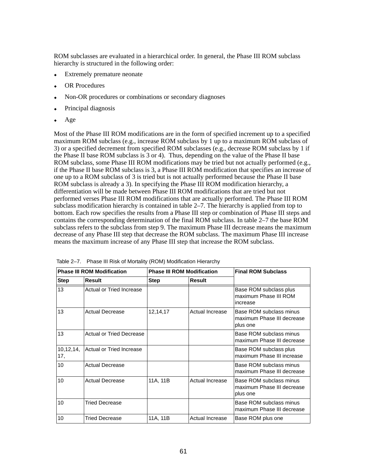ROM subclasses are evaluated in a hierarchical order. In general, the Phase III ROM subclass hierarchy is structured in the following order:

- Extremely premature neonate
- OR Procedures
- Non-OR procedures or combinations or secondary diagnoses
- Principal diagnosis
- Age

Most of the Phase III ROM modifications are in the form of specified increment up to a specified maximum ROM subclass (e.g., increase ROM subclass by 1 up to a maximum ROM subclass of 3) or a specified decrement from specified ROM subclasses (e.g., decrease ROM subclass by 1 if the Phase II base ROM subclass is 3 or 4). Thus, depending on the value of the Phase II base ROM subclass, some Phase III ROM modifications may be tried but not actually performed (e.g., if the Phase II base ROM subclass is 3, a Phase III ROM modification that specifies an increase of one up to a ROM subclass of 3 is tried but is not actually performed because the Phase II base ROM subclass is already a 3). In specifying the Phase III ROM modification hierarchy, a differentiation will be made between Phase III ROM modifications that are tried but not performed verses Phase III ROM modifications that are actually performed. The Phase III ROM subclass modification hierarchy is contained in table [2–7.](#page-66-0) The hierarchy is applied from top to bottom. Each row specifies the results from a Phase III step or combination of Phase III steps and contains the corresponding determination of the final ROM subclass. In table [2–7](#page-66-0) the base ROM subclass refers to the subclass from step 9. The maximum Phase III decrease means the maximum decrease of any Phase III step that decrease the ROM subclass. The maximum Phase III increase means the maximum increase of any Phase III step that increase the ROM subclass.

| <b>Phase III ROM Modification</b> |                                 | <b>Phase III ROM Modification</b> |                 | <b>Final ROM Subclass</b>                                         |
|-----------------------------------|---------------------------------|-----------------------------------|-----------------|-------------------------------------------------------------------|
| <b>Step</b>                       | Result                          | <b>Step</b>                       | <b>Result</b>   |                                                                   |
| 13                                | Actual or Tried Increase        |                                   |                 | Base ROM subclass plus<br>maximum Phase III ROM<br>increase       |
| 13                                | <b>Actual Decrease</b>          | 12,14,17                          | Actual Increase | Base ROM subclass minus<br>maximum Phase III decrease<br>plus one |
| 13                                | <b>Actual or Tried Decrease</b> |                                   |                 | Base ROM subclass minus<br>maximum Phase III decrease             |
| 10, 12, 14,<br>17,                | Actual or Tried Increase        |                                   |                 | Base ROM subclass plus<br>maximum Phase III increase              |
| 10                                | Actual Decrease                 |                                   |                 | Base ROM subclass minus<br>maximum Phase III decrease             |
| 10                                | <b>Actual Decrease</b>          | 11A, 11B                          | Actual Increase | Base ROM subclass minus<br>maximum Phase III decrease<br>plus one |
| 10                                | <b>Tried Decrease</b>           |                                   |                 | Base ROM subclass minus<br>maximum Phase III decrease             |
| 10                                | <b>Tried Decrease</b>           | 11A, 11B                          | Actual Increase | Base ROM plus one                                                 |

<span id="page-66-0"></span>Table 2–7. Phase III Risk of Mortality (ROM) Modification Hierarchy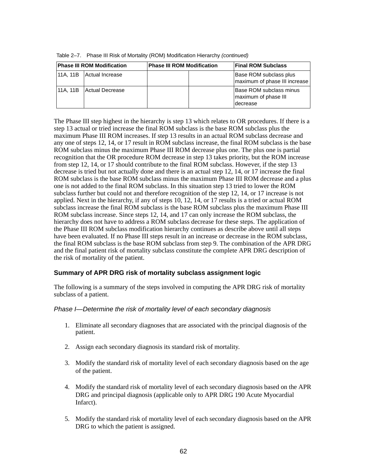| <b>Phase III ROM Modification</b> |                          | <b>Phase III ROM Modification</b> |  | <b>Final ROM Subclass</b>                                   |
|-----------------------------------|--------------------------|-----------------------------------|--|-------------------------------------------------------------|
|                                   | 11A, 11B Actual Increase |                                   |  | Base ROM subclass plus<br>maximum of phase III increase     |
|                                   | 11A, 11B Actual Decrease |                                   |  | Base ROM subclass minus<br>maximum of phase III<br>decrease |

Table 2–7. Phase III Risk of Mortality (ROM) Modification Hierarchy *(continued)*

The Phase III step highest in the hierarchy is step 13 which relates to OR procedures. If there is a step 13 actual or tried increase the final ROM subclass is the base ROM subclass plus the maximum Phase III ROM increases. If step 13 results in an actual ROM subclass decrease and any one of steps 12, 14, or 17 result in ROM subclass increase, the final ROM subclass is the base ROM subclass minus the maximum Phase III ROM decrease plus one. The plus one is partial recognition that the OR procedure ROM decrease in step 13 takes priority, but the ROM increase from step 12, 14, or 17 should contribute to the final ROM subclass. However, if the step 13 decrease is tried but not actually done and there is an actual step 12, 14, or 17 increase the final ROM subclass is the base ROM subclass minus the maximum Phase III ROM decrease and a plus one is not added to the final ROM subclass. In this situation step 13 tried to lower the ROM subclass further but could not and therefore recognition of the step 12, 14, or 17 increase is not applied. Next in the hierarchy, if any of steps 10, 12, 14, or 17 results is a tried or actual ROM subclass increase the final ROM subclass is the base ROM subclass plus the maximum Phase III ROM subclass increase. Since steps 12, 14, and 17 can only increase the ROM subclass, the hierarchy does not have to address a ROM subclass decrease for these steps. The application of the Phase III ROM subclass modification hierarchy continues as describe above until all steps have been evaluated. If no Phase III steps result in an increase or decrease in the ROM subclass, the final ROM subclass is the base ROM subclass from step 9. The combination of the APR DRG and the final patient risk of mortality subclass constitute the complete APR DRG description of the risk of mortality of the patient.

# **Summary of APR DRG risk of mortality subclass assignment logic**

The following is a summary of the steps involved in computing the APR DRG risk of mortality subclass of a patient.

# *Phase I—Determine the risk of mortality level of each secondary diagnosis*

- 1. Eliminate all secondary diagnoses that are associated with the principal diagnosis of the patient.
- 2. Assign each secondary diagnosis its standard risk of mortality.
- 3. Modify the standard risk of mortality level of each secondary diagnosis based on the age of the patient.
- 4. Modify the standard risk of mortality level of each secondary diagnosis based on the APR DRG and principal diagnosis (applicable only to APR DRG 190 Acute Myocardial Infarct).
- 5. Modify the standard risk of mortality level of each secondary diagnosis based on the APR DRG to which the patient is assigned.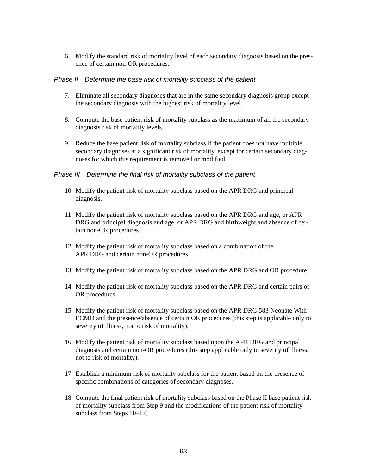6. Modify the standard risk of mortality level of each secondary diagnosis based on the presence of certain non-OR procedures.

#### *Phase II—Determine the base risk of mortality subclass of the patient*

- 7. Eliminate all secondary diagnoses that are in the same secondary diagnosis group except the secondary diagnosis with the highest risk of mortality level.
- 8. Compute the base patient risk of mortality subclass as the maximum of all the secondary diagnosis risk of mortality levels.
- 9. Reduce the base patient risk of mortality subclass if the patient does not have multiple secondary diagnoses at a significant risk of mortality, except for certain secondary diagnoses for which this requirement is removed or modified.

#### *Phase III—Determine the final risk of mortality subclass of the patient*

- 10. Modify the patient risk of mortality subclass based on the APR DRG and principal diagnosis.
- 11. Modify the patient risk of mortality subclass based on the APR DRG and age, or APR DRG and principal diagnosis and age, or APR DRG and birthweight and absence of certain non-OR procedures.
- 12. Modify the patient risk of mortality subclass based on a combination of the APR DRG and certain non-OR procedures.
- 13. Modify the patient risk of mortality subclass based on the APR DRG and OR procedure.
- 14. Modify the patient risk of mortality subclass based on the APR DRG and certain pairs of OR procedures.
- 15. Modify the patient risk of mortality subclass based on the APR DRG 583 Neonate With ECMO and the presence/absence of certain OR procedures (this step is applicable only to severity of illness, not to risk of mortality).
- 16. Modify the patient risk of mortality subclass based upon the APR DRG and principal diagnosis and certain non-OR procedures (this step applicable only to severity of illness, not to risk of mortality).
- 17. Establish a minimum risk of mortality subclass for the patient based on the presence of specific combinations of categories of secondary diagnoses.
- 18. Compute the final patient risk of mortality subclass based on the Phase II base patient risk of mortality subclass from Step 9 and the modifications of the patient risk of mortality subclass from Steps 10–17.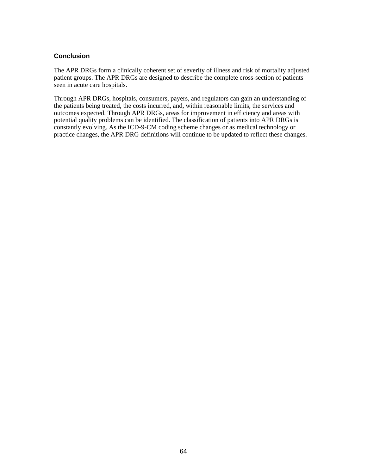## **Conclusion**

The APR DRGs form a clinically coherent set of severity of illness and risk of mortality adjusted patient groups. The APR DRGs are designed to describe the complete cross-section of patients seen in acute care hospitals.

Through APR DRGs, hospitals, consumers, payers, and regulators can gain an understanding of the patients being treated, the costs incurred, and, within reasonable limits, the services and outcomes expected. Through APR DRGs, areas for improvement in efficiency and areas with potential quality problems can be identified. The classification of patients into APR DRGs is constantly evolving. As the ICD-9-CM coding scheme changes or as medical technology or practice changes, the APR DRG definitions will continue to be updated to reflect these changes.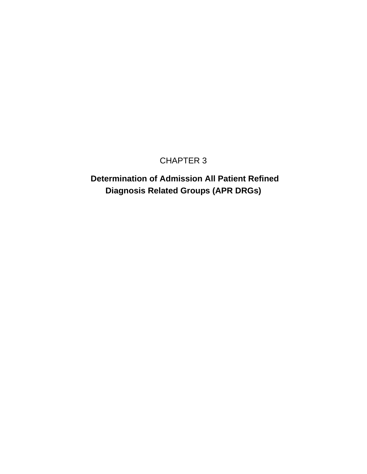# CHAPTER 3

# 3**Determination of Admission All Patient Refined Diagnosis Related Groups (APR DRGs)**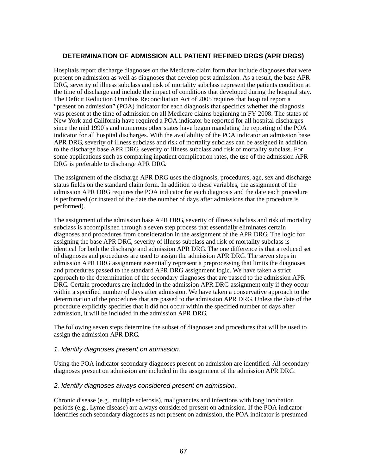## **DETERMINATION OF ADMISSION ALL PATIENT REFINED DRGS (APR DRGS)**

Hospitals report discharge diagnoses on the Medicare claim form that include diagnoses that were present on admission as well as diagnoses that develop post admission. As a result, the base APR DRG, severity of illness subclass and risk of mortality subclass represent the patients condition at the time of discharge and include the impact of conditions that developed during the hospital stay. The Deficit Reduction Omnibus Reconciliation Act of 2005 requires that hospital report a "present on admission" (POA) indicator for each diagnosis that specifics whether the diagnosis was present at the time of admission on all Medicare claims beginning in FY 2008. The states of New York and California have required a POA indicator be reported for all hospital discharges since the mid 1990's and numerous other states have begun mandating the reporting of the POA indicator for all hospital discharges. With the availability of the POA indicator an admission base APR DRG, severity of illness subclass and risk of mortality subclass can be assigned in addition to the discharge base APR DRG, severity of illness subclass and risk of mortality subclass. For some applications such as comparing inpatient complication rates, the use of the admission APR DRG is preferable to discharge APR DRG.

The assignment of the discharge APR DRG uses the diagnosis, procedures, age, sex and discharge status fields on the standard claim form. In addition to these variables, the assignment of the admission APR DRG requires the POA indicator for each diagnosis and the date each procedure is performed (or instead of the date the number of days after admissions that the procedure is performed).

The assignment of the admission base APR DRG, severity of illness subclass and risk of mortality subclass is accomplished through a seven step process that essentially eliminates certain diagnoses and procedures from consideration in the assignment of the APR DRG. The logic for assigning the base APR DRG, severity of illness subclass and risk of mortality subclass is identical for both the discharge and admission APR DRG. The one difference is that a reduced set of diagnoses and procedures are used to assign the admission APR DRG. The seven steps in admission APR DRG assignment essentially represent a preprocessing that limits the diagnoses and procedures passed to the standard APR DRG assignment logic. We have taken a strict approach to the determination of the secondary diagnoses that are passed to the admission APR DRG. Certain procedures are included in the admission APR DRG assignment only if they occur within a specified number of days after admission. We have taken a conservative approach to the determination of the procedures that are passed to the admission APR DRG. Unless the date of the procedure explicitly specifies that it did not occur within the specified number of days after admission, it will be included in the admission APR DRG.

The following seven steps determine the subset of diagnoses and procedures that will be used to assign the admission APR DRG.

## *1. Identify diagnoses present on admission.*

Using the POA indicator secondary diagnoses present on admission are identified. All secondary diagnoses present on admission are included in the assignment of the admission APR DRG.

### *2. Identify diagnoses always considered present on admission.*

Chronic disease (e.g., multiple sclerosis), malignancies and infections with long incubation periods (e.g., Lyme disease) are always considered present on admission. If the POA indicator identifies such secondary diagnoses as not present on admission, the POA indicator is presumed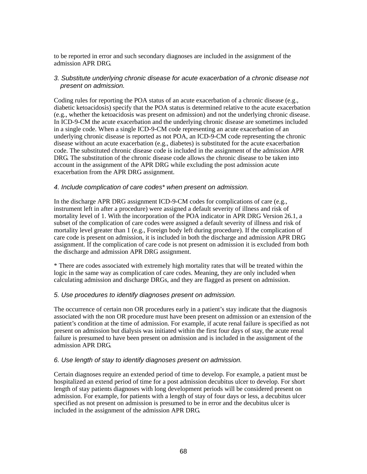to be reported in error and such secondary diagnoses are included in the assignment of the admission APR DRG.

## *3. Substitute underlying chronic disease for acute exacerbation of a chronic disease not present on admission.*

Coding rules for reporting the POA status of an acute exacerbation of a chronic disease (e.g., diabetic ketoacidosis) specify that the POA status is determined relative to the acute exacerbation (e.g., whether the ketoacidosis was present on admission) and not the underlying chronic disease. In ICD-9-CM the acute exacerbation and the underlying chronic disease are sometimes included in a single code. When a single ICD-9-CM code representing an acute exacerbation of an underlying chronic disease is reported as not POA, an ICD-9-CM code representing the chronic disease without an acute exacerbation (e.g., diabetes) is substituted for the acute exacerbation code. The substituted chronic disease code is included in the assignment of the admission APR DRG. The substitution of the chronic disease code allows the chronic disease to be taken into account in the assignment of the APR DRG while excluding the post admission acute exacerbation from the APR DRG assignment.

## *4. Include complication of care codes\* when present on admission.*

In the discharge APR DRG assignment ICD-9-CM codes for complications of care (e.g., instrument left in after a procedure) were assigned a default severity of illness and risk of mortality level of 1. With the incorporation of the POA indicator in APR DRG Version 26.1, a subset of the complication of care codes were assigned a default severity of illness and risk of mortality level greater than 1 (e.g., Foreign body left during procedure). If the complication of care code is present on admission, it is included in both the discharge and admission APR DRG assignment. If the complication of care code is not present on admission it is excluded from both the discharge and admission APR DRG assignment.

\* There are codes associated with extremely high mortality rates that will be treated within the logic in the same way as complication of care codes. Meaning, they are only included when calculating admission and discharge DRGs, and they are flagged as present on admission.

## *5. Use procedures to identify diagnoses present on admission.*

The occurrence of certain non OR procedures early in a patient's stay indicate that the diagnosis associated with the non OR procedure must have been present on admission or an extension of the patient's condition at the time of admission. For example, if acute renal failure is specified as not present on admission but dialysis was initiated within the first four days of stay, the acute renal failure is presumed to have been present on admission and is included in the assignment of the admission APR DRG.

### *6. Use length of stay to identify diagnoses present on admission.*

Certain diagnoses require an extended period of time to develop. For example, a patient must be hospitalized an extend period of time for a post admission decubitus ulcer to develop. For short length of stay patients diagnoses with long development periods will be considered present on admission. For example, for patients with a length of stay of four days or less, a decubitus ulcer specified as not present on admission is presumed to be in error and the decubitus ulcer is included in the assignment of the admission APR DRG.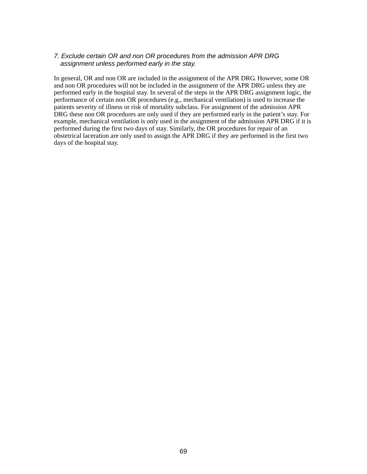## *7. Exclude certain OR and non OR procedures from the admission APR DRG assignment unless performed early in the stay.*

In general, OR and non OR are included in the assignment of the APR DRG. However, some OR and non OR procedures will not be included in the assignment of the APR DRG unless they are performed early in the hospital stay. In several of the steps in the APR DRG assignment logic, the performance of certain non OR procedures (e.g., mechanical ventilation) is used to increase the patients severity of illness or risk of mortality subclass. For assignment of the admission APR DRG these non OR procedures are only used if they are performed early in the patient's stay. For example, mechanical ventilation is only used in the assignment of the admission APR DRG if it is performed during the first two days of stay. Similarly, the OR procedures for repair of an obstetrical laceration are only used to assign the APR DRG if they are performed in the first two days of the hospital stay.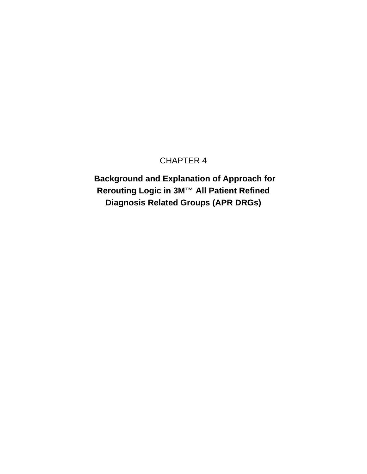# CHAPTER 4

4**Background and Explanation of Approach for Rerouting Logic in 3M™ All Patient Refined Diagnosis Related Groups (APR DRGs)**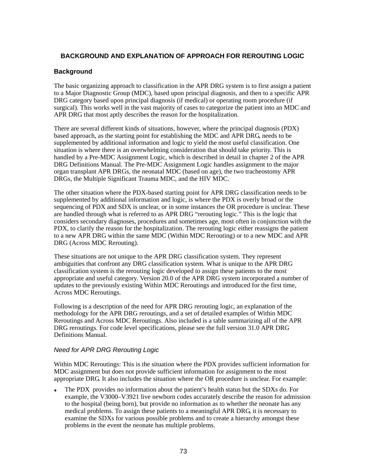# **BACKGROUND AND EXPLANATION OF APPROACH FOR REROUTING LOGIC**

## **Background**

The basic organizing approach to classification in the APR DRG system is to first assign a patient to a Major Diagnostic Group (MDC), based upon principal diagnosis, and then to a specific APR DRG category based upon principal diagnosis (if medical) or operating room procedure (if surgical). This works well in the vast majority of cases to categorize the patient into an MDC and APR DRG that most aptly describes the reason for the hospitalization.

There are several different kinds of situations, however, where the principal diagnosis (PDX) based approach, as the starting point for establishing the MDC and APR DRG, needs to be supplemented by additional information and logic to yield the most useful classification. One situation is where there is an overwhelming consideration that should take priority. This is handled by a Pre-MDC Assignment Logic, which is described in detail in chapter [2](#page-26-0) of the APR DRG Definitions Manual. The Pre-MDC Assignment Logic handles assignment to the major organ transplant APR DRGs, the neonatal MDC (based on age), the two tracheostomy APR DRGs, the Multiple Significant Trauma MDC, and the HIV MDC.

The other situation where the PDX-based starting point for APR DRG classification needs to be supplemented by additional information and logic, is where the PDX is overly broad or the sequencing of PDX and SDX is unclear, or in some instances the OR procedure is unclear. These are handled through what is referred to as APR DRG "rerouting logic." This is the logic that considers secondary diagnoses, procedures and sometimes age, most often in conjunction with the PDX, to clarify the reason for the hospitalization. The rerouting logic either reassigns the patient to a new APR DRG within the same MDC (Within MDC Rerouting) or to a new MDC and APR DRG (Across MDC Rerouting).

These situations are not unique to the APR DRG classification system. They represent ambiguities that confront any DRG classification system. What is unique to the APR DRG classification system is the rerouting logic developed to assign these patients to the most appropriate and useful category. Version 20.0 of the APR DRG system incorporated a number of updates to the previously existing Within MDC Reroutings and introduced for the first time, Across MDC Reroutings.

Following is a description of the need for APR DRG rerouting logic, an explanation of the methodology for the APR DRG reroutings, and a set of detailed examples of Within MDC Reroutings and Across MDC Reroutings. Also included is a table summarizing all of the APR DRG reroutings. For code level specifications, please see the full version 31.0 APR DRG Definitions Manual.

## *Need for APR DRG Rerouting Logic*

Within MDC Reroutings: This is the situation where the PDX provides sufficient information for MDC assignment but does not provide sufficient information for assignment to the most appropriate DRG. It also includes the situation where the OR procedure is unclear. For example:

 The PDX provides no information about the patient's health status but the SDXs do. For example, the V3000–V3921 live newborn codes accurately describe the reason for admission to the hospital (being born), but provide no information as to whether the neonate has any medical problems. To assign these patients to a meaningful APR DRG, it is necessary to examine the SDXs for various possible problems and to create a hierarchy amongst these problems in the event the neonate has multiple problems.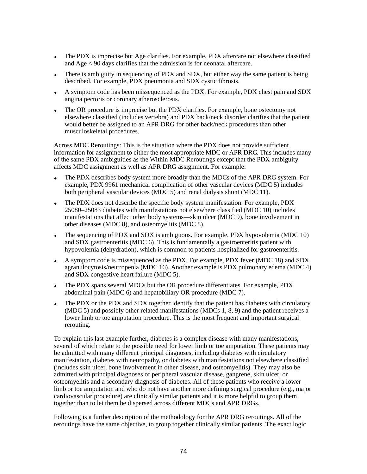- The PDX is imprecise but Age clarifies. For example, PDX aftercare not elsewhere classified and Age < 90 days clarifies that the admission is for neonatal aftercare.
- There is ambiguity in sequencing of PDX and SDX, but either way the same patient is being described. For example, PDX pneumonia and SDX cystic fibrosis.
- A symptom code has been missequenced as the PDX. For example, PDX chest pain and SDX angina pectoris or coronary atherosclerosis.
- The OR procedure is imprecise but the PDX clarifies. For example, bone ostectomy not elsewhere classified (includes vertebra) and PDX back/neck disorder clarifies that the patient would better be assigned to an APR DRG for other back/neck procedures than other musculoskeletal procedures.

Across MDC Reroutings: This is the situation where the PDX does not provide sufficient information for assignment to either the most appropriate MDC or APR DRG. This includes many of the same PDX ambiguities as the Within MDC Reroutings except that the PDX ambiguity affects MDC assignment as well as APR DRG assignment. For example:

- The PDX describes body system more broadly than the MDCs of the APR DRG system. For example, PDX 9961 mechanical complication of other vascular devices (MDC 5) includes both peripheral vascular devices (MDC 5) and renal dialysis shunt (MDC 11).
- The PDX does not describe the specific body system manifestation. For example, PDX 25080–25083 diabetes with manifestations not elsewhere classified (MDC 10) includes manifestations that affect other body systems—skin ulcer (MDC 9), bone involvement in other diseases (MDC 8), and osteomyelitis (MDC 8).
- The sequencing of PDX and SDX is ambiguous. For example, PDX hypovolemia (MDC 10) and SDX gastroenteritis (MDC 6). This is fundamentally a gastroenteritis patient with hypovolemia (dehydration), which is common to patients hospitalized for gastroenteritis.
- A symptom code is missequenced as the PDX. For example, PDX fever (MDC 18) and SDX agranulocytosis/neutropenia (MDC 16). Another example is PDX pulmonary edema (MDC 4) and SDX congestive heart failure (MDC 5).
- The PDX spans several MDCs but the OR procedure differentiates. For example, PDX abdominal pain (MDC 6) and hepatobiliary OR procedure (MDC 7).
- The PDX or the PDX and SDX together identify that the patient has diabetes with circulatory (MDC 5) and possibly other related manifestations (MDCs 1, 8, 9) and the patient receives a lower limb or toe amputation procedure. This is the most frequent and important surgical rerouting.

To explain this last example further, diabetes is a complex disease with many manifestations, several of which relate to the possible need for lower limb or toe amputation. These patients may be admitted with many different principal diagnoses, including diabetes with circulatory manifestation, diabetes with neuropathy, or diabetes with manifestations not elsewhere classified (includes skin ulcer, bone involvement in other disease, and osteomyelitis). They may also be admitted with principal diagnoses of peripheral vascular disease, gangrene, skin ulcer, or osteomyelitis and a secondary diagnosis of diabetes. All of these patients who receive a lower limb or toe amputation and who do not have another more defining surgical procedure (e.g., major cardiovascular procedure) are clinically similar patients and it is more helpful to group them together than to let them be dispersed across different MDCs and APR DRGs.

Following is a further description of the methodology for the APR DRG reroutings. All of the reroutings have the same objective, to group together clinically similar patients. The exact logic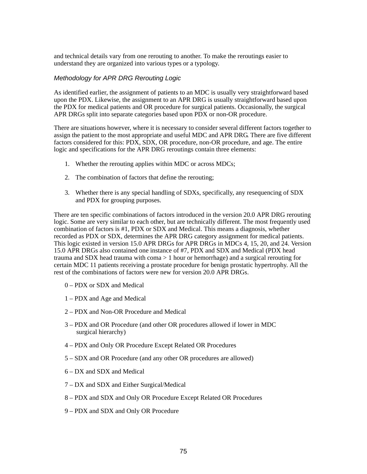and technical details vary from one rerouting to another. To make the reroutings easier to understand they are organized into various types or a typology.

## *Methodology for APR DRG Rerouting Logic*

As identified earlier, the assignment of patients to an MDC is usually very straightforward based upon the PDX. Likewise, the assignment to an APR DRG is usually straightforward based upon the PDX for medical patients and OR procedure for surgical patients. Occasionally, the surgical APR DRGs split into separate categories based upon PDX or non-OR procedure.

There are situations however, where it is necessary to consider several different factors together to assign the patient to the most appropriate and useful MDC and APR DRG. There are five different factors considered for this: PDX, SDX, OR procedure, non-OR procedure, and age. The entire logic and specifications for the APR DRG reroutings contain three elements:

- 1. Whether the rerouting applies within MDC or across MDCs;
- 2. The combination of factors that define the rerouting;
- 3. Whether there is any special handling of SDXs, specifically, any resequencing of SDX and PDX for grouping purposes.

There are ten specific combinations of factors introduced in the version 20.0 APR DRG rerouting logic. Some are very similar to each other, but are technically different. The most frequently used combination of factors is #1, PDX or SDX and Medical. This means a diagnosis, whether recorded as PDX or SDX, determines the APR DRG category assignment for medical patients. This logic existed in version 15.0 APR DRGs for APR DRGs in MDCs 4, 15, 20, and 24. Version 15.0 APR DRGs also contained one instance of #7, PDX and SDX and Medical (PDX head trauma and SDX head trauma with coma > 1 hour or hemorrhage) and a surgical rerouting for certain MDC 11 patients receiving a prostate procedure for benign prostatic hypertrophy. All the rest of the combinations of factors were new for version 20.0 APR DRGs.

- 0 PDX or SDX and Medical
- 1 PDX and Age and Medical
- 2 PDX and Non-OR Procedure and Medical
- 3 PDX and OR Procedure (and other OR procedures allowed if lower in MDC surgical hierarchy)
- 4 PDX and Only OR Procedure Except Related OR Procedures
- 5 SDX and OR Procedure (and any other OR procedures are allowed)
- 6 DX and SDX and Medical
- 7 DX and SDX and Either Surgical/Medical
- 8 PDX and SDX and Only OR Procedure Except Related OR Procedures
- 9 PDX and SDX and Only OR Procedure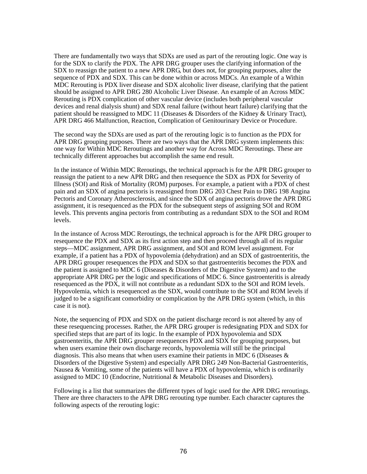There are fundamentally two ways that SDXs are used as part of the rerouting logic. One way is for the SDX to clarify the PDX. The APR DRG grouper uses the clarifying information of the SDX to reassign the patient to a new APR DRG, but does not, for grouping purposes, alter the sequence of PDX and SDX. This can be done within or across MDCs. An example of a Within MDC Rerouting is PDX liver disease and SDX alcoholic liver disease, clarifying that the patient should be assigned to APR DRG 280 Alcoholic Liver Disease. An example of an Across MDC Rerouting is PDX complication of other vascular device (includes both peripheral vascular devices and renal dialysis shunt) and SDX renal failure (without heart failure) clarifying that the patient should be reassigned to MDC 11 (Diseases & Disorders of the Kidney & Urinary Tract), APR DRG 466 Malfunction, Reaction, Complication of Genitourinary Device or Procedure.

The second way the SDXs are used as part of the rerouting logic is to function as the PDX for APR DRG grouping purposes. There are two ways that the APR DRG system implements this: one way for Within MDC Reroutings and another way for Across MDC Reroutings. These are technically different approaches but accomplish the same end result.

In the instance of Within MDC Reroutings, the technical approach is for the APR DRG grouper to reassign the patient to a new APR DRG and then resequence the SDX as PDX for Severity of Illness (SOI) and Risk of Mortality (ROM) purposes. For example, a patient with a PDX of chest pain and an SDX of angina pectoris is reassigned from DRG 203 Chest Pain to DRG 198 Angina Pectoris and Coronary Atherosclerosis, and since the SDX of angina pectoris drove the APR DRG assignment, it is resequenced as the PDX for the subsequent steps of assigning SOI and ROM levels. This prevents angina pectoris from contributing as a redundant SDX to the SOI and ROM levels.

In the instance of Across MDC Reroutings, the technical approach is for the APR DRG grouper to resequence the PDX and SDX as its first action step and then proceed through all of its regular steps—MDC assignment, APR DRG assignment, and SOI and ROM level assignment. For example, if a patient has a PDX of hypovolemia (dehydration) and an SDX of gastroenteritis, the APR DRG grouper resequences the PDX and SDX so that gastroenteritis becomes the PDX and the patient is assigned to MDC 6 (Diseases & Disorders of the Digestive System) and to the appropriate APR DRG per the logic and specifications of MDC 6. Since gastroenteritis is already resequenced as the PDX, it will not contribute as a redundant SDX to the SOI and ROM levels. Hypovolemia, which is resequenced as the SDX, would contribute to the SOI and ROM levels if judged to be a significant comorbidity or complication by the APR DRG system (which, in this case it is not).

Note, the sequencing of PDX and SDX on the patient discharge record is not altered by any of these resequencing processes. Rather, the APR DRG grouper is redesignating PDX and SDX for specified steps that are part of its logic. In the example of PDX hypovolemia and SDX gastroenteritis, the APR DRG grouper resequences PDX and SDX for grouping purposes, but when users examine their own discharge records, hypovolemia will still be the principal diagnosis. This also means that when users examine their patients in MDC 6 (Diseases  $\&$ Disorders of the Digestive System) and especially APR DRG 249 Non-Bacterial Gastroenteritis, Nausea & Vomiting, some of the patients will have a PDX of hypovolemia, which is ordinarily assigned to MDC 10 (Endocrine, Nutritional & Metabolic Diseases and Disorders).

Following is a list that summarizes the different types of logic used for the APR DRG reroutings. There are three characters to the APR DRG rerouting type number. Each character captures the following aspects of the rerouting logic: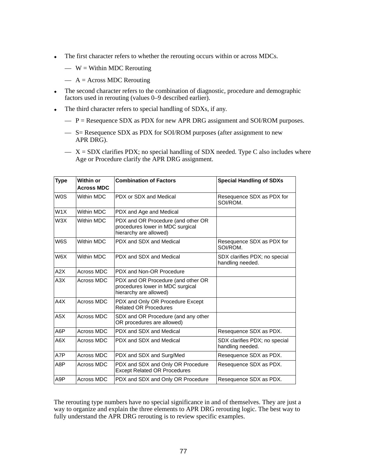- The first character refers to whether the rerouting occurs within or across MDCs.
	- $W =$  Within MDC Rerouting
	- $A$  = Across MDC Rerouting
- The second character refers to the combination of diagnostic, procedure and demographic factors used in rerouting (values 0–9 described earlier).
- The third character refers to special handling of SDXs, if any.
	- $P$  = Resequence SDX as PDX for new APR DRG assignment and SOI/ROM purposes.
	- S= Resequence SDX as PDX for SOI/ROM purposes (after assignment to new APR DRG).
	- $X = SDX$  clarifies PDX; no special handling of SDX needed. Type C also includes where Age or Procedure clarify the APR DRG assignment.

| <b>Type</b>      | Within or<br><b>Across MDC</b> | <b>Combination of Factors</b>                                                                    | <b>Special Handling of SDXs</b>                   |
|------------------|--------------------------------|--------------------------------------------------------------------------------------------------|---------------------------------------------------|
| <b>WOS</b>       | Within MDC                     | PDX or SDX and Medical                                                                           | Resequence SDX as PDX for<br>SOI/ROM.             |
| W1X              | Within MDC                     | PDX and Age and Medical                                                                          |                                                   |
| W3X              | Within MDC                     | PDX and OR Procedure (and other OR<br>procedures lower in MDC surgical<br>hierarchy are allowed) |                                                   |
| W <sub>6</sub> S | Within MDC                     | PDX and SDX and Medical                                                                          | Resequence SDX as PDX for<br>SOI/ROM.             |
| W6X              | Within MDC                     | PDX and SDX and Medical                                                                          | SDX clarifies PDX; no special<br>handling needed. |
| A2X              | Across MDC                     | PDX and Non-OR Procedure                                                                         |                                                   |
| A3X              | Across MDC                     | PDX and OR Procedure (and other OR<br>procedures lower in MDC surgical<br>hierarchy are allowed) |                                                   |
| A4X              | Across MDC                     | PDX and Only OR Procedure Except<br><b>Related OR Procedures</b>                                 |                                                   |
| A5X              | Across MDC                     | SDX and OR Procedure (and any other<br>OR procedures are allowed)                                |                                                   |
| A6P              | Across MDC                     | PDX and SDX and Medical                                                                          | Resequence SDX as PDX.                            |
| A6X              | Across MDC                     | PDX and SDX and Medical                                                                          | SDX clarifies PDX; no special<br>handling needed. |
| A7P              | Across MDC                     | PDX and SDX and Surg/Med                                                                         | Resequence SDX as PDX.                            |
| A8P              | Across MDC                     | PDX and SDX and Only OR Procedure<br><b>Except Related OR Procedures</b>                         | Resequence SDX as PDX.                            |
| A <sub>9</sub> P | Across MDC                     | PDX and SDX and Only OR Procedure                                                                | Resequence SDX as PDX.                            |

The rerouting type numbers have no special significance in and of themselves. They are just a way to organize and explain the three elements to APR DRG rerouting logic. The best way to fully understand the APR DRG rerouting is to review specific examples.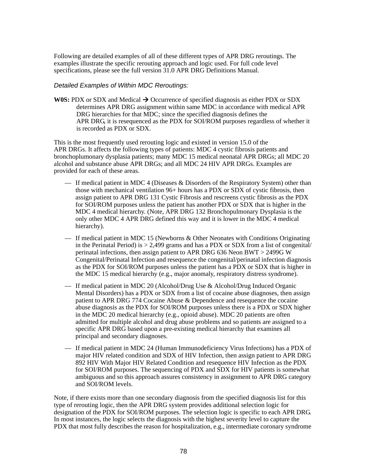Following are detailed examples of all of these different types of APR DRG reroutings. The examples illustrate the specific rerouting approach and logic used. For full code level specifications, please see the full version 31.0 APR DRG Definitions Manual.

## *Detailed Examples of Within MDC Reroutings:*

**W0S:** PDX or SDX and Medical  $\rightarrow$  Occurrence of specified diagnosis as either PDX or SDX determines APR DRG assignment within same MDC in accordance with medical APR DRG hierarchies for that MDC; since the specified diagnosis defines the APR DRG, it is resequenced as the PDX for SOI/ROM purposes regardless of whether it is recorded as PDX or SDX.

This is the most frequently used rerouting logic and existed in version 15.0 of the APR DRGs. It affects the following types of patients: MDC 4 cystic fibrosis patients and bronchoplumonary dysplasia patients; many MDC 15 medical neonatal APR DRGs; all MDC 20 alcohol and substance abuse APR DRGs; and all MDC 24 HIV APR DRGs. Examples are provided for each of these areas.

- If medical patient in MDC 4 (Diseases & Disorders of the Respiratory System) other than those with mechanical ventilation 96+ hours has a PDX or SDX of cystic fibrosis, then assign patient to APR DRG 131 Cystic Fibrosis and rescreens cystic fibrosis as the PDX for SOI/ROM purposes unless the patient has another PDX or SDX that is higher in the MDC 4 medical hierarchy. (Note, APR DRG 132 Bronchopulmonary Dysplasia is the only other MDC 4 APR DRG defined this way and it is lower in the MDC 4 medical hierarchy).
- If medical patient in MDC 15 (Newborns & Other Neonates with Conditions Originating in the Perinatal Period) is  $> 2,499$  grams and has a PDX or SDX from a list of congenital/ perinatal infections, then assign patient to APR DRG 636 Neon BWT > 2499G W Congenital/Perinatal Infection and resequence the congenital/perinatal infection diagnosis as the PDX for SOI/ROM purposes unless the patient has a PDX or SDX that is higher in the MDC 15 medical hierarchy (e.g., major anomaly, respiratory distress syndrome).
- If medical patient in MDC 20 (Alcohol/Drug Use & Alcohol/Drug Induced Organic Mental Disorders) has a PDX or SDX from a list of cocaine abuse diagnoses, then assign patient to APR DRG 774 Cocaine Abuse & Dependence and resequence the cocaine abuse diagnosis as the PDX for SOI/ROM purposes unless there is a PDX or SDX higher in the MDC 20 medical hierarchy (e.g., opioid abuse). MDC 20 patients are often admitted for multiple alcohol and drug abuse problems and so patients are assigned to a specific APR DRG based upon a pre-existing medical hierarchy that examines all principal and secondary diagnoses.
- If medical patient in MDC 24 (Human Immunodeficiency Virus Infections) has a PDX of major HIV related condition and SDX of HIV Infection, then assign patient to APR DRG 892 HIV With Major HIV Related Condition and resequence HIV Infection as the PDX for SOI/ROM purposes. The sequencing of PDX and SDX for HIV patients is somewhat ambiguous and so this approach assures consistency in assignment to APR DRG category and SOI/ROM levels.

Note, if there exists more than one secondary diagnosis from the specified diagnosis list for this type of rerouting logic, then the APR DRG system provides additional selection logic for designation of the PDX for SOI/ROM purposes. The selection logic is specific to each APR DRG. In most instances, the logic selects the diagnosis with the highest severity level to capture the PDX that most fully describes the reason for hospitalization, e.g., intermediate coronary syndrome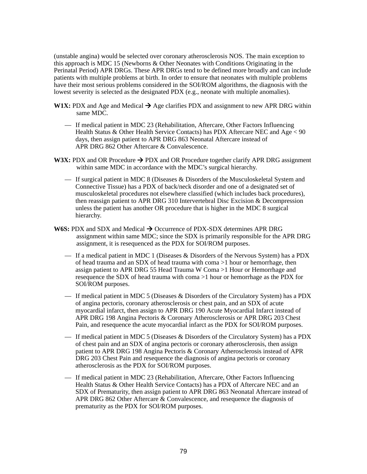(unstable angina) would be selected over coronary atherosclerosis NOS. The main exception to this approach is MDC 15 (Newborns & Other Neonates with Conditions Originating in the Perinatal Period) APR DRGs. These APR DRGs tend to be defined more broadly and can include patients with multiple problems at birth. In order to ensure that neonates with multiple problems have their most serious problems considered in the SOI/ROM algorithms, the diagnosis with the lowest severity is selected as the designated PDX (e.g., neonate with multiple anomalies).

- **W1X:** PDX and Age and Medical  $\rightarrow$  Age clarifies PDX and assignment to new APR DRG within same MDC.
	- If medical patient in MDC 23 (Rehabilitation, Aftercare, Other Factors Influencing Health Status & Other Health Service Contacts) has PDX Aftercare NEC and Age < 90 days, then assign patient to APR DRG 863 Neonatal Aftercare instead of APR DRG 862 Other Aftercare & Convalescence.
- **W3X:** PDX and OR Procedure  $\rightarrow$  PDX and OR Procedure together clarify APR DRG assignment within same MDC in accordance with the MDC's surgical hierarchy.
	- If surgical patient in MDC 8 (Diseases & Disorders of the Musculoskeletal System and Connective Tissue) has a PDX of back/neck disorder and one of a designated set of musculoskeletal procedures not elsewhere classified (which includes back procedures), then reassign patient to APR DRG 310 Intervertebral Disc Excision & Decompression unless the patient has another OR procedure that is higher in the MDC 8 surgical hierarchy.
- **W6S: PDX and SDX and Medical → Occurrence of PDX-SDX determines APR DRG** assignment within same MDC; since the SDX is primarily responsible for the APR DRG assignment, it is resequenced as the PDX for SOI/ROM purposes.
	- If a medical patient in MDC 1 (Diseases & Disorders of the Nervous System) has a PDX of head trauma and an SDX of head trauma with coma >1 hour or hemorrhage, then assign patient to APR DRG 55 Head Trauma W Coma >1 Hour or Hemorrhage and resequence the SDX of head trauma with coma >1 hour or hemorrhage as the PDX for SOI/ROM purposes.
	- If medical patient in MDC 5 (Diseases & Disorders of the Circulatory System) has a PDX of angina pectoris, coronary atherosclerosis or chest pain, and an SDX of acute myocardial infarct, then assign to APR DRG 190 Acute Myocardial Infarct instead of APR DRG 198 Angina Pectoris & Coronary Atherosclerosis or APR DRG 203 Chest Pain, and resequence the acute myocardial infarct as the PDX for SOI/ROM purposes.
	- If medical patient in MDC 5 (Diseases & Disorders of the Circulatory System) has a PDX of chest pain and an SDX of angina pectoris or coronary atherosclerosis, then assign patient to APR DRG 198 Angina Pectoris & Coronary Atherosclerosis instead of APR DRG 203 Chest Pain and resequence the diagnosis of angina pectoris or coronary atherosclerosis as the PDX for SOI/ROM purposes.
	- If medical patient in MDC 23 (Rehabilitation, Aftercare, Other Factors Influencing Health Status & Other Health Service Contacts) has a PDX of Aftercare NEC and an SDX of Prematurity, then assign patient to APR DRG 863 Neonatal Aftercare instead of APR DRG 862 Other Aftercare & Convalescence, and resequence the diagnosis of prematurity as the PDX for SOI/ROM purposes.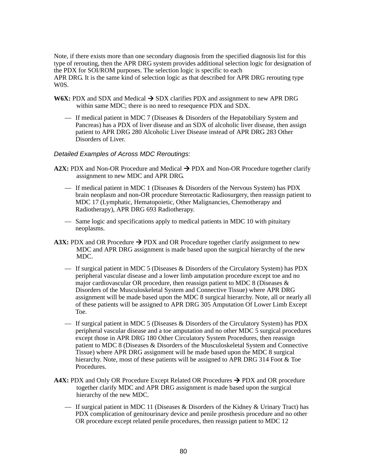Note, if there exists more than one secondary diagnosis from the specified diagnosis list for this type of rerouting, then the APR DRG system provides additional selection logic for designation of the PDX for SOI/ROM purposes. The selection logic is specific to each APR DRG. It is the same kind of selection logic as that described for APR DRG rerouting type W0S.

- **W6X:** PDX and SDX and Medical  $\rightarrow$  SDX clarifies PDX and assignment to new APR DRG within same MDC; there is no need to resequence PDX and SDX.
	- If medical patient in MDC 7 (Diseases & Disorders of the Hepatobiliary System and Pancreas) has a PDX of liver disease and an SDX of alcoholic liver disease, then assign patient to APR DRG 280 Alcoholic Liver Disease instead of APR DRG 283 Other Disorders of Liver.

### *Detailed Examples of Across MDC Reroutings:*

- **A2X:** PDX and Non-OR Procedure and Medical  $\rightarrow$  PDX and Non-OR Procedure together clarify assignment to new MDC and APR DRG.
	- If medical patient in MDC 1 (Diseases  $&$  Disorders of the Nervous System) has PDX brain neoplasm and non-OR procedure Stereotactic Radiosurgery, then reassign patient to MDC 17 (Lymphatic, Hematopoietic, Other Malignancies, Chemotherapy and Radiotherapy), APR DRG 693 Radiotherapy.
	- Same logic and specifications apply to medical patients in MDC 10 with pituitary neoplasms.
- **A3X:** PDX and OR Procedure  $\rightarrow$  PDX and OR Procedure together clarify assignment to new MDC and APR DRG assignment is made based upon the surgical hierarchy of the new MDC.
	- $-$  If surgical patient in MDC 5 (Diseases & Disorders of the Circulatory System) has PDX peripheral vascular disease and a lower limb amputation procedure except toe and no major cardiovascular OR procedure, then reassign patient to MDC 8 (Diseases  $\&$ Disorders of the Musculoskeletal System and Connective Tissue) where APR DRG assignment will be made based upon the MDC 8 surgical hierarchy. Note, all or nearly all of these patients will be assigned to APR DRG 305 Amputation Of Lower Limb Except Toe.
	- $-$  If surgical patient in MDC 5 (Diseases & Disorders of the Circulatory System) has PDX peripheral vascular disease and a toe amputation and no other MDC 5 surgical procedures except those in APR DRG 180 Other Circulatory System Procedures, then reassign patient to MDC 8 (Diseases & Disorders of the Musculoskeletal System and Connective Tissue) where APR DRG assignment will be made based upon the MDC 8 surgical hierarchy. Note, most of these patients will be assigned to APR DRG 314 Foot & Toe Procedures.
- **A4X:** PDX and Only OR Procedure Except Related OR Procedures  $\rightarrow$  PDX and OR procedure together clarify MDC and APR DRG assignment is made based upon the surgical hierarchy of the new MDC.
	- If surgical patient in MDC 11 (Diseases & Disorders of the Kidney & Urinary Tract) has PDX complication of genitourinary device and penile prosthesis procedure and no other OR procedure except related penile procedures, then reassign patient to MDC 12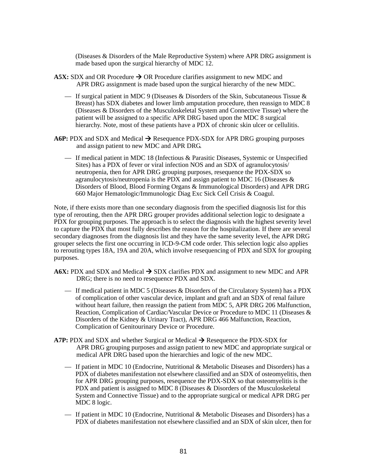(Diseases & Disorders of the Male Reproductive System) where APR DRG assignment is made based upon the surgical hierarchy of MDC 12.

- **A5X:** SDX and OR Procedure  $\rightarrow$  OR Procedure clarifies assignment to new MDC and APR DRG assignment is made based upon the surgical hierarchy of the new MDC.
	- If surgical patient in MDC 9 (Diseases & Disorders of the Skin, Subcutaneous Tissue  $\&$ Breast) has SDX diabetes and lower limb amputation procedure, then reassign to MDC 8 (Diseases & Disorders of the Musculoskeletal System and Connective Tissue) where the patient will be assigned to a specific APR DRG based upon the MDC 8 surgical hierarchy. Note, most of these patients have a PDX of chronic skin ulcer or cellulitis.
- **A6P:** PDX and SDX and Medical  $\rightarrow$  Resequence PDX-SDX for APR DRG grouping purposes and assign patient to new MDC and APR DRG.
	- If medical patient in MDC 18 (Infectious & Parasitic Diseases, Systemic or Unspecified Sites) has a PDX of fever or viral infection NOS and an SDX of agranulocytosis/ neutropenia, then for APR DRG grouping purposes, resequence the PDX-SDX so agranulocytosis/neutropenia is the PDX and assign patient to MDC 16 (Diseases & Disorders of Blood, Blood Forming Organs & Immunological Disorders) and APR DRG 660 Major Hematologic/Immunologic Diag Exc Sick Cell Crisis & Coagul.

Note, if there exists more than one secondary diagnosis from the specified diagnosis list for this type of rerouting, then the APR DRG grouper provides additional selection logic to designate a PDX for grouping purposes. The approach is to select the diagnosis with the highest severity level to capture the PDX that most fully describes the reason for the hospitalization. If there are several secondary diagnoses from the diagnosis list and they have the same severity level, the APR DRG grouper selects the first one occurring in ICD-9-CM code order. This selection logic also applies to rerouting types 18A, 19A and 20A, which involve resequencing of PDX and SDX for grouping purposes.

- **A6X:** PDX and SDX and Medical  $\rightarrow$  SDX clarifies PDX and assignment to new MDC and APR DRG; there is no need to resequence PDX and SDX.
	- If medical patient in MDC 5 (Diseases & Disorders of the Circulatory System) has a PDX of complication of other vascular device, implant and graft and an SDX of renal failure without heart failure, then reassign the patient from MDC 5, APR DRG 206 Malfunction, Reaction, Complication of Cardiac/Vascular Device or Procedure to MDC 11 (Diseases & Disorders of the Kidney & Urinary Tract), APR DRG 466 Malfunction, Reaction, Complication of Genitourinary Device or Procedure.
- **A7P:** PDX and SDX and whether Surgical or Medical  $\rightarrow$  Resequence the PDX-SDX for APR DRG grouping purposes and assign patient to new MDC and appropriate surgical or medical APR DRG based upon the hierarchies and logic of the new MDC.
	- If patient in MDC 10 (Endocrine, Nutritional & Metabolic Diseases and Disorders) has a PDX of diabetes manifestation not elsewhere classified and an SDX of osteomyelitis, then for APR DRG grouping purposes, resequence the PDX-SDX so that osteomyelitis is the PDX and patient is assigned to MDC 8 (Diseases & Disorders of the Musculoskeletal System and Connective Tissue) and to the appropriate surgical or medical APR DRG per MDC 8 logic.
	- If patient in MDC 10 (Endocrine, Nutritional & Metabolic Diseases and Disorders) has a PDX of diabetes manifestation not elsewhere classified and an SDX of skin ulcer, then for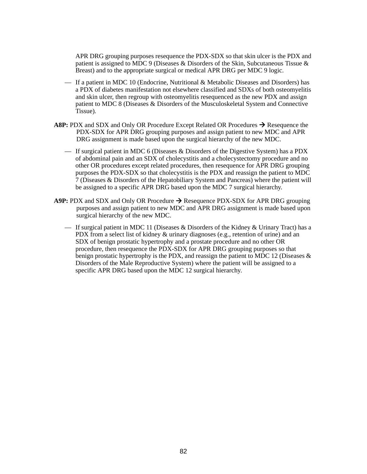APR DRG grouping purposes resequence the PDX-SDX so that skin ulcer is the PDX and patient is assigned to MDC 9 (Diseases & Disorders of the Skin, Subcutaneous Tissue & Breast) and to the appropriate surgical or medical APR DRG per MDC 9 logic.

- If a patient in MDC 10 (Endocrine, Nutritional & Metabolic Diseases and Disorders) has a PDX of diabetes manifestation not elsewhere classified and SDXs of both osteomyelitis and skin ulcer, then regroup with osteomyelitis resequenced as the new PDX and assign patient to MDC 8 (Diseases & Disorders of the Musculoskeletal System and Connective Tissue).
- A8P: PDX and SDX and Only OR Procedure Except Related OR Procedures → Resequence the PDX-SDX for APR DRG grouping purposes and assign patient to new MDC and APR DRG assignment is made based upon the surgical hierarchy of the new MDC.
	- $-$  If surgical patient in MDC 6 (Diseases & Disorders of the Digestive System) has a PDX of abdominal pain and an SDX of cholecystitis and a cholecystectomy procedure and no other OR procedures except related procedures, then resequence for APR DRG grouping purposes the PDX-SDX so that cholecystitis is the PDX and reassign the patient to MDC 7 (Diseases & Disorders of the Hepatobiliary System and Pancreas) where the patient will be assigned to a specific APR DRG based upon the MDC 7 surgical hierarchy.
- **A9P:** PDX and SDX and Only OR Procedure → Resequence PDX-SDX for APR DRG grouping purposes and assign patient to new MDC and APR DRG assignment is made based upon surgical hierarchy of the new MDC.
	- If surgical patient in MDC 11 (Diseases  $&$  Disorders of the Kidney  $&$  Urinary Tract) has a PDX from a select list of kidney & urinary diagnoses (e.g., retention of urine) and an SDX of benign prostatic hypertrophy and a prostate procedure and no other OR procedure, then resequence the PDX-SDX for APR DRG grouping purposes so that benign prostatic hypertrophy is the PDX, and reassign the patient to MDC 12 (Diseases  $\&$ Disorders of the Male Reproductive System) where the patient will be assigned to a specific APR DRG based upon the MDC 12 surgical hierarchy.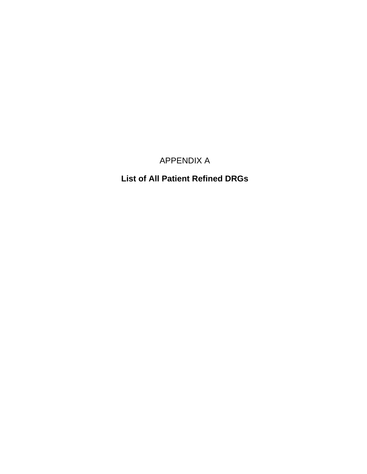# APPENDIX A

# **List of All Patient Refined DRGs**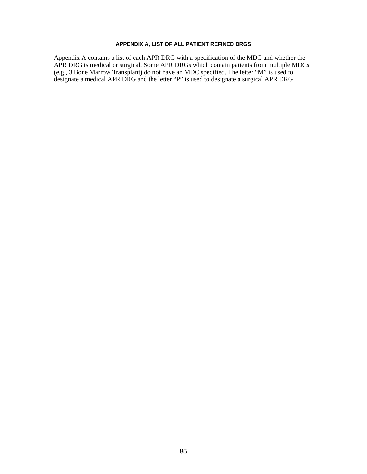Appendix A contains a list of each APR DRG with a specification of the MDC and whether the APR DRG is medical or surgical. Some APR DRGs which contain patients from multiple MDCs (e.g., 3 Bone Marrow Transplant) do not have an MDC specified. The letter "M" is used to designate a medical APR DRG and the letter "P" is used to designate a surgical APR DRG.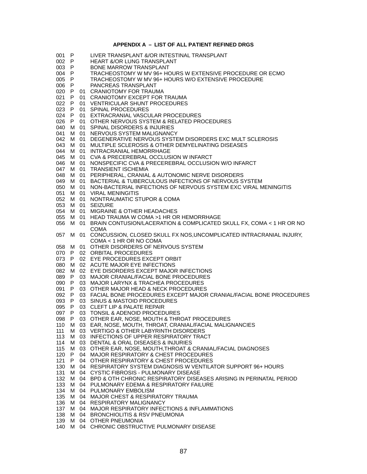| 001 P |              |      | LIVER TRANSPLANT &/OR INTESTINAL TRANSPLANT                             |
|-------|--------------|------|-------------------------------------------------------------------------|
| 002   |              |      |                                                                         |
|       | P.           |      | HEART &/OR LUNG TRANSPLANT<br><b>BONE MARROW TRANSPLANT</b>             |
| 003   | P.           |      |                                                                         |
| 004 P |              |      | TRACHEOSTOMY W MV 96+ HOURS W EXTENSIVE PROCEDURE OR ECMO               |
| 005   | -P           |      | TRACHEOSTOMY W MV 96+ HOURS W/O EXTENSIVE PROCEDURE                     |
| 006   | - P          |      | PANCREAS TRANSPLANT                                                     |
| 020 P |              | 01   | <b>CRANIOTOMY FOR TRAUMA</b>                                            |
| 021   | P            |      | 01 CRANIOTOMY EXCEPT FOR TRAUMA                                         |
| 022   | - P          |      | 01 VENTRICULAR SHUNT PROCEDURES                                         |
| 023 P |              |      | 01 SPINAL PROCEDURES                                                    |
| 024 P |              |      | 01 EXTRACRANIAL VASCULAR PROCEDURES                                     |
| 026   | $\mathsf{P}$ |      | 01 OTHER NERVOUS SYSTEM & RELATED PROCEDURES                            |
| 040   |              |      | M 01 SPINAL DISORDERS & INJURIES                                        |
| 041   |              |      | M 01 NERVOUS SYSTEM MALIGNANCY                                          |
|       |              |      | 042 M 01 DEGENERATIVE NERVOUS SYSTEM DISORDERS EXC MULT SCLEROSIS       |
| 043   |              |      | M 01 MULTIPLE SCLEROSIS & OTHER DEMYELINATING DISEASES                  |
| 044   |              |      | M 01 INTRACRANIAL HEMORRHAGE                                            |
| 045   |              |      | M 01 CVA & PRECEREBRAL OCCLUSION WINFARCT                               |
| 046   |              |      | M 01 NONSPECIFIC CVA & PRECEREBRAL OCCLUSION W/O INFARCT                |
| 047   |              |      | M 01 TRANSIENT ISCHEMIA                                                 |
| 048   |              |      | M 01 PERIPHERAL, CRANIAL & AUTONOMIC NERVE DISORDERS                    |
| 049   |              |      | M 01 BACTERIAL & TUBERCULOUS INFECTIONS OF NERVOUS SYSTEM               |
|       |              |      |                                                                         |
| 050   |              |      | M 01 NON-BACTERIAL INFECTIONS OF NERVOUS SYSTEM EXC VIRAL MENINGITIS    |
| 051   |              |      | M 01 VIRAL MENINGITIS                                                   |
| 052   |              |      | M 01 NONTRAUMATIC STUPOR & COMA                                         |
| 053   |              |      | M 01 SEIZURE                                                            |
| 054   |              |      | M 01 MIGRAINE & OTHER HEADACHES                                         |
| 055   |              |      | M 01 HEAD TRAUMA W COMA >1 HR OR HEMORRHAGE                             |
| 056   | м            |      | 01 BRAIN CONTUSION/LACERATION & COMPLICATED SKULL FX, COMA < 1 HR OR NO |
|       |              |      | <b>COMA</b>                                                             |
| 057   |              | M 01 | CONCUSSION, CLOSED SKULL FX NOS, UNCOMPLICATED INTRACRANIAL INJURY,     |
|       |              |      | COMA < 1 HR OR NO COMA                                                  |
| 058   |              |      | M 01 OTHER DISORDERS OF NERVOUS SYSTEM                                  |
| 070   | P.           |      | 02 ORBITAL PROCEDURES                                                   |
| 073   | P.           |      | 02 EYE PROCEDURES EXCEPT ORBIT                                          |
| 080   |              |      | M 02 ACUTE MAJOR EYE INFECTIONS                                         |
| 082   | м            |      | 02 EYE DISORDERS EXCEPT MAJOR INFECTIONS                                |
| 089   | P.           |      | 03 MAJOR CRANIAL/FACIAL BONE PROCEDURES                                 |
| 090   | - P          |      | 03 MAJOR LARYNX & TRACHEA PROCEDURES                                    |
| 091   | - P          |      | 03 OTHER MAJOR HEAD & NECK PROCEDURES                                   |
| 092   | - P          |      | 03 FACIAL BONE PROCEDURES EXCEPT MAJOR CRANIAL/FACIAL BONE PROCEDURES   |
| 093 P |              |      | 03 SINUS & MASTOID PROCEDURES                                           |
| 095 P |              |      | 03 CLEFT LIP & PALATE REPAIR                                            |
| 097 P |              |      | 03 TONSIL & ADENOID PROCEDURES                                          |
|       |              |      | 098 P 03 OTHER EAR, NOSE, MOUTH & THROAT PROCEDURES                     |
| 110   |              |      | M 03 EAR, NOSE, MOUTH, THROAT, CRANIAL/FACIAL MALIGNANCIES              |
| 111   |              |      | M 03 VERTIGO & OTHER LABYRINTH DISORDERS                                |
| 113   |              |      | M 03 INFECTIONS OF UPPER RESPIRATORY TRACT                              |
| 114   | M            |      | 03 DENTAL & ORAL DISEASES & INJURIES                                    |
| 115   | м            |      | 03 OTHER EAR, NOSE, MOUTH, THROAT & CRANIAL/FACIAL DIAGNOSES            |
| 120   | P.           |      | 04 MAJOR RESPIRATORY & CHEST PROCEDURES                                 |
|       |              |      |                                                                         |
| 121   | P.           |      | 04 OTHER RESPIRATORY & CHEST PROCEDURES                                 |
| 130   |              |      | M 04 RESPIRATORY SYSTEM DIAGNOSIS W VENTILATOR SUPPORT 96+ HOURS        |
| 131   |              |      | M 04 CYSTIC FIBROSIS - PULMONARY DISEASE                                |
| 132   | M            |      | 04 BPD & OTH CHRONIC RESPIRATORY DISEASES ARISING IN PERINATAL PERIOD   |
| 133   | M            |      | 04 PULMONARY EDEMA & RESPIRATORY FAILURE                                |
| 134   |              |      | M 04 PULMONARY EMBOLISM                                                 |
| 135   |              |      | M 04 MAJOR CHEST & RESPIRATORY TRAUMA                                   |
| 136   |              |      | M 04 RESPIRATORY MALIGNANCY                                             |
| 137   |              |      | M 04 MAJOR RESPIRATORY INFECTIONS & INFLAMMATIONS                       |
| 138   |              |      | M 04 BRONCHIOLITIS & RSV PNEUMONIA                                      |
| 139   |              |      | M 04 OTHER PNEUMONIA                                                    |

140 M 04 CHRONIC OBSTRUCTIVE PULMONARY DISEASE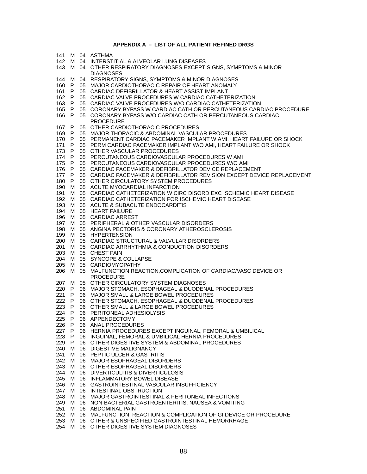|       |              |      | 141 M 04 ASTHMA                                                         |
|-------|--------------|------|-------------------------------------------------------------------------|
| 142   |              |      | M 04 INTERSTITIAL & ALVEOLAR LUNG DISEASES                              |
| 143   |              |      | M 04 OTHER RESPIRATORY DIAGNOSES EXCEPT SIGNS, SYMPTOMS & MINOR         |
|       |              |      | <b>DIAGNOSES</b>                                                        |
| 144   |              | M 04 | RESPIRATORY SIGNS, SYMPTOMS & MINOR DIAGNOSES                           |
| 160   | $\mathsf{P}$ |      | 05 MAJOR CARDIOTHORACIC REPAIR OF HEART ANOMALY                         |
| 161   | $\mathsf{P}$ |      | 05 CARDIAC DEFIBRILLATOR & HEART ASSIST IMPLANT                         |
| 162 P |              |      | 05 CARDIAC VALVE PROCEDURES W CARDIAC CATHETERIZATION                   |
| 163 P |              |      | 05 CARDIAC VALVE PROCEDURES W/O CARDIAC CATHETERIZATION                 |
| 165 P |              |      | 05 CORONARY BYPASS W CARDIAC CATH OR PERCUTANEOUS CARDIAC PROCEDURE     |
| 166 P |              |      | 05 CORONARY BYPASS W/O CARDIAC CATH OR PERCUTANEOUS CARDIAC             |
|       |              |      | <b>PROCEDURE</b>                                                        |
| 167 P |              |      | 05 OTHER CARDIOTHORACIC PROCEDURES                                      |
| 169   | P.           |      | 05 MAJOR THORACIC & ABDOMINAL VASCULAR PROCEDURES                       |
| 170   | -P           |      | 05 PERMANENT CARDIAC PACEMAKER IMPLANT W AMI, HEART FAILURE OR SHOCK    |
| 171   | $\mathsf{P}$ |      | 05 PERM CARDIAC PACEMAKER IMPLANT W/O AMI, HEART FAILURE OR SHOCK       |
| 173 P |              |      | 05 OTHER VASCULAR PROCEDURES                                            |
| 174 P |              |      | 05 PERCUTANEOUS CARDIOVASCULAR PROCEDURES W AMI                         |
| 175 P |              |      | 05 PERCUTANEOUS CARDIOVASCULAR PROCEDURES W/O AMI                       |
| 176 P |              |      | 05 CARDIAC PACEMAKER & DEFIBRILLATOR DEVICE REPLACEMENT                 |
| 177 P |              |      | 05 CARDIAC PACEMAKER & DEFIBRILLATOR REVISION EXCEPT DEVICE REPLACEMENT |
| 180 P |              |      | 05 OTHER CIRCULATORY SYSTEM PROCEDURES                                  |
|       |              |      | 190 M 05 ACUTE MYOCARDIAL INFARCTION                                    |
| 191   |              |      | M 05 CARDIAC CATHETERIZATION W CIRC DISORD EXC ISCHEMIC HEART DISEASE   |
|       |              |      | 192 M 05 CARDIAC CATHETERIZATION FOR ISCHEMIC HEART DISEASE             |
|       |              |      | 193 M 05 ACUTE & SUBACUTE ENDOCARDITIS                                  |
| 194   |              |      | M 05 HEART FAILURE                                                      |
|       |              |      | 196 M 05 CARDIAC ARREST                                                 |
|       |              |      | 197 M 05 PERIPHERAL & OTHER VASCULAR DISORDERS                          |
| 198   |              |      | M 05 ANGINA PECTORIS & CORONARY ATHEROSCLEROSIS                         |
|       |              |      | 199 M 05 HYPERTENSION                                                   |
| 200   |              |      | M 05 CARDIAC STRUCTURAL & VALVULAR DISORDERS                            |
| 201   |              |      | M 05 CARDIAC ARRHYTHMIA & CONDUCTION DISORDERS                          |
|       |              |      | 203 M 05 CHEST PAIN                                                     |
|       |              |      | 204 M 05 SYNCOPE & COLLAPSE                                             |
| 205   |              |      | M 05 CARDIOMYOPATHY                                                     |
| 206   |              |      | M 05 MALFUNCTION, REACTION, COMPLICATION OF CARDIAC/VASC DEVICE OR      |
|       |              |      | <b>PROCEDURE</b>                                                        |
|       |              |      | 207 M 05 OTHER CIRCULATORY SYSTEM DIAGNOSES                             |
| 220   | $\mathsf{P}$ |      | 06 MAJOR STOMACH, ESOPHAGEAL & DUODENAL PROCEDURES                      |
| 221   | $\mathsf{P}$ |      | 06 MAJOR SMALL & LARGE BOWEL PROCEDURES                                 |
| 222   | P.           |      | 06 OTHER STOMACH, ESOPHAGEAL & DUODENAL PROCEDURES                      |
| 223 P |              |      | 06 OTHER SMALL & LARGE BOWEL PROCEDURES                                 |
| 224 P |              |      | 06 PERITONEAL ADHESIOLYSIS                                              |
| 225   | P            |      | 06 APPENDECTOMY                                                         |
| 226 P |              |      | 06 ANAL PROCEDURES                                                      |
| 227   | P.           |      | 06 HERNIA PROCEDURES EXCEPT INGUINAL, FEMORAL & UMBILICAL               |
| 228   | P.           |      | 06 INGUINAL, FEMORAL & UMBILICAL HERNIA PROCEDURES                      |
| 229   | P.           |      | 06 OTHER DIGESTIVE SYSTEM & ABDOMINAL PROCEDURES                        |
| 240   | M            |      | 06 DIGESTIVE MALIGNANCY                                                 |
| 241   | M            |      | 06 PEPTIC ULCER & GASTRITIS                                             |
| 242   | M            |      | 06 MAJOR ESOPHAGEAL DISORDERS                                           |
| 243   | м            |      | 06 OTHER ESOPHAGEAL DISORDERS                                           |
| 244   | M            |      | 06 DIVERTICULITIS & DIVERTICULOSIS                                      |
| 245   | M            |      | 06 INFLAMMATORY BOWEL DISEASE                                           |
| 246   | M            |      | 06 GASTROINTESTINAL VASCULAR INSUFFICIENCY                              |
| 247   |              |      | M 06 INTESTINAL OBSTRUCTION                                             |
| 248   |              |      | M 06 MAJOR GASTROINTESTINAL & PERITONEAL INFECTIONS                     |
|       |              |      |                                                                         |
| 249   | M            |      | 06 NON-BACTERIAL GASTROENTERITIS, NAUSEA & VOMITING                     |
| 251   | M            |      | 06 ABDOMINAL PAIN                                                       |
| 252   | M            |      | 06 MALFUNCTION, REACTION & COMPLICATION OF GI DEVICE OR PROCEDURE       |
| 253   |              |      | M 06 OTHER & UNSPECIFIED GASTROINTESTINAL HEMORRHAGE                    |

254 M 06 OTHER DIGESTIVE SYSTEM DIAGNOSES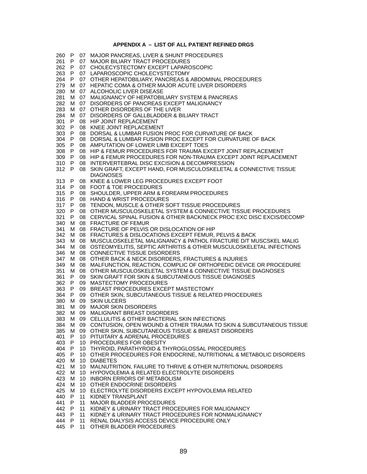| 260 P |              |    | 07 MAJOR PANCREAS, LIVER & SHUNT PROCEDURES                                                                        |
|-------|--------------|----|--------------------------------------------------------------------------------------------------------------------|
| 261   | $\mathsf{P}$ |    | 07 MAJOR BILIARY TRACT PROCEDURES                                                                                  |
| 262   | P.           |    | 07 CHOLECYSTECTOMY EXCEPT LAPAROSCOPIC                                                                             |
| 263   | $\mathsf{P}$ |    | 07 LAPAROSCOPIC CHOLECYSTECTOMY                                                                                    |
| 264   | $\mathsf{P}$ |    | 07 OTHER HEPATOBILIARY, PANCREAS & ABDOMINAL PROCEDURES                                                            |
| 279   |              |    | M 07 HEPATIC COMA & OTHER MAJOR ACUTE LIVER DISORDERS                                                              |
| 280   |              |    | M 07 ALCOHOLIC LIVER DISEASE                                                                                       |
| 281   |              |    | M 07 MALIGNANCY OF HEPATOBILIARY SYSTEM & PANCREAS                                                                 |
| 282   |              |    | M 07 DISORDERS OF PANCREAS EXCEPT MALIGNANCY                                                                       |
| 283   |              |    | M 07 OTHER DISORDERS OF THE LIVER                                                                                  |
| 284   | M            |    | 07 DISORDERS OF GALLBLADDER & BILIARY TRACT                                                                        |
| 301   | P.           |    | 08 HIP JOINT REPLACEMENT                                                                                           |
| 302   | P.           |    | 08 KNEE JOINT REPLACEMENT                                                                                          |
| 303   | P.           |    | 08 DORSAL & LUMBAR FUSION PROC FOR CURVATURE OF BACK                                                               |
| 304   | -P           |    | 08 DORSAL & LUMBAR FUSION PROC EXCEPT FOR CURVATURE OF BACK                                                        |
| 305   | P.           |    | 08 AMPUTATION OF LOWER LIMB EXCEPT TOES                                                                            |
| 308   | $\mathsf{P}$ |    | 08 HIP & FEMUR PROCEDURES FOR TRAUMA EXCEPT JOINT REPLACEMENT                                                      |
| 309   | P.           |    | 08 HIP & FEMUR PROCEDURES FOR NON-TRAUMA EXCEPT JOINT REPLACEMENT                                                  |
| 310   | $\mathsf{P}$ |    | 08 INTERVERTEBRAL DISC EXCISION & DECOMPRESSION                                                                    |
| 312   | P.           | 08 | SKIN GRAFT, EXCEPT HAND, FOR MUSCULOSKELETAL & CONNECTIVE TISSUE                                                   |
|       |              |    | <b>DIAGNOSES</b>                                                                                                   |
| 313   | $\mathsf{P}$ |    | 08 KNEE & LOWER LEG PROCEDURES EXCEPT FOOT                                                                         |
| 314   | $\mathsf{P}$ |    | 08 FOOT & TOE PROCEDURES                                                                                           |
| 315   | P.           | 08 | SHOULDER, UPPER ARM & FOREARM PROCEDURES                                                                           |
| 316   | P.           |    | 08 HAND & WRIST PROCEDURES                                                                                         |
|       |              |    |                                                                                                                    |
| 317   | $\mathsf{P}$ |    | 08 TENDON, MUSCLE & OTHER SOFT TISSUE PROCEDURES<br>08 OTHER MUSCULOSKELETAL SYSTEM & CONNECTIVE TISSUE PROCEDURES |
| 320   | P.           |    |                                                                                                                    |
| 321   | P.           |    | 08 CERVICAL SPINAL FUSION & OTHER BACK/NECK PROC EXC DISC EXCIS/DECOMP                                             |
| 340   | M            |    | 08 FRACTURE OF FEMUR                                                                                               |
| 341   | М            |    | 08 FRACTURE OF PELVIS OR DISLOCATION OF HIP                                                                        |
| 342   |              |    | M 08 FRACTURES & DISLOCATIONS EXCEPT FEMUR, PELVIS & BACK                                                          |
| 343   | M            |    | 08 MUSCULOSKELETAL MALIGNANCY & PATHOL FRACTURE D/T MUSCSKEL MALIG                                                 |
| 344   | М            |    | 08 OSTEOMYELITIS, SEPTIC ARTHRITIS & OTHER MUSCULOSKELETAL INFECTIONS                                              |
| 346   |              |    | M 08 CONNECTIVE TISSUE DISORDERS                                                                                   |
| 347   | M            |    | 08 OTHER BACK & NECK DISORDERS, FRACTURES & INJURIES                                                               |
| 349   | М            |    | 08 MALFUNCTION, REACTION, COMPLIC OF ORTHOPEDIC DEVICE OR PROCEDURE                                                |
| 351   | М            |    | 08 OTHER MUSCULOSKELETAL SYSTEM & CONNECTIVE TISSUE DIAGNOSES                                                      |
| 361   | P.           |    | 09 SKIN GRAFT FOR SKIN & SUBCUTANEOUS TISSUE DIAGNOSES                                                             |
| 362   | P.           | 09 | MASTECTOMY PROCEDURES                                                                                              |
| 363   | P.           |    | 09 BREAST PROCEDURES EXCEPT MASTECTOMY                                                                             |
| 364   | P.           |    | 09 OTHER SKIN, SUBCUTANEOUS TISSUE & RELATED PROCEDURES                                                            |
| 380   | M            | 09 | SKIN ULCERS                                                                                                        |
| 381   |              |    | M 09 MAJOR SKIN DISORDERS                                                                                          |
| 382   | M            |    | 09 MALIGNANT BREAST DISORDERS                                                                                      |
| 383   | м            |    | 09 CELLULITIS & OTHER BACTERIAL SKIN INFECTIONS                                                                    |
|       |              |    | 384 M 09 CONTUSION, OPEN WOUND & OTHER TRAUMA TO SKIN & SUBCUTANEOUS TISSUE                                        |
| 385   | M            |    | 09 OTHER SKIN, SUBCUTANEOUS TISSUE & BREAST DISORDERS                                                              |
| 401   | P.           |    | 10 PITUITARY & ADRENAL PROCEDURES                                                                                  |
| 403   | P.           |    | 10 PROCEDURES FOR OBESITY                                                                                          |
| 404   | P.           |    | 10 THYROID, PARATHYROID & THYROGLOSSAL PROCEDURES                                                                  |
| 405   | P.           |    | 10 OTHER PROCEDURES FOR ENDOCRINE, NUTRITIONAL & METABOLIC DISORDERS                                               |
| 420   | M            |    | 10 DIABETES                                                                                                        |
| 421   | M            |    | 10 MALNUTRITION, FAILURE TO THRIVE & OTHER NUTRITIONAL DISORDERS                                                   |
| 422   | M            |    | 10 HYPOVOLEMIA & RELATED ELECTROLYTE DISORDERS                                                                     |
| 423   | M            |    | 10 INBORN ERRORS OF METABOLISM                                                                                     |
| 424   | M            |    | 10 OTHER ENDOCRINE DISORDERS                                                                                       |
| 425   | M            |    | 10 ELECTROLYTE DISORDERS EXCEPT HYPOVOLEMIA RELATED                                                                |
| 440 P |              |    | 11 KIDNEY TRANSPLANT                                                                                               |
| 441   | P.           | 11 | <b>MAJOR BLADDER PROCEDURES</b>                                                                                    |
| 442   | P.           | 11 | KIDNEY & URINARY TRACT PROCEDURES FOR MALIGNANCY                                                                   |
| 443   | $\mathsf{P}$ |    | 11 KIDNEY & URINARY TRACT PROCEDURES FOR NONMALIGNANCY                                                             |
| 444 P |              |    | 11 RENAL DIALYSIS ACCESS DEVICE PROCEDURE ONLY                                                                     |

445 P 11 OTHER BLADDER PROCEDURES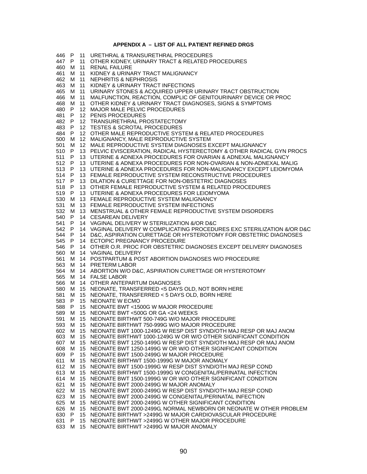| 446 P 11   |    |      | URETHRAL & TRANSURETHRAL PROCEDURES                                                         |
|------------|----|------|---------------------------------------------------------------------------------------------|
| 447 P      |    | 11   | OTHER KIDNEY, URINARY TRACT & RELATED PROCEDURES                                            |
| 460 M 11   |    |      | RENAL FAILURE                                                                               |
| 461        | м  | 11   | KIDNEY & URINARY TRACT MALIGNANCY                                                           |
| 462 M      |    | -11  | NEPHRITIS & NEPHROSIS                                                                       |
| 463 M      |    | - 11 | KIDNEY & URINARY TRACT INFECTIONS                                                           |
| 465 M      |    | 11   | URINARY STONES & ACQUIRED UPPER URINARY TRACT OBSTRUCTION                                   |
| 466 M      |    | 11   | MALFUNCTION, REACTION, COMPLIC OF GENITOURINARY DEVICE OR PROC                              |
| 468 M      |    | 11   | OTHER KIDNEY & URINARY TRACT DIAGNOSES, SIGNS & SYMPTOMS                                    |
| 480 P      |    |      | 12 MAJOR MALE PELVIC PROCEDURES                                                             |
| 481 P      |    |      | 12 PENIS PROCEDURES                                                                         |
| 482 P      |    |      | 12 TRANSURETHRAL PROSTATECTOMY                                                              |
| 483 P      |    |      | 12 TESTES & SCROTAL PROCEDURES                                                              |
| 484 P      |    |      | 12 OTHER MALE REPRODUCTIVE SYSTEM & RELATED PROCEDURES                                      |
| 500 M      |    |      | 12 MALIGNANCY, MALE REPRODUCTIVE SYSTEM                                                     |
| 501        | м  |      | 12 MALE REPRODUCTIVE SYSTEM DIAGNOSES EXCEPT MALIGNANCY                                     |
| 510 P      |    |      | 13 PELVIC EVISCERATION, RADICAL HYSTERECTOMY & OTHER RADICAL GYN PROCS                      |
| 511 P      |    |      | 13 UTERINE & ADNEXA PROCEDURES FOR OVARIAN & ADNEXAL MALIGNANCY                             |
| 512 P      |    |      | 13 UTERINE & ADNEXA PROCEDURES FOR NON-OVARIAN & NON-ADNEXAL MALIG                          |
| 513 P      |    |      | 13 UTERINE & ADNEXA PROCEDURES FOR NON-MALIGNANCY EXCEPT LEIOMYOMA                          |
| 514 P      |    |      | 13 FEMALE REPRODUCTIVE SYSTEM RECONSTRUCTIVE PROCEDURES                                     |
| 517 P      |    |      | 13 DILATION & CURETTAGE FOR NON-OBSTETRIC DIAGNOSES                                         |
| 518 P      |    |      | 13 OTHER FEMALE REPRODUCTIVE SYSTEM & RELATED PROCEDURES                                    |
| 519 P      |    |      | 13 UTERINE & ADNEXA PROCEDURES FOR LEIOMYOMA                                                |
| 530 M      |    |      | 13 FEMALE REPRODUCTIVE SYSTEM MALIGNANCY                                                    |
| 531 M      |    |      | 13 FEMALE REPRODUCTIVE SYSTEM INFECTIONS                                                    |
| 532 M      |    |      | 13 MENSTRUAL & OTHER FEMALE REPRODUCTIVE SYSTEM DISORDERS                                   |
| 540 P      |    |      | 14 CESAREAN DELIVERY                                                                        |
| 541 P      |    |      | 14 VAGINAL DELIVERY W STERILIZATION &/OR D&C                                                |
| 542 P      |    |      | 14 VAGINAL DELIVERY W COMPLICATING PROCEDURES EXC STERILIZATION &/OR D&C                    |
| 544 P      |    |      | 14 D&C, ASPIRATION CURETTAGE OR HYSTEROTOMY FOR OBSTETRIC DIAGNOSES                         |
| 545 P      |    |      | 14 ECTOPIC PREGNANCY PROCEDURE                                                              |
| 546 P      |    |      | 14 OTHER O.R. PROC FOR OBSTETRIC DIAGNOSES EXCEPT DELIVERY DIAGNOSES                        |
|            |    |      | 560 M 14 VAGINAL DELIVERY                                                                   |
|            |    |      | 561 M 14 POSTPARTUM & POST ABORTION DIAGNOSES W/O PROCEDURE                                 |
|            |    |      | 563 M 14 PRETERM LABOR                                                                      |
|            |    |      | 564 M 14 ABORTION W/O D&C, ASPIRATION CURETTAGE OR HYSTEROTOMY                              |
|            |    |      | 565 M 14 FALSE LABOR                                                                        |
|            |    |      | 566 M 14 OTHER ANTEPARTUM DIAGNOSES                                                         |
| 580        | M  |      | 15 NEONATE, TRANSFERRED <5 DAYS OLD, NOT BORN HERE                                          |
| 581        |    |      | M 15 NEONATE, TRANSFERRED < 5 DAYS OLD, BORN HERE                                           |
|            |    |      | 583 P 15 NEONATE W ECMO                                                                     |
|            |    |      | 588 P 15 NEONATE BWT <1500G W MAJOR PROCEDURE                                               |
| 589<br>591 |    |      | M 15 NEONATE BWT <500G OR GA <24 WEEKS<br>M 15 NEONATE BIRTHWT 500-749G W/O MAJOR PROCEDURE |
| 593        | м  | -15  | NEONATE BIRTHWT 750-999G W/O MAJOR PROCEDURE                                                |
| 602        | м  |      | 15 NEONATE BWT 1000-1249G W RESP DIST SYND/OTH MAJ RESP OR MAJ ANOM                         |
| 603        | м  |      | 15 NEONATE BIRTHWT 1000-1249G W OR W/O OTHER SIGNIFICANT CONDITION                          |
| 607        | м  | 15   | NEONATE BWT 1250-1499G W RESP DIST SYND/OTH MAJ RESP OR MAJ ANOM                            |
| 608        | м  |      | 15 NEONATE BWT 1250-1499G W OR W/O OTHER SIGNIFICANT CONDITION                              |
| 609        | P. | 15   | NEONATE BWT 1500-2499G W MAJOR PROCEDURE                                                    |
| 611        | м  | 15   | NEONATE BIRTHWT 1500-1999G W MAJOR ANOMALY                                                  |
| 612        | м  | 15   | NEONATE BWT 1500-1999G W RESP DIST SYND/OTH MAJ RESP COND                                   |
| 613        | м  |      | 15 NEONATE BIRTHWT 1500-1999G W CONGENITAL/PERINATAL INFECTION                              |
| 614        | м  | 15   | NEONATE BWT 1500-1999G W OR W/O OTHER SIGNIFICANT CONDITION                                 |
| 621        | м  |      | 15 NEONATE BWT 2000-2499G W MAJOR ANOMALY                                                   |
| 622        | м  |      | 15 NEONATE BWT 2000-2499G W RESP DIST SYND/OTH MAJ RESP COND                                |
| 623        | м  | 15   | NEONATE BWT 2000-2499G W CONGENITAL/PERINATAL INFECTION                                     |
| 625        | м  |      | 15 NEONATE BWT 2000-2499G W OTHER SIGNIFICANT CONDITION                                     |
| 626        | м  |      | 15 NEONATE BWT 2000-2499G, NORMAL NEWBORN OR NEONATE W OTHER PROBLEM                        |
| 630        | P. |      | 15 NEONATE BIRTHWT >2499G W MAJOR CARDIOVASCULAR PROCEDURE                                  |
| 631        | P  |      | 15 NEONATE BIRTHWT > 2499G W OTHER MAJOR PROCEDURE                                          |
| 633        | м  |      | 15 NEONATE BIRTHWT >2499G W MAJOR ANOMALY                                                   |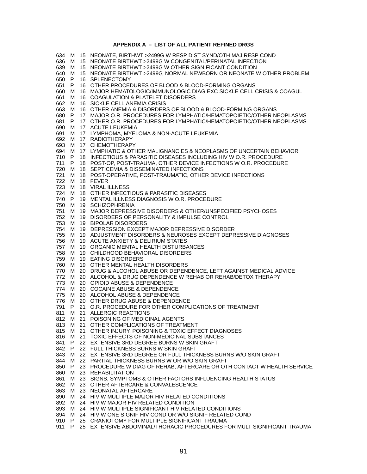634 M 15 NEONATE, BIRTHWT >2499G W RESP DIST SYND/OTH MAJ RESP COND 636 M 15 NEONATE BIRTHWT >2499G W CONGENITAL/PERINATAL INFECTION 639 M 15 NEONATE BIRTHWT >2499G W OTHER SIGNIFICANT CONDITION 640 M 15 NEONATE BIRTHWT >2499G, NORMAL NEWBORN OR NEONATE W OTHER PROBLEM 650 P 16 SPLENECTOMY 651 P 16 OTHER PROCEDURES OF BLOOD & BLOOD-FORMING ORGANS 660 M 16 MAJOR HEMATOLOGIC/IMMUNOLOGIC DIAG EXC SICKLE CELL CRISIS & COAGUL 661 M 16 COAGULATION & PLATELET DISORDERS 662 M 16 SICKLE CELL ANEMIA CRISIS 663 M 16 OTHER ANEMIA & DISORDERS OF BLOOD & BLOOD-FORMING ORGANS 680 P 17 MAJOR O.R. PROCEDURES FOR LYMPHATIC/HEMATOPOIETIC/OTHER NEOPLASMS 681 P 17 OTHER O.R. PROCEDURES FOR LYMPHATIC/HEMATOPOIETIC/OTHER NEOPLASMS 690 M 17 ACUTE LEUKEMIA 691 M 17 LYMPHOMA, MYELOMA & NON-ACUTE LEUKEMIA 692 M 17 RADIOTHERAPY 693 M 17 CHEMOTHERAPY 694 M 17 LYMPHATIC & OTHER MALIGNANCIES & NEOPLASMS OF UNCERTAIN BEHAVIOR 710 P 18 INFECTIOUS & PARASITIC DISEASES INCLUDING HIV W O.R. PROCEDURE 711 P 18 POST-OP, POST-TRAUMA, OTHER DEVICE INFECTIONS W O.R. PROCEDURE 720 M 18 SEPTICEMIA & DISSEMINATED INFECTIONS 721 M 18 POST-OPERATIVE, POST-TRAUMATIC, OTHER DEVICE INFECTIONS 722 M 18 FEVER 723 M 18 VIRAL ILLNESS 724 M 18 OTHER INFECTIOUS & PARASITIC DISEASES 740 P 19 MENTAL ILLNESS DIAGNOSIS W O.R. PROCEDURE 750 M 19 SCHIZOPHRENIA 751 M 19 MAJOR DEPRESSIVE DISORDERS & OTHER/UNSPECIFIED PSYCHOSES 752 M 19 DISORDERS OF PERSONALITY & IMPULSE CONTROL 753 M 19 BIPOLAR DISORDERS 754 M 19 DEPRESSION EXCEPT MAJOR DEPRESSIVE DISORDER 755 M 19 ADJUSTMENT DISORDERS & NEUROSES EXCEPT DEPRESSIVE DIAGNOSES 756 M 19 ACUTE ANXIETY & DELIRIUM STATES 757 M 19 ORGANIC MENTAL HEALTH DISTURBANCES 758 M 19 CHILDHOOD BEHAVIORAL DISORDERS 759 M 19 EATING DISORDERS 760 M 19 OTHER MENTAL HEALTH DISORDERS 770 M 20 DRUG & ALCOHOL ABUSE OR DEPENDENCE, LEFT AGAINST MEDICAL ADVICE 772 M 20 ALCOHOL & DRUG DEPENDENCE W REHAB OR REHAB/DETOX THERAPY 773 M 20 OPIOID ABUSE & DEPENDENCE 774 M 20 COCAINE ABUSE & DEPENDENCE 775 M 20 ALCOHOL ABUSE & DEPENDENCE 776 M 20 OTHER DRUG ABUSE & DEPENDENCE 791 P 21 O.R. PROCEDURE FOR OTHER COMPLICATIONS OF TREATMENT 811 M 21 ALLERGIC REACTIONS 812 M 21 POISONING OF MEDICINAL AGENTS 813 M 21 OTHER COMPLICATIONS OF TREATMENT 815 M 21 OTHER INJURY, POISONING & TOXIC EFFECT DIAGNOSES 816 M 21 TOXIC EFFECTS OF NON-MEDICINAL SUBSTANCES 841 P 22 EXTENSIVE 3RD DEGREE BURNS W SKIN GRAFT 842 P 22 FULL THICKNESS BURNS W SKIN GRAFT 843 M 22 EXTENSIVE 3RD DEGREE OR FULL THICKNESS BURNS W/O SKIN GRAFT 844 M 22 PARTIAL THICKNESS BURNS W OR W/O SKIN GRAFT<br>850 P 23 PROCEDURE W DIAG OF REHAB. AFTERCARE OR OT 23 PROCEDURE W DIAG OF REHAB, AFTERCARE OR OTH CONTACT W HEALTH SERVICE 860 M 23 REHABILITATION 861 M 23 SIGNS, SYMPTOMS & OTHER FACTORS INFLUENCING HEALTH STATUS 862 M 23 OTHER AFTERCARE & CONVALESCENCE 863 M 23 NEONATAL AFTERCARE 890 M 24 HIV W MULTIPLE MAJOR HIV RELATED CONDITIONS 892 M 24 HIV W MAJOR HIV RELATED CONDITION 893 M 24 HIV W MULTIPLE SIGNIFICANT HIV RELATED CONDITIONS 894 M 24 HIV W ONE SIGNIF HIV COND OR W/O SIGNIF RELATED COND 910 P 25 CRANIOTOMY FOR MULTIPLE SIGNIFICANT TRAUMA